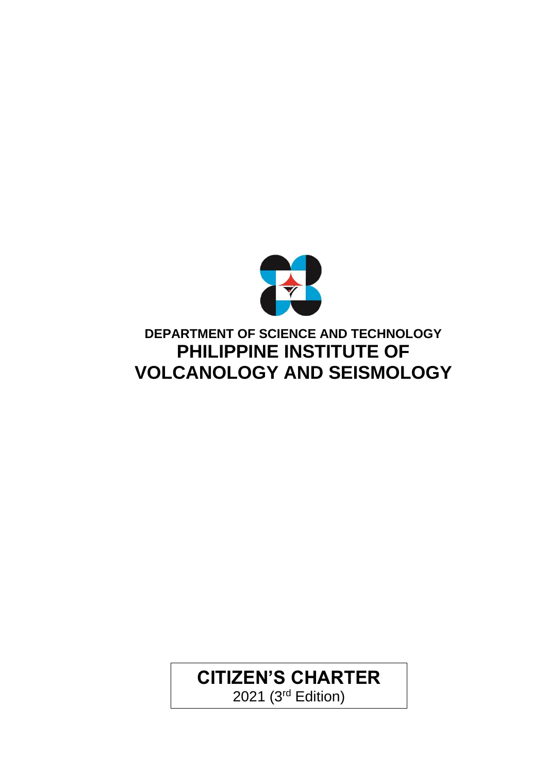

### **DEPARTMENT OF SCIENCE AND TECHNOLOGY PHILIPPINE INSTITUTE OF VOLCANOLOGY AND SEISMOLOGY**

# **CITIZEN'S CHARTER**

2021 (3rd Edition)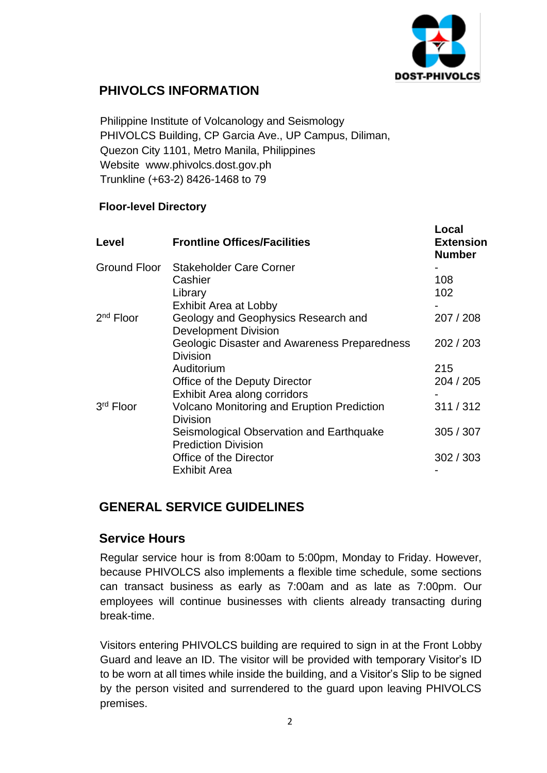

### **PHIVOLCS INFORMATION**

Philippine Institute of Volcanology and Seismology PHIVOLCS Building, CP Garcia Ave., UP Campus, Diliman, Quezon City 1101, Metro Manila, Philippines Website [www.phivolcs.dost.gov.ph](http://www.phivolcs.dost.gov.ph/) Trunkline (+63-2) 8426-1468 to 79

#### **Floor-level Directory**

| Level                 | <b>Frontline Offices/Facilities</b>                                    | Local<br><b>Extension</b><br><b>Number</b> |
|-----------------------|------------------------------------------------------------------------|--------------------------------------------|
| Ground Floor          | <b>Stakeholder Care Corner</b>                                         |                                            |
|                       | Cashier                                                                | 108                                        |
|                       | Library                                                                | 102                                        |
|                       | <b>Exhibit Area at Lobby</b>                                           |                                            |
| $2nd$ Floor           | Geology and Geophysics Research and<br><b>Development Division</b>     | 207 / 208                                  |
|                       | <b>Geologic Disaster and Awareness Preparedness</b><br><b>Division</b> | 202 / 203                                  |
|                       | Auditorium                                                             | 215                                        |
|                       | Office of the Deputy Director                                          | 204 / 205                                  |
|                       | Exhibit Area along corridors                                           |                                            |
| 3 <sup>rd</sup> Floor | <b>Volcano Monitoring and Eruption Prediction</b><br>Division          | 311/312                                    |
|                       | Seismological Observation and Earthquake<br><b>Prediction Division</b> | 305 / 307                                  |
|                       | Office of the Director                                                 | 302 / 303                                  |
|                       | <b>Exhibit Area</b>                                                    |                                            |

#### **GENERAL SERVICE GUIDELINES**

#### **Service Hours**

Regular service hour is from 8:00am to 5:00pm, Monday to Friday. However, because PHIVOLCS also implements a flexible time schedule, some sections can transact business as early as 7:00am and as late as 7:00pm. Our employees will continue businesses with clients already transacting during break-time.

Visitors entering PHIVOLCS building are required to sign in at the Front Lobby Guard and leave an ID. The visitor will be provided with temporary Visitor's ID to be worn at all times while inside the building, and a Visitor's Slip to be signed by the person visited and surrendered to the guard upon leaving PHIVOLCS premises.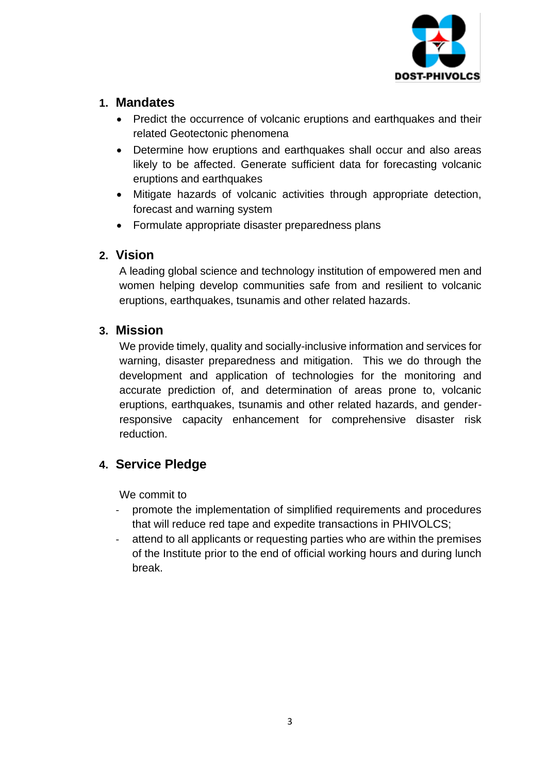

#### **1. Mandates**

- Predict the occurrence of volcanic eruptions and earthquakes and their related Geotectonic phenomena
- Determine how eruptions and earthquakes shall occur and also areas likely to be affected. Generate sufficient data for forecasting volcanic eruptions and earthquakes
- Mitigate hazards of volcanic activities through appropriate detection, forecast and warning system
- Formulate appropriate disaster preparedness plans

#### **2. Vision**

A leading global science and technology institution of empowered men and women helping develop communities safe from and resilient to volcanic eruptions, earthquakes, tsunamis and other related hazards.

#### **3. Mission**

We provide timely, quality and socially-inclusive information and services for warning, disaster preparedness and mitigation. This we do through the development and application of technologies for the monitoring and accurate prediction of, and determination of areas prone to, volcanic eruptions, earthquakes, tsunamis and other related hazards, and genderresponsive capacity enhancement for comprehensive disaster risk reduction.

#### **4. Service Pledge**

We commit to

- promote the implementation of simplified requirements and procedures that will reduce red tape and expedite transactions in PHIVOLCS;
- attend to all applicants or requesting parties who are within the premises of the Institute prior to the end of official working hours and during lunch break.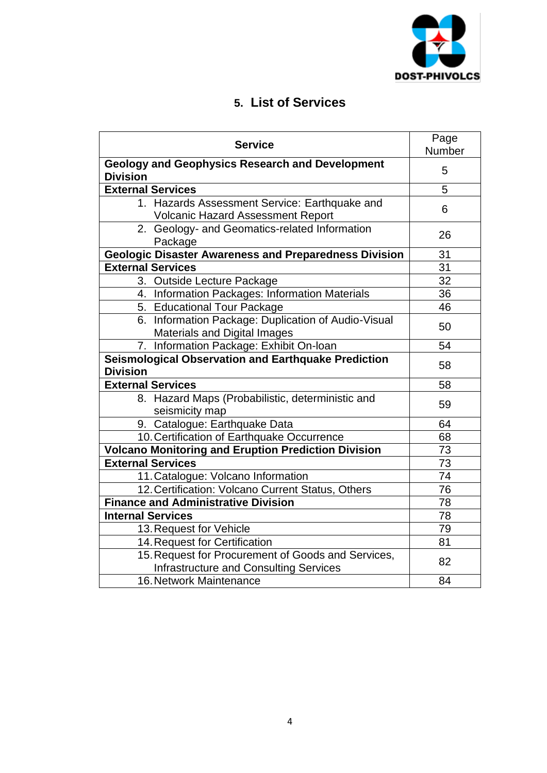

### **5. List of Services**

| <b>Service</b>                                                                                      | Page<br>Number |
|-----------------------------------------------------------------------------------------------------|----------------|
| <b>Geology and Geophysics Research and Development</b><br><b>Division</b>                           | 5              |
| <b>External Services</b>                                                                            | 5              |
| 1. Hazards Assessment Service: Earthquake and<br><b>Volcanic Hazard Assessment Report</b>           | 6              |
| 2. Geology- and Geomatics-related Information<br>Package                                            | 26             |
| <b>Geologic Disaster Awareness and Preparedness Division</b>                                        | 31             |
| <b>External Services</b>                                                                            | 31             |
| 3. Outside Lecture Package                                                                          | 32             |
| 4. Information Packages: Information Materials                                                      | 36             |
| 5. Educational Tour Package                                                                         | 46             |
| 6. Information Package: Duplication of Audio-Visual<br><b>Materials and Digital Images</b>          | 50             |
| 7. Information Package: Exhibit On-loan                                                             | 54             |
| Seismological Observation and Earthquake Prediction<br><b>Division</b>                              | 58             |
| <b>External Services</b>                                                                            | 58             |
| 8. Hazard Maps (Probabilistic, deterministic and<br>seismicity map                                  | 59             |
| 9. Catalogue: Earthquake Data                                                                       | 64             |
| 10. Certification of Earthquake Occurrence                                                          | 68             |
| <b>Volcano Monitoring and Eruption Prediction Division</b>                                          | 73             |
| <b>External Services</b>                                                                            | 73             |
| 11. Catalogue: Volcano Information                                                                  | 74             |
| 12. Certification: Volcano Current Status, Others                                                   | 76             |
| <b>Finance and Administrative Division</b>                                                          | 78             |
| <b>Internal Services</b>                                                                            | 78             |
| 13. Request for Vehicle                                                                             | 79             |
| 14. Request for Certification                                                                       | 81             |
| 15. Request for Procurement of Goods and Services,<br><b>Infrastructure and Consulting Services</b> | 82             |
| 16. Network Maintenance                                                                             | 84             |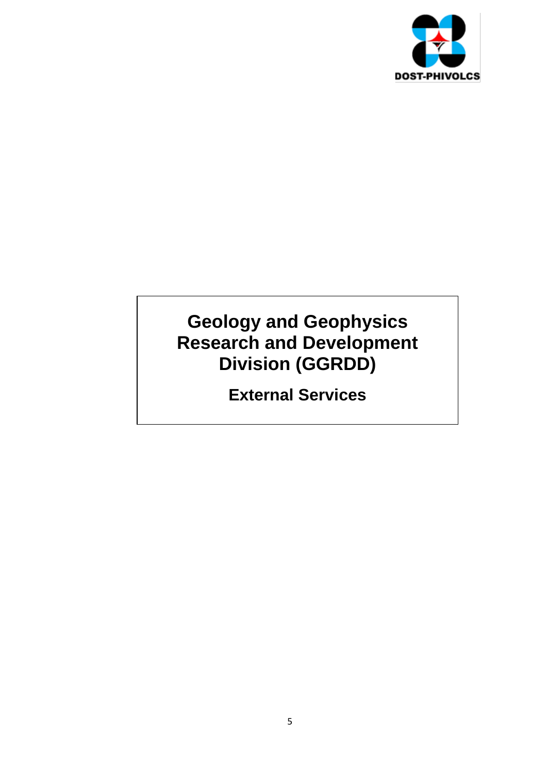

### **Geology and Geophysics Research and Development Division (GGRDD)**

**External Services**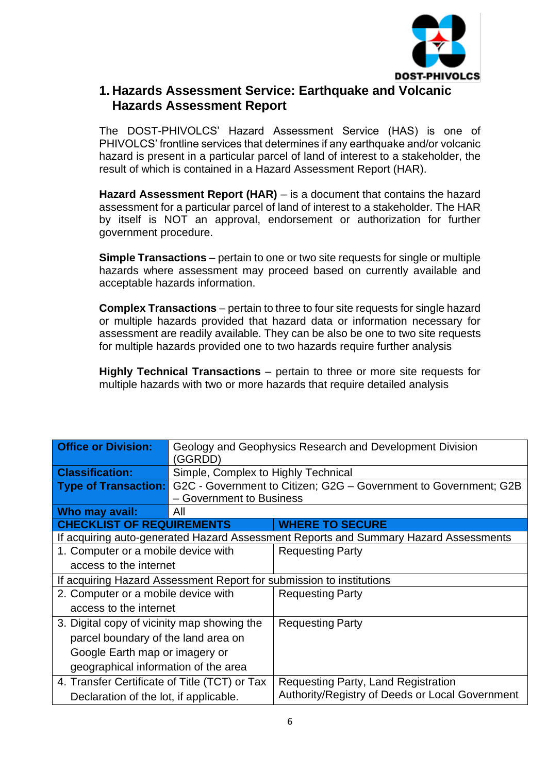

#### **1. Hazards Assessment Service: Earthquake and Volcanic Hazards Assessment Report**

The DOST-PHIVOLCS' Hazard Assessment Service (HAS) is one of PHIVOLCS' frontline services that determines if any earthquake and/or volcanic hazard is present in a particular parcel of land of interest to a stakeholder, the result of which is contained in a Hazard Assessment Report (HAR).

**Hazard Assessment Report (HAR)** – is a document that contains the hazard assessment for a particular parcel of land of interest to a stakeholder. The HAR by itself is NOT an approval, endorsement or authorization for further government procedure.

**Simple Transactions** – pertain to one or two site requests for single or multiple hazards where assessment may proceed based on currently available and acceptable hazards information.

**Complex Transactions** – pertain to three to four site requests for single hazard or multiple hazards provided that hazard data or information necessary for assessment are readily available. They can be also be one to two site requests for multiple hazards provided one to two hazards require further analysis

**Highly Technical Transactions** – pertain to three or more site requests for multiple hazards with two or more hazards that require detailed analysis

| <b>Office or Division:</b>                    | Geology and Geophysics Research and Development Division<br>(GGRDD) |                                                                                      |  |  |
|-----------------------------------------------|---------------------------------------------------------------------|--------------------------------------------------------------------------------------|--|--|
| <b>Classification:</b>                        | Simple, Complex to Highly Technical                                 |                                                                                      |  |  |
| <b>Type of Transaction:</b>                   |                                                                     | G2C - Government to Citizen; G2G - Government to Government; G2B                     |  |  |
|                                               | - Government to Business                                            |                                                                                      |  |  |
| Who may avail:                                | All                                                                 |                                                                                      |  |  |
| <b>CHECKLIST OF REQUIREMENTS</b>              |                                                                     | <b>WHERE TO SECURE</b>                                                               |  |  |
|                                               |                                                                     | If acquiring auto-generated Hazard Assessment Reports and Summary Hazard Assessments |  |  |
| 1. Computer or a mobile device with           |                                                                     | <b>Requesting Party</b>                                                              |  |  |
|                                               | access to the internet                                              |                                                                                      |  |  |
|                                               |                                                                     | If acquiring Hazard Assessment Report for submission to institutions                 |  |  |
| 2. Computer or a mobile device with           |                                                                     | <b>Requesting Party</b>                                                              |  |  |
| access to the internet                        |                                                                     |                                                                                      |  |  |
| 3. Digital copy of vicinity map showing the   |                                                                     | <b>Requesting Party</b>                                                              |  |  |
| parcel boundary of the land area on           |                                                                     |                                                                                      |  |  |
| Google Earth map or imagery or                |                                                                     |                                                                                      |  |  |
|                                               | geographical information of the area                                |                                                                                      |  |  |
| 4. Transfer Certificate of Title (TCT) or Tax |                                                                     | Requesting Party, Land Registration                                                  |  |  |
| Declaration of the lot, if applicable.        |                                                                     | Authority/Registry of Deeds or Local Government                                      |  |  |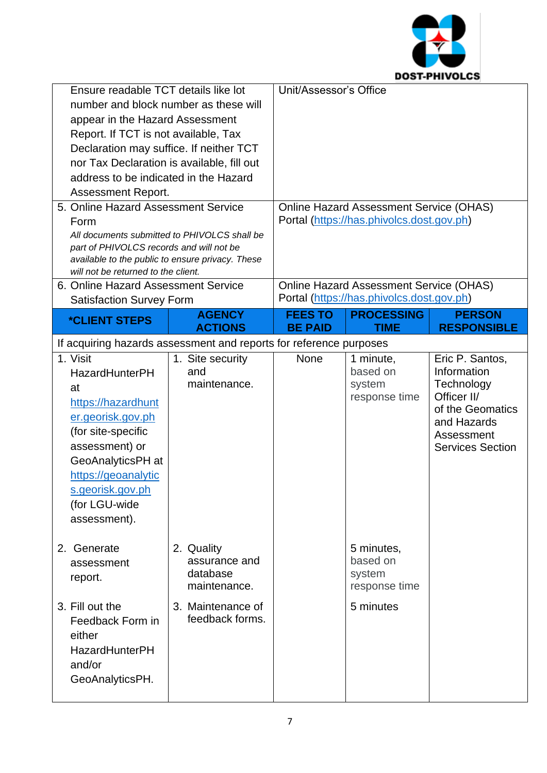

| Ensure readable TCT details like lot<br>number and block number as these will<br>appear in the Hazard Assessment<br>Report. If TCT is not available, Tax<br>Declaration may suffice. If neither TCT<br>nor Tax Declaration is available, fill out<br>address to be indicated in the Hazard<br>Assessment Report.<br>5. Online Hazard Assessment Service<br>Form<br>All documents submitted to PHIVOLCS shall be |                                                                                                 | Unit/Assessor's Office | <b>Online Hazard Assessment Service (OHAS)</b><br>Portal (https://has.phivolcs.dost.gov.ph) |                                                                                                                                         |
|-----------------------------------------------------------------------------------------------------------------------------------------------------------------------------------------------------------------------------------------------------------------------------------------------------------------------------------------------------------------------------------------------------------------|-------------------------------------------------------------------------------------------------|------------------------|---------------------------------------------------------------------------------------------|-----------------------------------------------------------------------------------------------------------------------------------------|
| part of PHIVOLCS records and will not be<br>available to the public to ensure privacy. These<br>will not be returned to the client.                                                                                                                                                                                                                                                                             |                                                                                                 |                        |                                                                                             |                                                                                                                                         |
| 6. Online Hazard Assessment Service<br><b>Satisfaction Survey Form</b>                                                                                                                                                                                                                                                                                                                                          |                                                                                                 |                        | <b>Online Hazard Assessment Service (OHAS)</b><br>Portal (https://has.phivolcs.dost.gov.ph) |                                                                                                                                         |
| <i><b>*CLIENT STEPS</b></i>                                                                                                                                                                                                                                                                                                                                                                                     | <b>AGENCY</b>                                                                                   | <b>FEES TO</b>         | <b>PROCESSING</b>                                                                           | <b>PERSON</b>                                                                                                                           |
|                                                                                                                                                                                                                                                                                                                                                                                                                 | <b>ACTIONS</b>                                                                                  | <b>BE PAID</b>         | <b>TIME</b>                                                                                 | <b>RESPONSIBLE</b>                                                                                                                      |
| If acquiring hazards assessment and reports for reference purposes                                                                                                                                                                                                                                                                                                                                              |                                                                                                 |                        |                                                                                             |                                                                                                                                         |
| 1. Visit<br><b>HazardHunterPH</b><br>at<br>https://hazardhunt<br>er.georisk.gov.ph<br>(for site-specific<br>assessment) or<br>GeoAnalyticsPH at<br>https://geoanalytic<br>s.georisk.gov.ph<br>(for LGU-wide<br>assessment).                                                                                                                                                                                     | 1. Site security<br>and<br>maintenance.                                                         | None                   | 1 minute,<br>based on<br>system<br>response time                                            | Eric P. Santos,<br>Information<br>Technology<br>Officer II/<br>of the Geomatics<br>and Hazards<br>Assessment<br><b>Services Section</b> |
| 2. Generate<br>assessment<br>report.<br>3. Fill out the<br>Feedback Form in<br>either<br><b>HazardHunterPH</b><br>and/or<br>GeoAnalyticsPH.                                                                                                                                                                                                                                                                     | 2. Quality<br>assurance and<br>database<br>maintenance.<br>3. Maintenance of<br>feedback forms. |                        | 5 minutes,<br>based on<br>system<br>response time<br>5 minutes                              |                                                                                                                                         |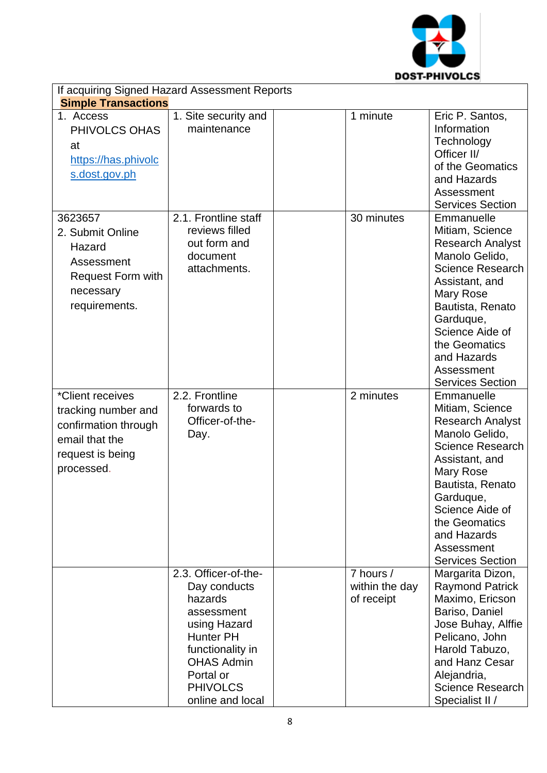

| If acquiring Signed Hazard Assessment Reports                                                                       |                                                                                                                                                                                                |  |                                           |                                                                                                                                                                                                                                                                   |
|---------------------------------------------------------------------------------------------------------------------|------------------------------------------------------------------------------------------------------------------------------------------------------------------------------------------------|--|-------------------------------------------|-------------------------------------------------------------------------------------------------------------------------------------------------------------------------------------------------------------------------------------------------------------------|
| <b>Simple Transactions</b>                                                                                          |                                                                                                                                                                                                |  |                                           |                                                                                                                                                                                                                                                                   |
| 1. Access<br>PHIVOLCS OHAS<br>at<br>https://has.phivolc<br>s.dost.gov.ph                                            | 1. Site security and<br>maintenance                                                                                                                                                            |  | 1 minute                                  | Eric P. Santos,<br>Information<br>Technology<br>Officer II/<br>of the Geomatics<br>and Hazards<br>Assessment<br><b>Services Section</b>                                                                                                                           |
| 3623657<br>2. Submit Online<br>Hazard<br>Assessment<br><b>Request Form with</b><br>necessary<br>requirements.       | 2.1. Frontline staff<br>reviews filled<br>out form and<br>document<br>attachments.                                                                                                             |  | 30 minutes                                | Emmanuelle<br>Mitiam, Science<br><b>Research Analyst</b><br>Manolo Gelido,<br><b>Science Research</b><br>Assistant, and<br>Mary Rose<br>Bautista, Renato<br>Garduque,<br>Science Aide of<br>the Geomatics<br>and Hazards<br>Assessment<br><b>Services Section</b> |
| *Client receives<br>tracking number and<br>confirmation through<br>email that the<br>request is being<br>processed. | 2.2. Frontline<br>forwards to<br>Officer-of-the-<br>Day.                                                                                                                                       |  | 2 minutes                                 | Emmanuelle<br>Mitiam, Science<br><b>Research Analyst</b><br>Manolo Gelido,<br><b>Science Research</b><br>Assistant, and<br>Mary Rose<br>Bautista, Renato<br>Garduque,<br>Science Aide of<br>the Geomatics<br>and Hazards<br>Assessment<br><b>Services Section</b> |
|                                                                                                                     | 2.3. Officer-of-the-<br>Day conducts<br>hazards<br>assessment<br>using Hazard<br><b>Hunter PH</b><br>functionality in<br><b>OHAS Admin</b><br>Portal or<br><b>PHIVOLCS</b><br>online and local |  | 7 hours /<br>within the day<br>of receipt | Margarita Dizon,<br><b>Raymond Patrick</b><br>Maximo, Ericson<br>Bariso, Daniel<br>Jose Buhay, Alffie<br>Pelicano, John<br>Harold Tabuzo,<br>and Hanz Cesar<br>Alejandria,<br><b>Science Research</b><br>Specialist II /                                          |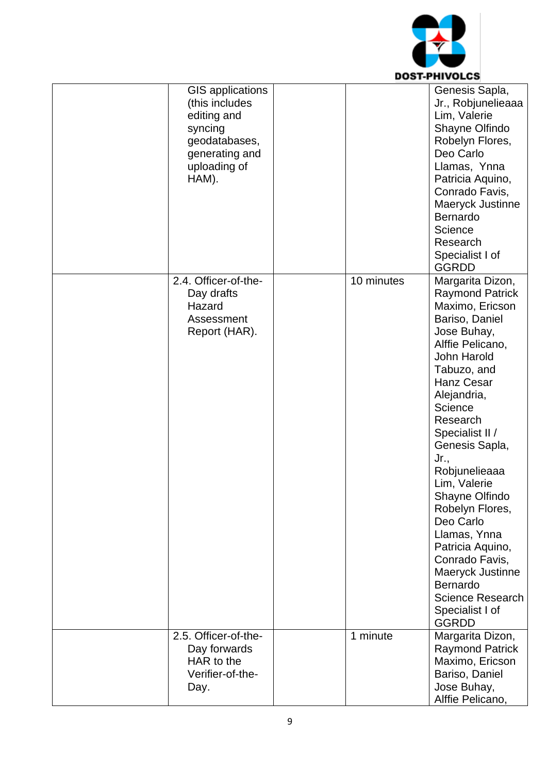

| <b>GIS applications</b><br>(this includes<br>editing and<br>syncing<br>geodatabases,<br>generating and<br>uploading of<br>HAM). |            | Genesis Sapla,<br>Jr., Robjunelieaaa<br>Lim, Valerie<br>Shayne Olfindo<br>Robelyn Flores,<br>Deo Carlo<br>Llamas, Ynna<br>Patricia Aquino,<br>Conrado Favis,<br>Maeryck Justinne<br><b>Bernardo</b><br>Science<br>Research<br>Specialist I of<br><b>GGRDD</b>                                                                                                                                                                                                                                   |
|---------------------------------------------------------------------------------------------------------------------------------|------------|-------------------------------------------------------------------------------------------------------------------------------------------------------------------------------------------------------------------------------------------------------------------------------------------------------------------------------------------------------------------------------------------------------------------------------------------------------------------------------------------------|
| 2.4. Officer-of-the-<br>Day drafts<br>Hazard<br>Assessment<br>Report (HAR).                                                     | 10 minutes | Margarita Dizon,<br><b>Raymond Patrick</b><br>Maximo, Ericson<br>Bariso, Daniel<br>Jose Buhay,<br>Alffie Pelicano,<br><b>John Harold</b><br>Tabuzo, and<br>Hanz Cesar<br>Alejandria,<br>Science<br>Research<br>Specialist II /<br>Genesis Sapla,<br>Jr.,<br>Robjunelieaaa<br>Lim, Valerie<br>Shayne Olfindo<br>Robelyn Flores,<br>Deo Carlo<br>Llamas, Ynna<br>Patricia Aquino,<br>Conrado Favis,<br>Maeryck Justinne<br>Bernardo<br><b>Science Research</b><br>Specialist I of<br><b>GGRDD</b> |
| 2.5. Officer-of-the-<br>Day forwards<br>HAR to the<br>Verifier-of-the-<br>Day.                                                  | 1 minute   | Margarita Dizon,<br><b>Raymond Patrick</b><br>Maximo, Ericson<br>Bariso, Daniel<br>Jose Buhay,<br>Alffie Pelicano,                                                                                                                                                                                                                                                                                                                                                                              |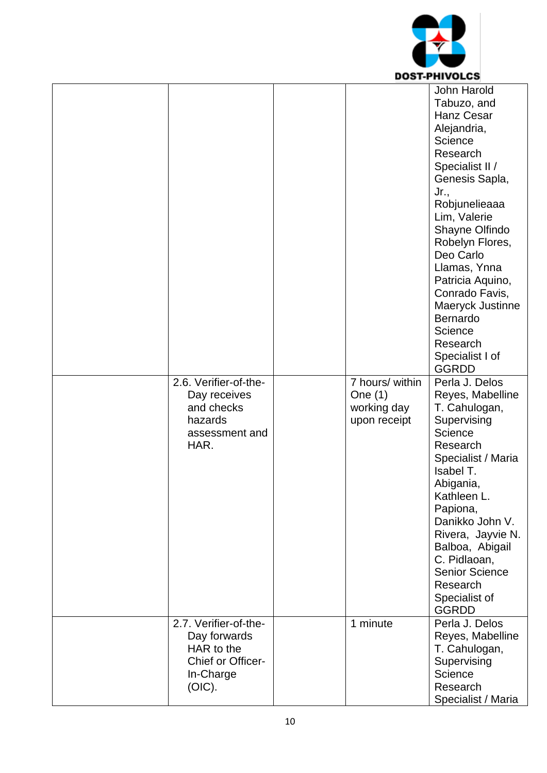

|                                                                                                 |                                                             | John Harold<br>Tabuzo, and<br><b>Hanz Cesar</b><br>Alejandria,<br>Science<br>Research<br>Specialist II /<br>Genesis Sapla,<br>Jr.,<br>Robjunelieaaa<br>Lim, Valerie<br>Shayne Olfindo<br>Robelyn Flores,<br>Deo Carlo<br>Llamas, Ynna<br>Patricia Aquino,<br>Conrado Favis,<br>Maeryck Justinne<br>Bernardo<br>Science<br>Research<br>Specialist I of<br><b>GGRDD</b> |
|-------------------------------------------------------------------------------------------------|-------------------------------------------------------------|-----------------------------------------------------------------------------------------------------------------------------------------------------------------------------------------------------------------------------------------------------------------------------------------------------------------------------------------------------------------------|
| 2.6. Verifier-of-the-<br>Day receives<br>and checks<br>hazards<br>assessment and<br>HAR.        | 7 hours/ within<br>One $(1)$<br>working day<br>upon receipt | Perla J. Delos<br>Reyes, Mabelline<br>T. Cahulogan,<br>Supervising<br>Science<br>Research<br>Specialist / Maria<br>Isabel T.<br>Abigania,<br>Kathleen L.<br>Papiona,<br>Danikko John V.<br>Rivera, Jayvie N.<br>Balboa, Abigail<br>C. Pidlaoan,<br><b>Senior Science</b><br>Research<br>Specialist of<br><b>GGRDD</b>                                                 |
| 2.7. Verifier-of-the-<br>Day forwards<br>HAR to the<br>Chief or Officer-<br>In-Charge<br>(OIC). | $\overline{1}$ minute                                       | Perla J. Delos<br>Reyes, Mabelline<br>T. Cahulogan,<br>Supervising<br>Science<br>Research<br>Specialist / Maria                                                                                                                                                                                                                                                       |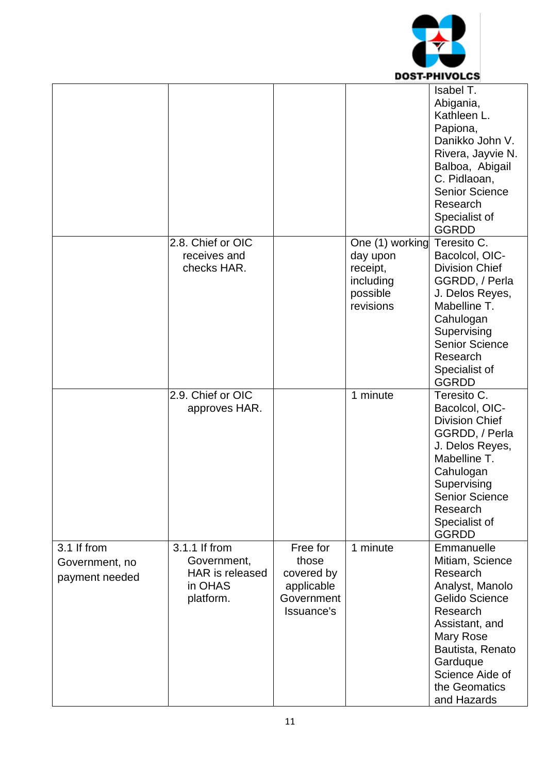

|                                                 |                                                                         |                                                                           |                                                                               | Isabel T.<br>Abigania,<br>Kathleen L.<br>Papiona,<br>Danikko John V.<br>Rivera, Jayvie N.<br>Balboa, Abigail<br>C. Pidlaoan,<br><b>Senior Science</b><br>Research<br>Specialist of<br><b>GGRDD</b>                  |
|-------------------------------------------------|-------------------------------------------------------------------------|---------------------------------------------------------------------------|-------------------------------------------------------------------------------|---------------------------------------------------------------------------------------------------------------------------------------------------------------------------------------------------------------------|
|                                                 | 2.8. Chief or OIC<br>receives and<br>checks HAR.                        |                                                                           | One (1) working<br>day upon<br>receipt,<br>including<br>possible<br>revisions | Teresito C.<br>Bacolcol, OIC-<br><b>Division Chief</b><br>GGRDD, / Perla<br>J. Delos Reyes,<br>Mabelline T.<br>Cahulogan<br>Supervising<br><b>Senior Science</b><br>Research<br>Specialist of<br><b>GGRDD</b>       |
|                                                 | 2.9. Chief or OIC<br>approves HAR.                                      |                                                                           | 1 minute                                                                      | Teresito C.<br>Bacolcol, OIC-<br><b>Division Chief</b><br>GGRDD, / Perla<br>J. Delos Reyes,<br>Mabelline T.<br>Cahulogan<br>Supervising<br><b>Senior Science</b><br>Research<br>Specialist of<br><b>GGRDD</b>       |
| 3.1 If from<br>Government, no<br>payment needed | 3.1.1 If from<br>Government,<br>HAR is released<br>in OHAS<br>platform. | Free for<br>those<br>covered by<br>applicable<br>Government<br>Issuance's | 1 minute                                                                      | Emmanuelle<br>Mitiam, Science<br>Research<br>Analyst, Manolo<br><b>Gelido Science</b><br>Research<br>Assistant, and<br>Mary Rose<br>Bautista, Renato<br>Garduque<br>Science Aide of<br>the Geomatics<br>and Hazards |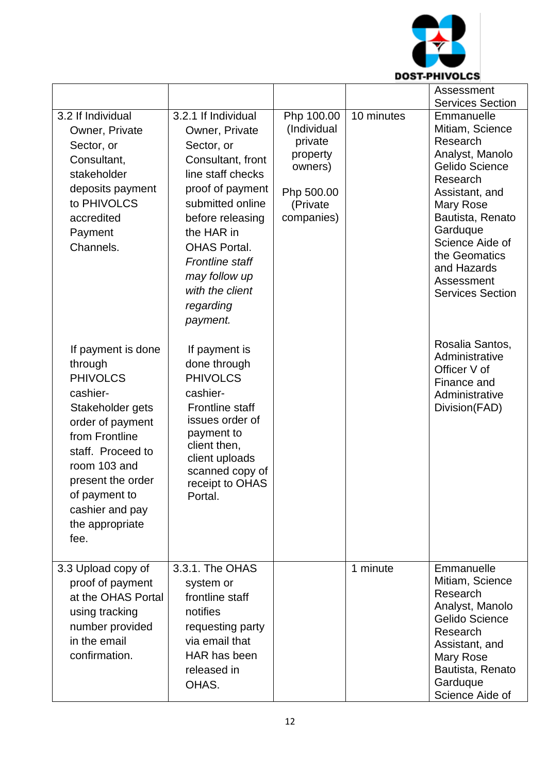

|                                                                                                                                                                                                                                                 |                                                                                                                                                                                                                                                                                       |                                                                                                     |            | Assessment<br><b>Services Section</b>                                                                                                                                                                                                                 |
|-------------------------------------------------------------------------------------------------------------------------------------------------------------------------------------------------------------------------------------------------|---------------------------------------------------------------------------------------------------------------------------------------------------------------------------------------------------------------------------------------------------------------------------------------|-----------------------------------------------------------------------------------------------------|------------|-------------------------------------------------------------------------------------------------------------------------------------------------------------------------------------------------------------------------------------------------------|
| 3.2 If Individual<br>Owner, Private<br>Sector, or<br>Consultant,<br>stakeholder<br>deposits payment<br>to PHIVOLCS<br>accredited<br>Payment<br>Channels.                                                                                        | 3.2.1 If Individual<br>Owner, Private<br>Sector, or<br>Consultant, front<br>line staff checks<br>proof of payment<br>submitted online<br>before releasing<br>the HAR in<br><b>OHAS Portal.</b><br><b>Frontline staff</b><br>may follow up<br>with the client<br>regarding<br>payment. | Php 100.00<br>(Individual<br>private<br>property<br>owners)<br>Php 500.00<br>(Private<br>companies) | 10 minutes | Emmanuelle<br>Mitiam, Science<br>Research<br>Analyst, Manolo<br>Gelido Science<br>Research<br>Assistant, and<br>Mary Rose<br>Bautista, Renato<br>Garduque<br>Science Aide of<br>the Geomatics<br>and Hazards<br>Assessment<br><b>Services Section</b> |
| If payment is done<br>through<br><b>PHIVOLCS</b><br>cashier-<br>Stakeholder gets<br>order of payment<br>from Frontline<br>staff. Proceed to<br>room 103 and<br>present the order<br>of payment to<br>cashier and pay<br>the appropriate<br>fee. | If payment is<br>done through<br><b>PHIVOLCS</b><br>cashier-<br><b>Frontline staff</b><br>issues order of<br>payment to<br>client then,<br>client uploads<br>scanned copy of<br>receipt to OHAS<br>Portal.                                                                            |                                                                                                     |            | Rosalia Santos,<br>Administrative<br>Officer V of<br>Finance and<br>Administrative<br>Division (FAD)                                                                                                                                                  |
| 3.3 Upload copy of<br>proof of payment<br>at the OHAS Portal<br>using tracking<br>number provided<br>in the email<br>confirmation.                                                                                                              | 3.3.1. The OHAS<br>system or<br>frontline staff<br>notifies<br>requesting party<br>via email that<br>HAR has been<br>released in<br>OHAS.                                                                                                                                             |                                                                                                     | 1 minute   | Emmanuelle<br>Mitiam, Science<br>Research<br>Analyst, Manolo<br>Gelido Science<br>Research<br>Assistant, and<br>Mary Rose<br>Bautista, Renato<br>Garduque<br>Science Aide of                                                                          |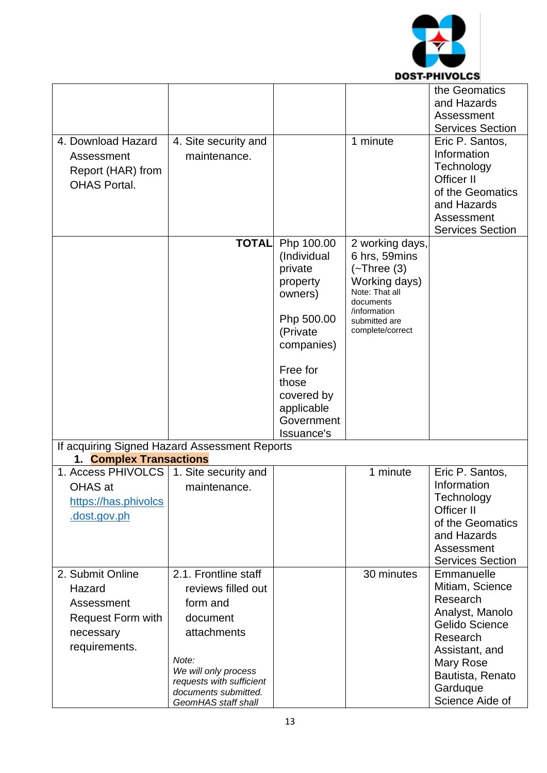

|                                               |                                                  |                          |                                   | the Geomatics                              |
|-----------------------------------------------|--------------------------------------------------|--------------------------|-----------------------------------|--------------------------------------------|
|                                               |                                                  |                          |                                   | and Hazards                                |
|                                               |                                                  |                          |                                   | Assessment                                 |
| 4. Download Hazard                            |                                                  |                          | 1 minute                          | <b>Services Section</b><br>Eric P. Santos, |
| Assessment                                    | 4. Site security and<br>maintenance.             |                          |                                   | Information                                |
|                                               |                                                  |                          |                                   | Technology                                 |
| Report (HAR) from                             |                                                  |                          |                                   | Officer II                                 |
| <b>OHAS Portal.</b>                           |                                                  |                          |                                   | of the Geomatics                           |
|                                               |                                                  |                          |                                   | and Hazards                                |
|                                               |                                                  |                          |                                   | Assessment                                 |
|                                               |                                                  |                          |                                   | <b>Services Section</b>                    |
|                                               | <b>TOTAL</b>                                     | Php 100.00               | 2 working days,                   |                                            |
|                                               |                                                  | (Individual              | 6 hrs, 59mins                     |                                            |
|                                               |                                                  | private<br>property      | $(-$ Three $(3)$<br>Working days) |                                            |
|                                               |                                                  | owners)                  | Note: That all                    |                                            |
|                                               |                                                  |                          | documents                         |                                            |
|                                               |                                                  | Php 500.00               | /information<br>submitted are     |                                            |
|                                               |                                                  | (Private                 | complete/correct                  |                                            |
|                                               |                                                  | companies)               |                                   |                                            |
|                                               |                                                  |                          |                                   |                                            |
|                                               |                                                  | Free for                 |                                   |                                            |
|                                               |                                                  | those                    |                                   |                                            |
|                                               |                                                  | covered by<br>applicable |                                   |                                            |
|                                               |                                                  | Government               |                                   |                                            |
|                                               |                                                  | Issuance's               |                                   |                                            |
| If acquiring Signed Hazard Assessment Reports |                                                  |                          |                                   |                                            |
| 1. Complex Transactions                       |                                                  |                          |                                   |                                            |
| 1. Access PHIVOLCS                            | 1. Site security and                             |                          | 1 minute                          | Eric P. Santos,                            |
| OHAS at                                       | maintenance.                                     |                          |                                   | Information                                |
| https://has.phivolcs                          |                                                  |                          |                                   | Technology                                 |
| .dost.gov.ph                                  |                                                  |                          |                                   | Officer II<br>of the Geomatics             |
|                                               |                                                  |                          |                                   | and Hazards                                |
|                                               |                                                  |                          |                                   | Assessment                                 |
|                                               |                                                  |                          |                                   | <b>Services Section</b>                    |
| 2. Submit Online                              | 2.1. Frontline staff                             |                          | 30 minutes                        | Emmanuelle                                 |
| Hazard                                        | reviews filled out                               |                          |                                   | Mitiam, Science                            |
| Assessment                                    | form and                                         |                          |                                   | Research                                   |
| Request Form with                             | document                                         |                          |                                   | Analyst, Manolo                            |
| necessary                                     | attachments                                      |                          |                                   | <b>Gelido Science</b>                      |
| requirements.                                 |                                                  |                          |                                   | Research                                   |
|                                               | Note:                                            |                          |                                   | Assistant, and<br>Mary Rose                |
|                                               | We will only process                             |                          |                                   |                                            |
|                                               |                                                  |                          |                                   |                                            |
|                                               | requests with sufficient<br>documents submitted. |                          |                                   | Bautista, Renato<br>Garduque               |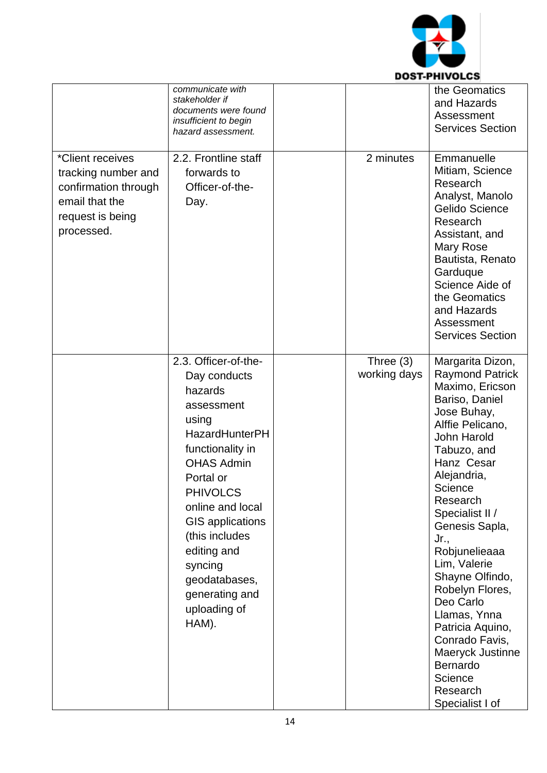

|                                                                                                                     | communicate with<br>stakeholder if<br>documents were found<br>insufficient to begin<br>hazard assessment.                                                                                                                                                                                                                       |                             | the Geomatics<br>and Hazards<br>Assessment<br><b>Services Section</b>                                                                                                                                                                                                                                                                                                                                                                                                               |
|---------------------------------------------------------------------------------------------------------------------|---------------------------------------------------------------------------------------------------------------------------------------------------------------------------------------------------------------------------------------------------------------------------------------------------------------------------------|-----------------------------|-------------------------------------------------------------------------------------------------------------------------------------------------------------------------------------------------------------------------------------------------------------------------------------------------------------------------------------------------------------------------------------------------------------------------------------------------------------------------------------|
| *Client receives<br>tracking number and<br>confirmation through<br>email that the<br>request is being<br>processed. | 2.2. Frontline staff<br>forwards to<br>Officer-of-the-<br>Day.                                                                                                                                                                                                                                                                  | 2 minutes                   | Emmanuelle<br>Mitiam, Science<br>Research<br>Analyst, Manolo<br>Gelido Science<br>Research<br>Assistant, and<br><b>Mary Rose</b><br>Bautista, Renato<br>Garduque<br>Science Aide of<br>the Geomatics<br>and Hazards<br>Assessment<br><b>Services Section</b>                                                                                                                                                                                                                        |
|                                                                                                                     | 2.3. Officer-of-the-<br>Day conducts<br>hazards<br>assessment<br>using<br><b>HazardHunterPH</b><br>functionality in<br><b>OHAS Admin</b><br>Portal or<br><b>PHIVOLCS</b><br>online and local<br><b>GIS applications</b><br>(this includes<br>editing and<br>syncing<br>geodatabases,<br>generating and<br>uploading of<br>HAM). | Three $(3)$<br>working days | Margarita Dizon,<br><b>Raymond Patrick</b><br>Maximo, Ericson<br>Bariso, Daniel<br>Jose Buhay,<br>Alffie Pelicano,<br><b>John Harold</b><br>Tabuzo, and<br>Hanz Cesar<br>Alejandria,<br>Science<br>Research<br>Specialist II /<br>Genesis Sapla,<br>Jr.,<br>Robjunelieaaa<br>Lim, Valerie<br>Shayne Olfindo,<br>Robelyn Flores,<br>Deo Carlo<br>Llamas, Ynna<br>Patricia Aquino,<br>Conrado Favis,<br>Maeryck Justinne<br><b>Bernardo</b><br>Science<br>Research<br>Specialist I of |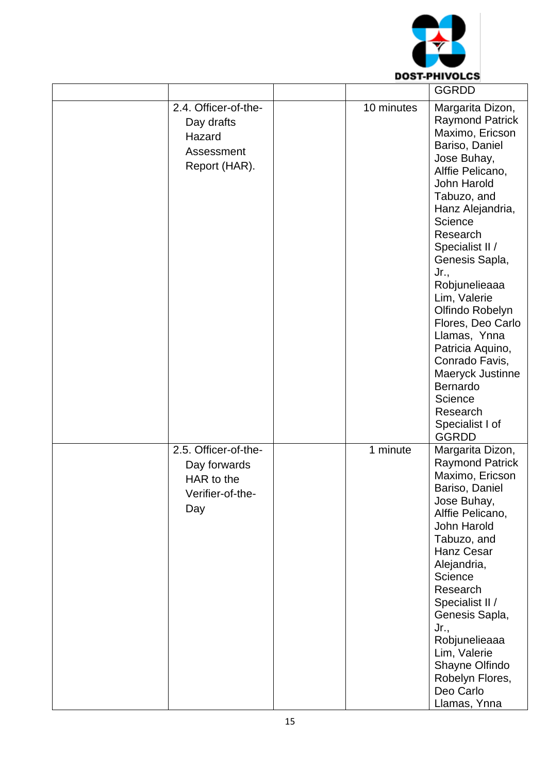

|                                                                               |            | <b>GGRDD</b>                                                                                                                                                                                                                                                                                                                                                                                                                                                      |
|-------------------------------------------------------------------------------|------------|-------------------------------------------------------------------------------------------------------------------------------------------------------------------------------------------------------------------------------------------------------------------------------------------------------------------------------------------------------------------------------------------------------------------------------------------------------------------|
| 2.4. Officer-of-the-<br>Day drafts<br>Hazard<br>Assessment<br>Report (HAR).   | 10 minutes | Margarita Dizon,<br><b>Raymond Patrick</b><br>Maximo, Ericson<br>Bariso, Daniel<br>Jose Buhay,<br>Alffie Pelicano,<br>John Harold<br>Tabuzo, and<br>Hanz Alejandria,<br>Science<br>Research<br>Specialist II /<br>Genesis Sapla,<br>Jr.,<br>Robjunelieaaa<br>Lim, Valerie<br>Olfindo Robelyn<br>Flores, Deo Carlo<br>Llamas, Ynna<br>Patricia Aquino,<br>Conrado Favis,<br>Maeryck Justinne<br>Bernardo<br>Science<br>Research<br>Specialist I of<br><b>GGRDD</b> |
| 2.5. Officer-of-the-<br>Day forwards<br>HAR to the<br>Verifier-of-the-<br>Day | 1 minute   | Margarita Dizon,<br><b>Raymond Patrick</b><br>Maximo, Ericson<br>Bariso, Daniel<br>Jose Buhay,<br>Alffie Pelicano,<br>John Harold<br>Tabuzo, and<br>Hanz Cesar<br>Alejandria,<br>Science<br>Research<br>Specialist II /<br>Genesis Sapla,<br>$Jr_{\cdot}$<br>Robjunelieaaa<br>Lim, Valerie<br>Shayne Olfindo<br>Robelyn Flores,<br>Deo Carlo<br>Llamas, Ynna                                                                                                      |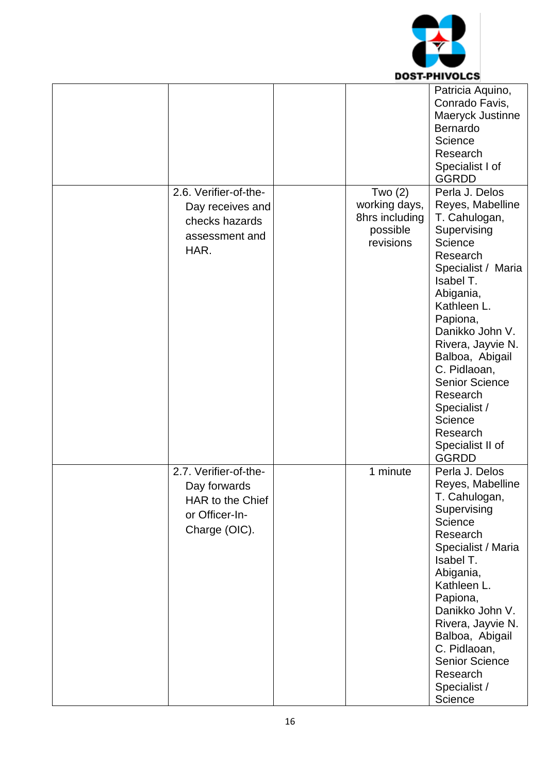

|                       |                | UJI-FIIIVULUJ         |
|-----------------------|----------------|-----------------------|
|                       |                | Patricia Aquino,      |
|                       |                | Conrado Favis,        |
|                       |                | Maeryck Justinne      |
|                       |                | Bernardo              |
|                       |                | Science               |
|                       |                | Research              |
|                       |                | Specialist I of       |
|                       |                | <b>GGRDD</b>          |
| 2.6. Verifier-of-the- | Two $(2)$      | Perla J. Delos        |
|                       | working days,  | Reyes, Mabelline      |
| Day receives and      | 8hrs including | T. Cahulogan,         |
| checks hazards        | possible       | Supervising           |
| assessment and        | revisions      | Science               |
| HAR.                  |                | Research              |
|                       |                |                       |
|                       |                | Specialist / Maria    |
|                       |                | Isabel T.             |
|                       |                | Abigania,             |
|                       |                | Kathleen L.           |
|                       |                | Papiona,              |
|                       |                | Danikko John V.       |
|                       |                | Rivera, Jayvie N.     |
|                       |                | Balboa, Abigail       |
|                       |                | C. Pidlaoan,          |
|                       |                | <b>Senior Science</b> |
|                       |                | Research              |
|                       |                | Specialist /          |
|                       |                | Science               |
|                       |                | Research              |
|                       |                | Specialist II of      |
|                       |                | <b>GGRDD</b>          |
| 2.7. Verifier-of-the- | 1 minute       | Perla J. Delos        |
|                       |                | Reyes, Mabelline      |
| Day forwards          |                | T. Cahulogan,         |
| HAR to the Chief      |                | Supervising           |
| or Officer-In-        |                | Science               |
| Charge (OIC).         |                |                       |
|                       |                | Research              |
|                       |                | Specialist / Maria    |
|                       |                | Isabel T.             |
|                       |                | Abigania,             |
|                       |                | Kathleen L.           |
|                       |                | Papiona,              |
|                       |                | Danikko John V.       |
|                       |                | Rivera, Jayvie N.     |
|                       |                | Balboa, Abigail       |
|                       |                | C. Pidlaoan,          |
|                       |                | <b>Senior Science</b> |
|                       |                | Research              |
|                       |                | Specialist /          |
|                       |                | Science               |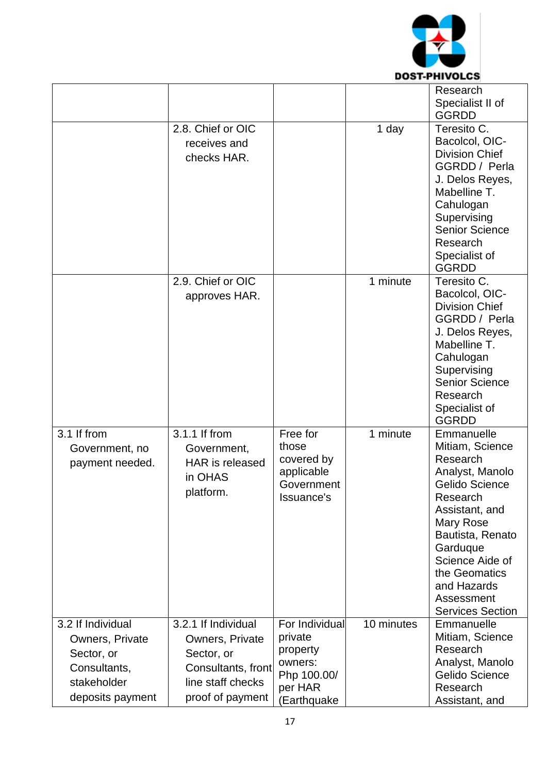

|                                                  |                                                                                |                                                                           |            | Research<br>Specialist II of<br><b>GGRDD</b>                                                                                                                                                                                                                 |
|--------------------------------------------------|--------------------------------------------------------------------------------|---------------------------------------------------------------------------|------------|--------------------------------------------------------------------------------------------------------------------------------------------------------------------------------------------------------------------------------------------------------------|
|                                                  | 2.8. Chief or OIC<br>receives and<br>checks HAR.                               |                                                                           | 1 day      | Teresito C.<br>Bacolcol, OIC-<br><b>Division Chief</b><br>GGRDD / Perla<br>J. Delos Reyes,<br>Mabelline T.<br>Cahulogan<br>Supervising<br><b>Senior Science</b><br>Research                                                                                  |
|                                                  | 2.9. Chief or OIC                                                              |                                                                           | 1 minute   | Specialist of<br><b>GGRDD</b><br>Teresito C.                                                                                                                                                                                                                 |
|                                                  | approves HAR.                                                                  |                                                                           |            | Bacolcol, OIC-<br><b>Division Chief</b><br>GGRDD / Perla<br>J. Delos Reyes,<br>Mabelline T.<br>Cahulogan<br>Supervising<br><b>Senior Science</b><br>Research<br>Specialist of<br><b>GGRDD</b>                                                                |
| 3.1 If from<br>Government, no<br>payment needed. | 3.1.1 If from<br>Government,<br><b>HAR</b> is released<br>in OHAS<br>platform. | Free for<br>those<br>covered by<br>applicable<br>Government<br>Issuance's | 1 minute   | Emmanuelle<br>Mitiam, Science<br>Research<br>Analyst, Manolo<br>Gelido Science<br>Research<br>Assistant, and<br><b>Mary Rose</b><br>Bautista, Renato<br>Garduque<br>Science Aide of<br>the Geomatics<br>and Hazards<br>Assessment<br><b>Services Section</b> |
| 3.2 If Individual                                | 3.2.1 If Individual                                                            | For Individual                                                            | 10 minutes | Emmanuelle                                                                                                                                                                                                                                                   |
| Owners, Private                                  | Owners, Private                                                                | private                                                                   |            | Mitiam, Science                                                                                                                                                                                                                                              |
| Sector, or                                       | Sector, or                                                                     | property<br>owners:                                                       |            | Research<br>Analyst, Manolo                                                                                                                                                                                                                                  |
| Consultants,                                     | Consultants, front                                                             | Php 100.00/                                                               |            | Gelido Science                                                                                                                                                                                                                                               |
| stakeholder                                      | line staff checks                                                              | per HAR                                                                   |            | Research                                                                                                                                                                                                                                                     |
| deposits payment                                 | proof of payment                                                               | (Earthquake                                                               |            | Assistant, and                                                                                                                                                                                                                                               |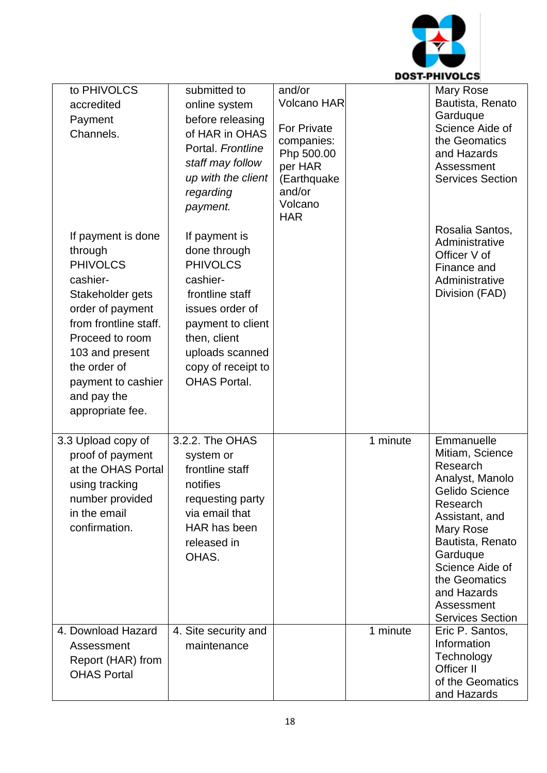

-

|                                                                                                                                                                                                                                              |                                                                                                                                                                                                         |                                                                                                                                      |          | DUJI-FNIVULUJ                                                                                                                                                                                                                                         |
|----------------------------------------------------------------------------------------------------------------------------------------------------------------------------------------------------------------------------------------------|---------------------------------------------------------------------------------------------------------------------------------------------------------------------------------------------------------|--------------------------------------------------------------------------------------------------------------------------------------|----------|-------------------------------------------------------------------------------------------------------------------------------------------------------------------------------------------------------------------------------------------------------|
| to PHIVOLCS<br>accredited<br>Payment<br>Channels.                                                                                                                                                                                            | submitted to<br>online system<br>before releasing<br>of HAR in OHAS<br>Portal. Frontline<br>staff may follow<br>up with the client<br>regarding<br>payment.                                             | and/or<br>Volcano HAR<br><b>For Private</b><br>companies:<br>Php 500.00<br>per HAR<br>(Earthquake<br>and/or<br>Volcano<br><b>HAR</b> |          | Mary Rose<br>Bautista, Renato<br>Garduque<br>Science Aide of<br>the Geomatics<br>and Hazards<br>Assessment<br><b>Services Section</b>                                                                                                                 |
| If payment is done<br>through<br><b>PHIVOLCS</b><br>cashier-<br>Stakeholder gets<br>order of payment<br>from frontline staff.<br>Proceed to room<br>103 and present<br>the order of<br>payment to cashier<br>and pay the<br>appropriate fee. | If payment is<br>done through<br><b>PHIVOLCS</b><br>cashier-<br>frontline staff<br>issues order of<br>payment to client<br>then, client<br>uploads scanned<br>copy of receipt to<br><b>OHAS Portal.</b> |                                                                                                                                      |          | Rosalia Santos,<br>Administrative<br>Officer V of<br>Finance and<br>Administrative<br>Division (FAD)                                                                                                                                                  |
| 3.3 Upload copy of<br>proof of payment<br>at the OHAS Portal<br>using tracking<br>number provided<br>in the email<br>confirmation.                                                                                                           | 3.2.2. The OHAS<br>system or<br>frontline staff<br>notifies<br>requesting party<br>via email that<br>HAR has been<br>released in<br>OHAS.                                                               |                                                                                                                                      | 1 minute | Emmanuelle<br>Mitiam, Science<br>Research<br>Analyst, Manolo<br>Gelido Science<br>Research<br>Assistant, and<br>Mary Rose<br>Bautista, Renato<br>Garduque<br>Science Aide of<br>the Geomatics<br>and Hazards<br>Assessment<br><b>Services Section</b> |
| 4. Download Hazard<br>Assessment<br>Report (HAR) from<br><b>OHAS Portal</b>                                                                                                                                                                  | 4. Site security and<br>maintenance                                                                                                                                                                     |                                                                                                                                      | 1 minute | Eric P. Santos,<br>Information<br>Technology<br>Officer II<br>of the Geomatics<br>and Hazards                                                                                                                                                         |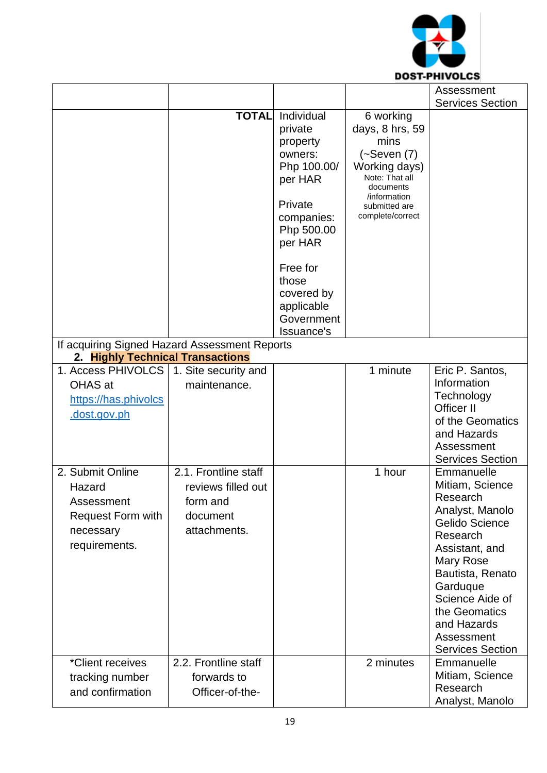

|                                                                                                    |                                                                                    |                                                                                                                                                                                                       |                                                                                                                                                               | Assessment                                                                                                                                                                                                                                            |
|----------------------------------------------------------------------------------------------------|------------------------------------------------------------------------------------|-------------------------------------------------------------------------------------------------------------------------------------------------------------------------------------------------------|---------------------------------------------------------------------------------------------------------------------------------------------------------------|-------------------------------------------------------------------------------------------------------------------------------------------------------------------------------------------------------------------------------------------------------|
|                                                                                                    |                                                                                    |                                                                                                                                                                                                       |                                                                                                                                                               | <b>Services Section</b>                                                                                                                                                                                                                               |
|                                                                                                    | <b>TOTAL</b>                                                                       | Individual<br>private<br>property<br>owners:<br>Php 100.00/<br>per HAR<br>Private<br>companies:<br>Php 500.00<br>per HAR<br>Free for<br>those<br>covered by<br>applicable<br>Government<br>Issuance's | 6 working<br>days, 8 hrs, 59<br>mins<br>$(-S$ even $(7)$<br>Working days)<br>Note: That all<br>documents<br>/information<br>submitted are<br>complete/correct |                                                                                                                                                                                                                                                       |
| If acquiring Signed Hazard Assessment Reports                                                      |                                                                                    |                                                                                                                                                                                                       |                                                                                                                                                               |                                                                                                                                                                                                                                                       |
| 2. Highly Technical Transactions                                                                   |                                                                                    |                                                                                                                                                                                                       |                                                                                                                                                               |                                                                                                                                                                                                                                                       |
| 1. Access PHIVOLCS<br>OHAS at<br>https://has.phivolcs<br>.dost.gov.ph                              | 1. Site security and<br>maintenance.                                               |                                                                                                                                                                                                       | 1 minute                                                                                                                                                      | Eric P. Santos,<br>Information<br>Technology<br>Officer II<br>of the Geomatics<br>and Hazards<br>Assessment<br><b>Services Section</b>                                                                                                                |
| 2. Submit Online<br>Hazard<br>Assessment<br><b>Request Form with</b><br>necessary<br>requirements. | 2.1. Frontline staff<br>reviews filled out<br>form and<br>document<br>attachments. |                                                                                                                                                                                                       | 1 hour                                                                                                                                                        | Emmanuelle<br>Mitiam, Science<br>Research<br>Analyst, Manolo<br>Gelido Science<br>Research<br>Assistant, and<br>Mary Rose<br>Bautista, Renato<br>Garduque<br>Science Aide of<br>the Geomatics<br>and Hazards<br>Assessment<br><b>Services Section</b> |
| *Client receives<br>tracking number<br>and confirmation                                            | 2.2. Frontline staff<br>forwards to<br>Officer-of-the-                             |                                                                                                                                                                                                       | 2 minutes                                                                                                                                                     | Emmanuelle<br>Mitiam, Science<br>Research<br>Analyst, Manolo                                                                                                                                                                                          |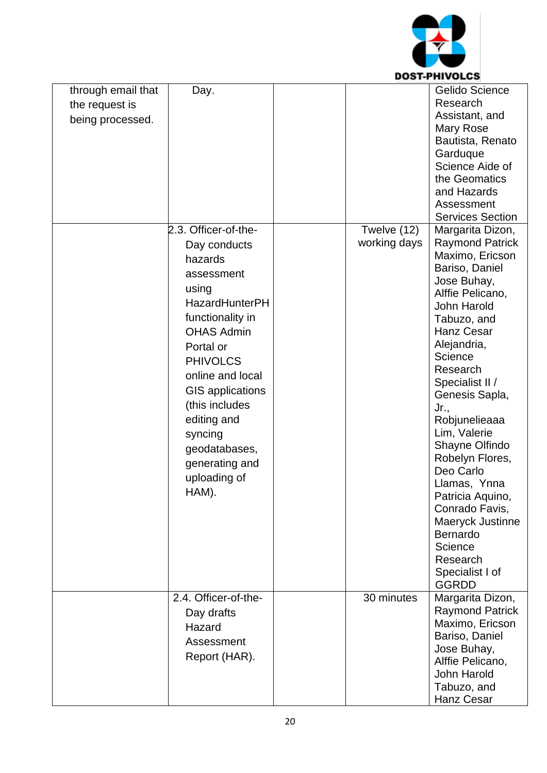

|                                                          |                                                                                                                                                                                                                                                                                                                                 |                             | UJI-FNIVULUJ                                                                                                                                                                                                                                                                                                                                                                                                                                                                                              |
|----------------------------------------------------------|---------------------------------------------------------------------------------------------------------------------------------------------------------------------------------------------------------------------------------------------------------------------------------------------------------------------------------|-----------------------------|-----------------------------------------------------------------------------------------------------------------------------------------------------------------------------------------------------------------------------------------------------------------------------------------------------------------------------------------------------------------------------------------------------------------------------------------------------------------------------------------------------------|
| through email that<br>the request is<br>being processed. | Day.                                                                                                                                                                                                                                                                                                                            |                             | Gelido Science<br>Research<br>Assistant, and<br>Mary Rose<br>Bautista, Renato<br>Garduque<br>Science Aide of<br>the Geomatics<br>and Hazards<br>Assessment<br><b>Services Section</b>                                                                                                                                                                                                                                                                                                                     |
|                                                          | 2.3. Officer-of-the-<br>Day conducts<br>hazards<br>assessment<br>using<br><b>HazardHunterPH</b><br>functionality in<br><b>OHAS Admin</b><br>Portal or<br><b>PHIVOLCS</b><br>online and local<br><b>GIS</b> applications<br>(this includes<br>editing and<br>syncing<br>geodatabases,<br>generating and<br>uploading of<br>HAM). | Twelve (12)<br>working days | Margarita Dizon,<br><b>Raymond Patrick</b><br>Maximo, Ericson<br>Bariso, Daniel<br>Jose Buhay,<br>Alffie Pelicano,<br><b>John Harold</b><br>Tabuzo, and<br><b>Hanz Cesar</b><br>Alejandria,<br>Science<br>Research<br>Specialist II /<br>Genesis Sapla,<br>Jr.,<br>Robjunelieaaa<br>Lim, Valerie<br>Shayne Olfindo<br>Robelyn Flores,<br>Deo Carlo<br>Llamas, Ynna<br>Patricia Aquino,<br>Conrado Favis,<br>Maeryck Justinne<br><b>Bernardo</b><br>Science<br>Research<br>Specialist I of<br><b>GGRDD</b> |
|                                                          | 2.4. Officer-of-the-<br>Day drafts<br>Hazard<br>Assessment<br>Report (HAR).                                                                                                                                                                                                                                                     | 30 minutes                  | Margarita Dizon,<br><b>Raymond Patrick</b><br>Maximo, Ericson<br>Bariso, Daniel<br>Jose Buhay,<br>Alffie Pelicano,<br><b>John Harold</b><br>Tabuzo, and<br>Hanz Cesar                                                                                                                                                                                                                                                                                                                                     |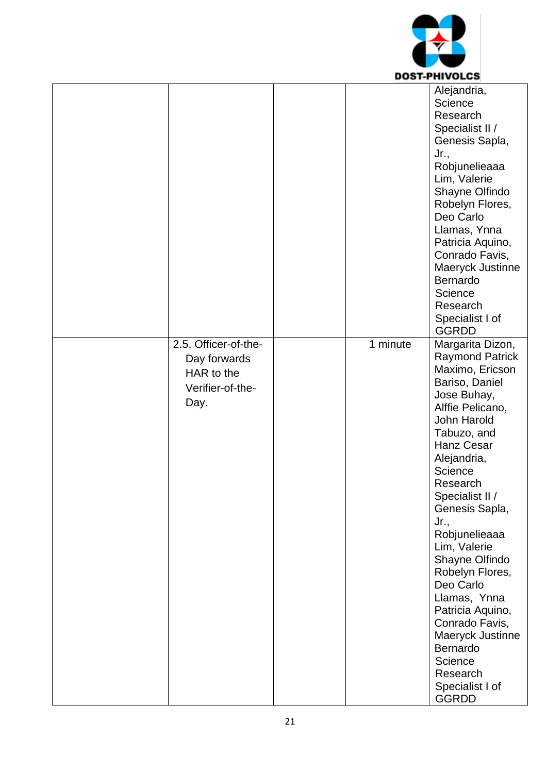

|                                                                                |          | Alejandria,<br>Science<br>Research<br>Specialist II /<br>Genesis Sapla,<br>Jr.,<br>Robjunelieaaa<br>Lim, Valerie<br>Shayne Olfindo<br>Robelyn Flores,<br>Deo Carlo<br>Llamas, Ynna<br>Patricia Aquino,<br>Conrado Favis,<br>Maeryck Justinne<br>Bernardo<br>Science<br>Research<br>Specialist I of<br><b>GGRDD</b>                                                                                                                                                                          |
|--------------------------------------------------------------------------------|----------|---------------------------------------------------------------------------------------------------------------------------------------------------------------------------------------------------------------------------------------------------------------------------------------------------------------------------------------------------------------------------------------------------------------------------------------------------------------------------------------------|
| 2.5. Officer-of-the-<br>Day forwards<br>HAR to the<br>Verifier-of-the-<br>Day. | 1 minute | Margarita Dizon,<br><b>Raymond Patrick</b><br>Maximo, Ericson<br>Bariso, Daniel<br>Jose Buhay,<br>Alffie Pelicano,<br>John Harold<br>Tabuzo, and<br><b>Hanz Cesar</b><br>Alejandria,<br>Science<br>Research<br>Specialist II /<br>Genesis Sapla,<br>Jr.,<br>Robjunelieaaa<br>Lim, Valerie<br>Shayne Olfindo<br>Robelyn Flores,<br>Deo Carlo<br>Llamas, Ynna<br>Patricia Aquino,<br>Conrado Favis,<br>Maeryck Justinne<br>Bernardo<br>Science<br>Research<br>Specialist I of<br><b>GGRDD</b> |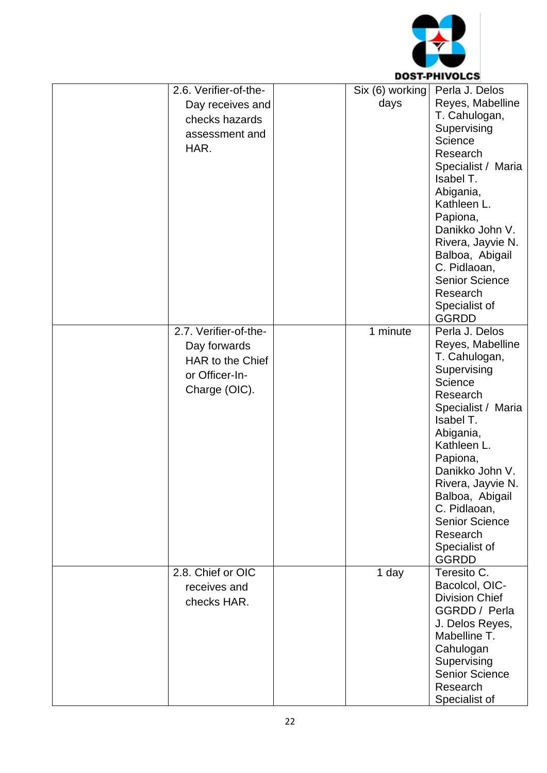

|                                                                                              |                         | DUSI-FNIVULLS                                                                                                                                                                                                                                                                                                         |
|----------------------------------------------------------------------------------------------|-------------------------|-----------------------------------------------------------------------------------------------------------------------------------------------------------------------------------------------------------------------------------------------------------------------------------------------------------------------|
| 2.6. Verifier-of-the-<br>Day receives and<br>checks hazards<br>assessment and<br>HAR.        | Six (6) working<br>days | Perla J. Delos<br>Reyes, Mabelline<br>T. Cahulogan,<br>Supervising<br>Science<br>Research<br>Specialist / Maria<br>Isabel T.<br>Abigania,<br>Kathleen L.<br>Papiona,<br>Danikko John V.<br>Rivera, Jayvie N.<br>Balboa, Abigail<br>C. Pidlaoan,<br><b>Senior Science</b><br>Research<br>Specialist of<br><b>GGRDD</b> |
| 2.7. Verifier-of-the-<br>Day forwards<br>HAR to the Chief<br>or Officer-In-<br>Charge (OIC). | 1 minute                | Perla J. Delos<br>Reyes, Mabelline<br>T. Cahulogan,<br>Supervising<br>Science<br>Research<br>Specialist / Maria<br>Isabel T.<br>Abigania,<br>Kathleen L.<br>Papiona,<br>Danikko John V.<br>Rivera, Jayvie N.<br>Balboa, Abigail<br>C. Pidlaoan,<br><b>Senior Science</b><br>Research<br>Specialist of<br><b>GGRDD</b> |
| 2.8. Chief or OIC<br>receives and<br>checks HAR.                                             | 1 day                   | Teresito C.<br>Bacolcol, OIC-<br><b>Division Chief</b><br>GGRDD / Perla<br>J. Delos Reyes,<br>Mabelline T.<br>Cahulogan<br>Supervising<br><b>Senior Science</b><br>Research<br>Specialist of                                                                                                                          |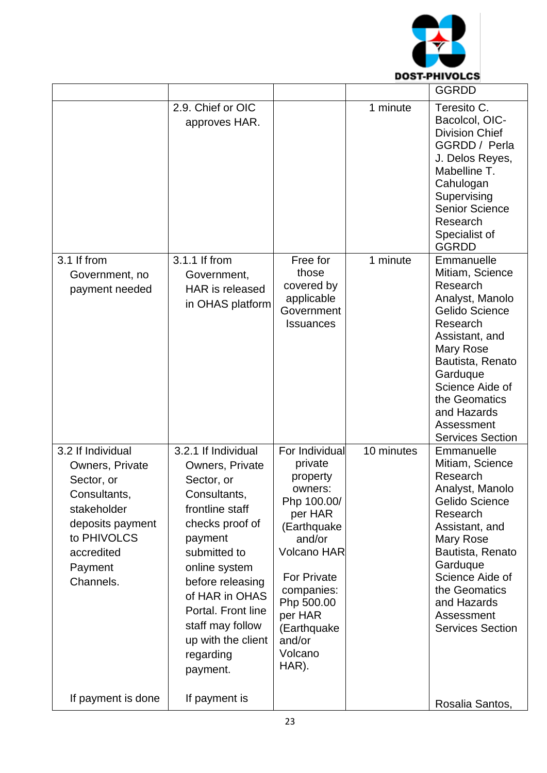

|                                                                                                                                                            |                                                                                                                                                                                                                                                                                       |                                                                                                                                                                                                                                     |            | <b>GGRDD</b>                                                                                                                                                                                                                                                 |
|------------------------------------------------------------------------------------------------------------------------------------------------------------|---------------------------------------------------------------------------------------------------------------------------------------------------------------------------------------------------------------------------------------------------------------------------------------|-------------------------------------------------------------------------------------------------------------------------------------------------------------------------------------------------------------------------------------|------------|--------------------------------------------------------------------------------------------------------------------------------------------------------------------------------------------------------------------------------------------------------------|
|                                                                                                                                                            | 2.9. Chief or OIC<br>approves HAR.                                                                                                                                                                                                                                                    |                                                                                                                                                                                                                                     | 1 minute   | Teresito C.<br>Bacolcol, OIC-<br><b>Division Chief</b><br>GGRDD / Perla<br>J. Delos Reyes,<br>Mabelline T.<br>Cahulogan<br>Supervising<br><b>Senior Science</b><br>Research<br>Specialist of<br><b>GGRDD</b>                                                 |
| 3.1 If from<br>Government, no<br>payment needed                                                                                                            | 3.1.1 If from<br>Government,<br><b>HAR</b> is released<br>in OHAS platform                                                                                                                                                                                                            | Free for<br>those<br>covered by<br>applicable<br>Government<br><b>Issuances</b>                                                                                                                                                     | 1 minute   | Emmanuelle<br>Mitiam, Science<br>Research<br>Analyst, Manolo<br><b>Gelido Science</b><br>Research<br>Assistant, and<br>Mary Rose<br>Bautista, Renato<br>Garduque<br>Science Aide of<br>the Geomatics<br>and Hazards<br>Assessment<br><b>Services Section</b> |
| 3.2 If Individual<br>Owners, Private<br>Sector, or<br>Consultants,<br>stakeholder<br>deposits payment<br>to PHIVOLCS<br>accredited<br>Payment<br>Channels. | 3.2.1 If Individual<br>Owners, Private<br>Sector, or<br>Consultants,<br>frontline staff<br>checks proof of<br>payment<br>submitted to<br>online system<br>before releasing<br>of HAR in OHAS<br>Portal. Front line<br>staff may follow<br>up with the client<br>regarding<br>payment. | For Individual<br>private<br>property<br>owners:<br>Php 100.00/<br>per HAR<br>(Earthquake<br>and/or<br><b>Volcano HAR</b><br><b>For Private</b><br>companies:<br>Php 500.00<br>per HAR<br>(Earthquake<br>and/or<br>Volcano<br>HAR). | 10 minutes | Emmanuelle<br>Mitiam, Science<br>Research<br>Analyst, Manolo<br>Gelido Science<br>Research<br>Assistant, and<br>Mary Rose<br>Bautista, Renato<br>Garduque<br>Science Aide of<br>the Geomatics<br>and Hazards<br>Assessment<br><b>Services Section</b>        |
| If payment is done                                                                                                                                         | If payment is                                                                                                                                                                                                                                                                         |                                                                                                                                                                                                                                     |            | Rosalia Santos,                                                                                                                                                                                                                                              |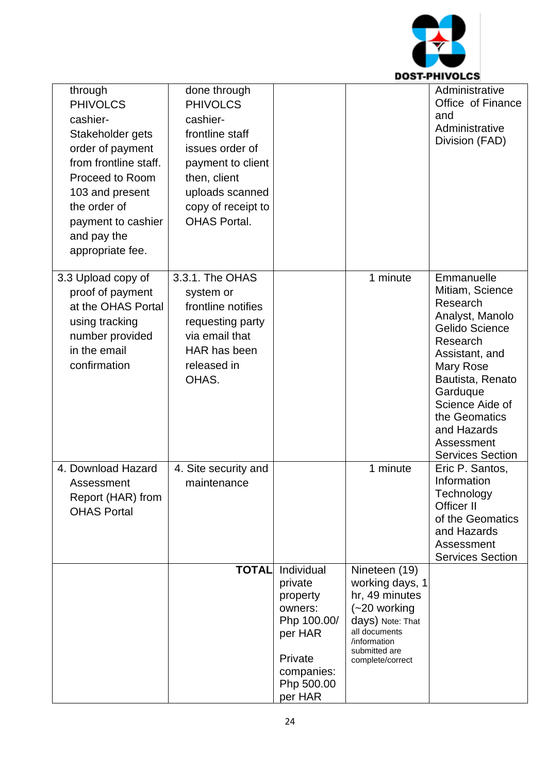

| through<br><b>PHIVOLCS</b><br>cashier-<br>Stakeholder gets<br>order of payment<br>from frontline staff.<br>Proceed to Room<br>103 and present<br>the order of<br>payment to cashier<br>and pay the<br>appropriate fee. | done through<br><b>PHIVOLCS</b><br>cashier-<br>frontline staff<br>issues order of<br>payment to client<br>then, client<br>uploads scanned<br>copy of receipt to<br><b>OHAS Portal.</b> |                                                                                                                          |                                                                                                                                                                | Administrative<br>Office of Finance<br>and<br>Administrative<br>Division (FAD)                                                                                                                                                                        |
|------------------------------------------------------------------------------------------------------------------------------------------------------------------------------------------------------------------------|----------------------------------------------------------------------------------------------------------------------------------------------------------------------------------------|--------------------------------------------------------------------------------------------------------------------------|----------------------------------------------------------------------------------------------------------------------------------------------------------------|-------------------------------------------------------------------------------------------------------------------------------------------------------------------------------------------------------------------------------------------------------|
| 3.3 Upload copy of<br>proof of payment<br>at the OHAS Portal<br>using tracking<br>number provided<br>in the email<br>confirmation                                                                                      | 3.3.1. The OHAS<br>system or<br>frontline notifies<br>requesting party<br>via email that<br>HAR has been<br>released in<br>OHAS.                                                       |                                                                                                                          | 1 minute                                                                                                                                                       | Emmanuelle<br>Mitiam, Science<br>Research<br>Analyst, Manolo<br>Gelido Science<br>Research<br>Assistant, and<br>Mary Rose<br>Bautista, Renato<br>Garduque<br>Science Aide of<br>the Geomatics<br>and Hazards<br>Assessment<br><b>Services Section</b> |
| 4. Download Hazard<br>Assessment<br>Report (HAR) from<br><b>OHAS Portal</b>                                                                                                                                            | 4. Site security and<br>maintenance                                                                                                                                                    |                                                                                                                          | 1 minute                                                                                                                                                       | Eric P. Santos.<br>Information<br>Technology<br>Officer II<br>of the Geomatics<br>and Hazards<br>Assessment<br><b>Services Section</b>                                                                                                                |
|                                                                                                                                                                                                                        | <b>TOTAL</b>                                                                                                                                                                           | Individual<br>private<br>property<br>owners:<br>Php 100.00/<br>per HAR<br>Private<br>companies:<br>Php 500.00<br>per HAR | Nineteen (19)<br>working days, 1<br>hr, 49 minutes<br>$(-20$ working<br>days) Note: That<br>all documents<br>/information<br>submitted are<br>complete/correct |                                                                                                                                                                                                                                                       |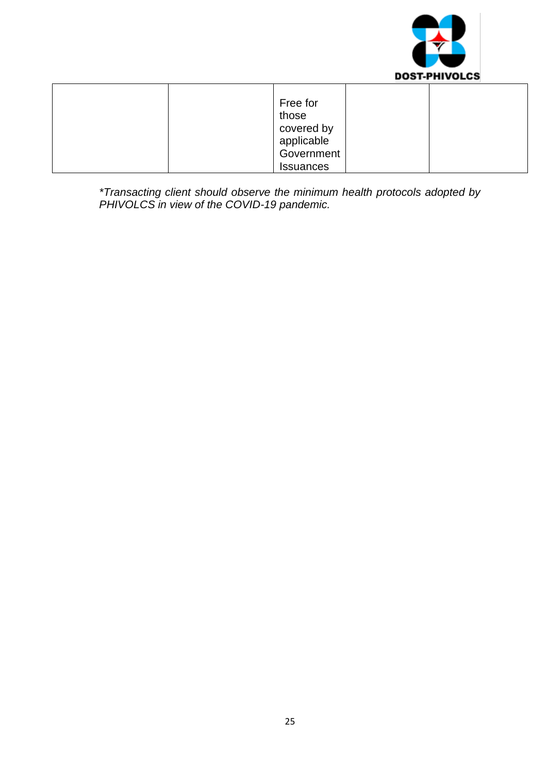

| Free for         |  |
|------------------|--|
| those            |  |
| covered by       |  |
| applicable       |  |
| Government       |  |
| <b>Issuances</b> |  |

*\*Transacting client should observe the minimum health protocols adopted by PHIVOLCS in view of the COVID-19 pandemic.*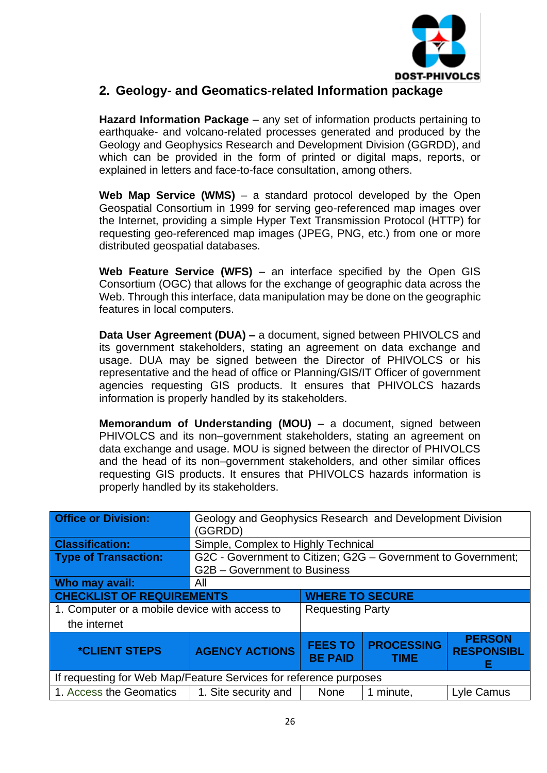

### **2. Geology- and Geomatics-related Information package**

**Hazard Information Package** – any set of information products pertaining to earthquake- and volcano-related processes generated and produced by the Geology and Geophysics Research and Development Division (GGRDD), and which can be provided in the form of printed or digital maps, reports, or explained in letters and face-to-face consultation, among others.

**Web Map Service (WMS)** – a standard protocol developed by the Open Geospatial Consortium in 1999 for serving geo-referenced map images over the Internet, providing a simple Hyper Text Transmission Protocol (HTTP) for requesting geo-referenced map images (JPEG, PNG, etc.) from one or more distributed geospatial databases.

**Web Feature Service (WFS)** – an interface specified by the Open GIS Consortium (OGC) that allows for the exchange of geographic data across the Web. Through this interface, data manipulation may be done on the geographic features in local computers.

**Data User Agreement (DUA) –** a document, signed between PHIVOLCS and its government stakeholders, stating an agreement on data exchange and usage. DUA may be signed between the Director of PHIVOLCS or his representative and the head of office or Planning/GIS/IT Officer of government agencies requesting GIS products. It ensures that PHIVOLCS hazards information is properly handled by its stakeholders.

**Memorandum of Understanding (MOU)** – a document, signed between PHIVOLCS and its non–government stakeholders, stating an agreement on data exchange and usage. MOU is signed between the director of PHIVOLCS and the head of its non–government stakeholders, and other similar offices requesting GIS products. It ensures that PHIVOLCS hazards information is properly handled by its stakeholders.

| <b>Office or Division:</b>                                        | Geology and Geophysics Research and Development Division<br>(GGRDD) |                                                                                                                 |           |            |
|-------------------------------------------------------------------|---------------------------------------------------------------------|-----------------------------------------------------------------------------------------------------------------|-----------|------------|
| <b>Classification:</b>                                            | Simple, Complex to Highly Technical                                 |                                                                                                                 |           |            |
| <b>Type of Transaction:</b>                                       | G2C - Government to Citizen; G2G - Government to Government;        |                                                                                                                 |           |            |
|                                                                   | G2B - Government to Business                                        |                                                                                                                 |           |            |
| Who may avail:                                                    | All                                                                 |                                                                                                                 |           |            |
|                                                                   | <b>CHECKLIST OF REQUIREMENTS</b><br><b>WHERE TO SECURE</b>          |                                                                                                                 |           |            |
| 1. Computer or a mobile device with access to<br>the internet     |                                                                     | <b>Requesting Party</b>                                                                                         |           |            |
| <i><b>*CLIENT STEPS</b></i>                                       | <b>AGENCY ACTIONS</b>                                               | <b>PERSON</b><br><b>PROCESSING</b><br><b>FEES TO</b><br><b>RESPONSIBL</b><br><b>BE PAID</b><br><b>TIME</b><br>F |           |            |
| If requesting for Web Map/Feature Services for reference purposes |                                                                     |                                                                                                                 |           |            |
| 1. Access the Geomatics                                           | 1. Site security and                                                | <b>None</b>                                                                                                     | 1 minute, | Lyle Camus |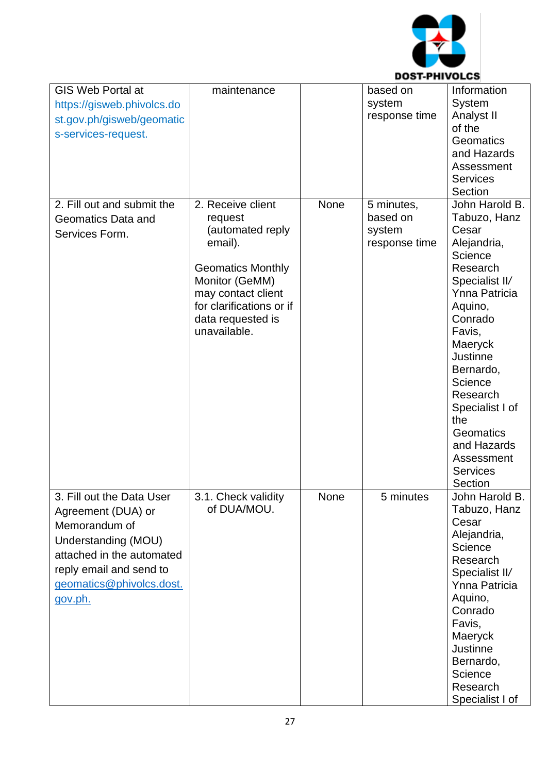

| <b>GIS Web Portal at</b>   | maintenance              |      | based on      | Information          |
|----------------------------|--------------------------|------|---------------|----------------------|
| https://gisweb.phivolcs.do |                          |      | system        | <b>System</b>        |
| st.gov.ph/gisweb/geomatic  |                          |      | response time | Analyst II           |
| s-services-request.        |                          |      |               | of the               |
|                            |                          |      |               | <b>Geomatics</b>     |
|                            |                          |      |               | and Hazards          |
|                            |                          |      |               | Assessment           |
|                            |                          |      |               | <b>Services</b>      |
|                            |                          |      |               | Section              |
| 2. Fill out and submit the | 2. Receive client        | None | 5 minutes,    | John Harold B.       |
| <b>Geomatics Data and</b>  | request                  |      | based on      | Tabuzo, Hanz         |
|                            | (automated reply         |      | system        | Cesar                |
| Services Form.             | email).                  |      | response time | Alejandria,          |
|                            |                          |      |               | Science              |
|                            | <b>Geomatics Monthly</b> |      |               | Research             |
|                            |                          |      |               | Specialist II/       |
|                            | Monitor (GeMM)           |      |               |                      |
|                            | may contact client       |      |               | <b>Ynna Patricia</b> |
|                            | for clarifications or if |      |               | Aquino,              |
|                            | data requested is        |      |               | Conrado              |
|                            | unavailable.             |      |               | Favis,               |
|                            |                          |      |               | Maeryck              |
|                            |                          |      |               | <b>Justinne</b>      |
|                            |                          |      |               | Bernardo,            |
|                            |                          |      |               | Science              |
|                            |                          |      |               | Research             |
|                            |                          |      |               | Specialist I of      |
|                            |                          |      |               | the                  |
|                            |                          |      |               | Geomatics            |
|                            |                          |      |               | and Hazards          |
|                            |                          |      |               | Assessment           |
|                            |                          |      |               | <b>Services</b>      |
|                            |                          |      |               | Section              |
| 3. Fill out the Data User  | 3.1. Check validity      | None | 5 minutes     | John Harold B.       |
| Agreement (DUA) or         | of DUA/MOU.              |      |               | Tabuzo, Hanz         |
|                            |                          |      |               | Cesar                |
| Memorandum of              |                          |      |               | Alejandria,          |
| Understanding (MOU)        |                          |      |               | Science              |
| attached in the automated  |                          |      |               | Research             |
| reply email and send to    |                          |      |               | Specialist II/       |
| geomatics@phivolcs.dost.   |                          |      |               | Ynna Patricia        |
|                            |                          |      |               | Aquino,              |
| gov.ph.                    |                          |      |               | Conrado              |
|                            |                          |      |               |                      |
|                            |                          |      |               | Favis,               |
|                            |                          |      |               | Maeryck              |
|                            |                          |      |               | <b>Justinne</b>      |
|                            |                          |      |               | Bernardo,            |
|                            |                          |      |               | Science              |
|                            |                          |      |               | Research             |
|                            |                          |      |               | Specialist I of      |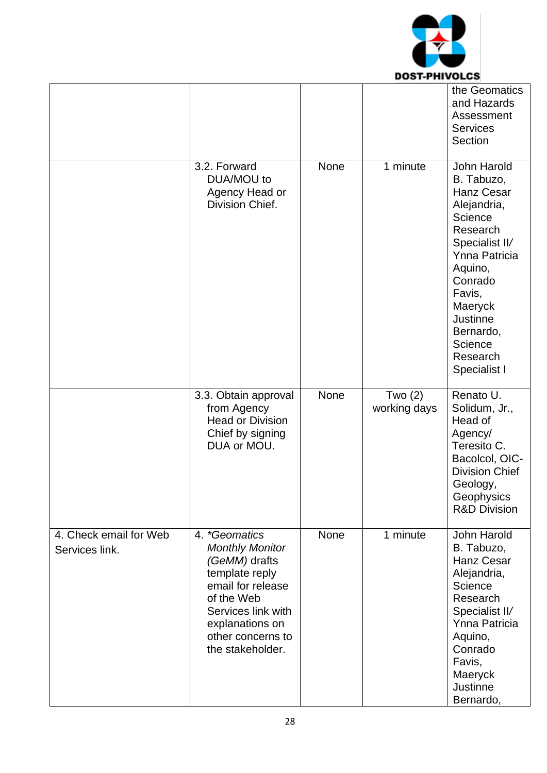

|                                          |                                                                                                                                                                                                 |      |                           | the Geomatics<br>and Hazards<br>Assessment<br><b>Services</b><br>Section                                                                                                                                                                         |
|------------------------------------------|-------------------------------------------------------------------------------------------------------------------------------------------------------------------------------------------------|------|---------------------------|--------------------------------------------------------------------------------------------------------------------------------------------------------------------------------------------------------------------------------------------------|
|                                          | 3.2. Forward<br>DUA/MOU to<br>Agency Head or<br>Division Chief.                                                                                                                                 | None | 1 minute                  | John Harold<br>B. Tabuzo,<br><b>Hanz Cesar</b><br>Alejandria,<br>Science<br>Research<br>Specialist II/<br><b>Ynna Patricia</b><br>Aquino,<br>Conrado<br>Favis,<br>Maeryck<br><b>Justinne</b><br>Bernardo,<br>Science<br>Research<br>Specialist I |
|                                          | 3.3. Obtain approval<br>from Agency<br><b>Head or Division</b><br>Chief by signing<br>DUA or MOU.                                                                                               | None | Two $(2)$<br>working days | Renato U.<br>Solidum, Jr.,<br>Head of<br>Agency/<br>Teresito C.<br>Bacolcol, OIC-<br><b>Division Chief</b><br>Geology,<br>Geophysics<br><b>R&amp;D Division</b>                                                                                  |
| 4. Check email for Web<br>Services link. | 4. *Geomatics<br><b>Monthly Monitor</b><br>(GeMM) drafts<br>template reply<br>email for release<br>of the Web<br>Services link with<br>explanations on<br>other concerns to<br>the stakeholder. | None | 1 minute                  | John Harold<br>B. Tabuzo,<br><b>Hanz Cesar</b><br>Alejandria,<br>Science<br>Research<br>Specialist II/<br><b>Ynna Patricia</b><br>Aquino,<br>Conrado<br>Favis,<br>Maeryck<br><b>Justinne</b><br>Bernardo,                                        |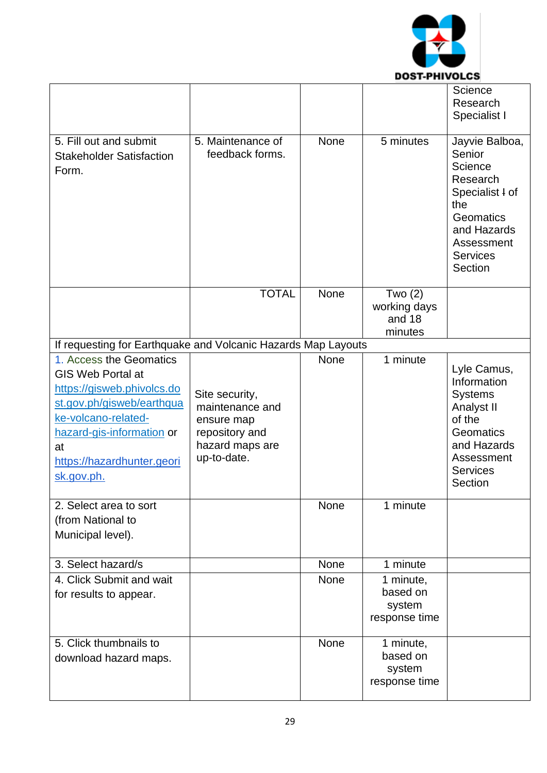

| 5. Fill out and submit<br><b>Stakeholder Satisfaction</b><br>Form.                                                                                                                                                   | 5. Maintenance of<br>feedback forms.                                                                | None        | 5 minutes                                        | Science<br>Research<br>Specialist I<br>Jayvie Balboa,<br>Senior<br>Science<br>Research<br>Specialist I of<br>the<br>Geomatics<br>and Hazards<br>Assessment<br><b>Services</b><br>Section |
|----------------------------------------------------------------------------------------------------------------------------------------------------------------------------------------------------------------------|-----------------------------------------------------------------------------------------------------|-------------|--------------------------------------------------|------------------------------------------------------------------------------------------------------------------------------------------------------------------------------------------|
|                                                                                                                                                                                                                      | <b>TOTAL</b>                                                                                        | None        | Two $(2)$<br>working days<br>and 18<br>minutes   |                                                                                                                                                                                          |
| If requesting for Earthquake and Volcanic Hazards Map Layouts                                                                                                                                                        |                                                                                                     |             |                                                  |                                                                                                                                                                                          |
| 1. Access the Geomatics<br><b>GIS Web Portal at</b><br>https://gisweb.phivolcs.do<br>st.gov.ph/gisweb/earthqua<br>ke-volcano-related-<br>hazard-gis-information or<br>at<br>https://hazardhunter.geori<br>sk.gov.ph. | Site security,<br>maintenance and<br>ensure map<br>repository and<br>hazard maps are<br>up-to-date. | <b>None</b> | 1 minute                                         | Lyle Camus,<br>Information<br><b>Systems</b><br>Analyst II<br>of the<br>Geomatics<br>and Hazards<br>Assessment<br><b>Services</b><br>Section                                             |
| 2. Select area to sort<br>(from National to<br>Municipal level).                                                                                                                                                     |                                                                                                     | <b>None</b> | 1 minute                                         |                                                                                                                                                                                          |
| 3. Select hazard/s                                                                                                                                                                                                   |                                                                                                     | None        | 1 minute                                         |                                                                                                                                                                                          |
| 4. Click Submit and wait<br>for results to appear.                                                                                                                                                                   |                                                                                                     | None        | 1 minute,<br>based on<br>system<br>response time |                                                                                                                                                                                          |
| 5. Click thumbnails to<br>download hazard maps.                                                                                                                                                                      |                                                                                                     | None        | 1 minute,<br>based on<br>system<br>response time |                                                                                                                                                                                          |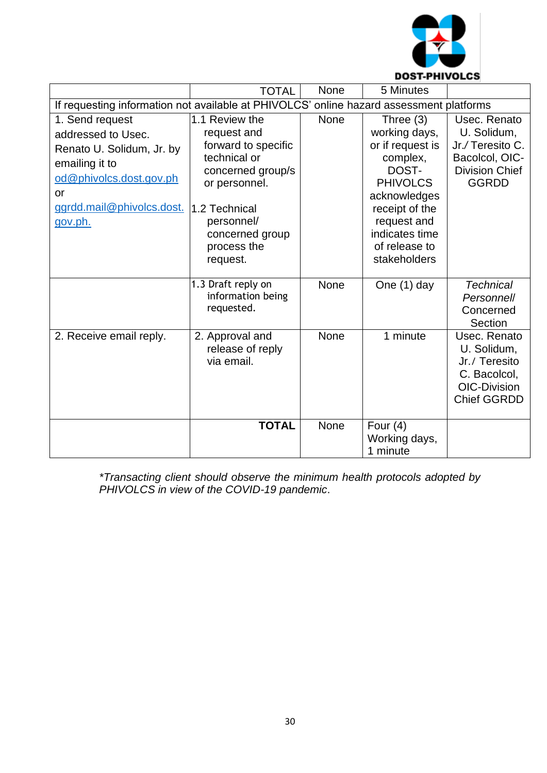

|                                                                                                                                                               | <b>TOTAL</b>                                                                                                                                                                            | <b>None</b> | 5 Minutes                                                                                                                                                                                    |                                                                                                           |  |  |
|---------------------------------------------------------------------------------------------------------------------------------------------------------------|-----------------------------------------------------------------------------------------------------------------------------------------------------------------------------------------|-------------|----------------------------------------------------------------------------------------------------------------------------------------------------------------------------------------------|-----------------------------------------------------------------------------------------------------------|--|--|
| If requesting information not available at PHIVOLCS' online hazard assessment platforms                                                                       |                                                                                                                                                                                         |             |                                                                                                                                                                                              |                                                                                                           |  |  |
| 1. Send request<br>addressed to Usec.<br>Renato U. Solidum, Jr. by<br>emailing it to<br>od@phivolcs.dost.gov.ph<br>or<br>ggrdd.mail@phivolcs.dost.<br>gov.ph. | 1.1 Review the<br>request and<br>forward to specific<br>technical or<br>concerned group/s<br>or personnel.<br>1.2 Technical<br>personnel/<br>concerned group<br>process the<br>request. | None        | Three $(3)$<br>working days,<br>or if request is<br>complex,<br>DOST-<br><b>PHIVOLCS</b><br>acknowledges<br>receipt of the<br>request and<br>indicates time<br>of release to<br>stakeholders | Usec. Renato<br>U. Solidum,<br>Jr./Teresito C.<br>Bacolcol, OIC-<br><b>Division Chief</b><br><b>GGRDD</b> |  |  |
|                                                                                                                                                               |                                                                                                                                                                                         |             |                                                                                                                                                                                              |                                                                                                           |  |  |
|                                                                                                                                                               | 1.3 Draft reply on<br>information being<br>requested.                                                                                                                                   | None        | One (1) day                                                                                                                                                                                  | <b>Technical</b><br>Personnel/<br>Concerned<br>Section                                                    |  |  |
| 2. Receive email reply.                                                                                                                                       | 2. Approval and<br>release of reply<br>via email.                                                                                                                                       | None        | 1 minute                                                                                                                                                                                     | Usec. Renato<br>U. Solidum,<br>Jr./ Teresito<br>C. Bacolcol,<br>OIC-Division<br><b>Chief GGRDD</b>        |  |  |
|                                                                                                                                                               | <b>TOTAL</b>                                                                                                                                                                            | <b>None</b> | Four $(4)$<br>Working days,<br>1 minute                                                                                                                                                      |                                                                                                           |  |  |

*\*Transacting client should observe the minimum health protocols adopted by PHIVOLCS in view of the COVID-19 pandemic*.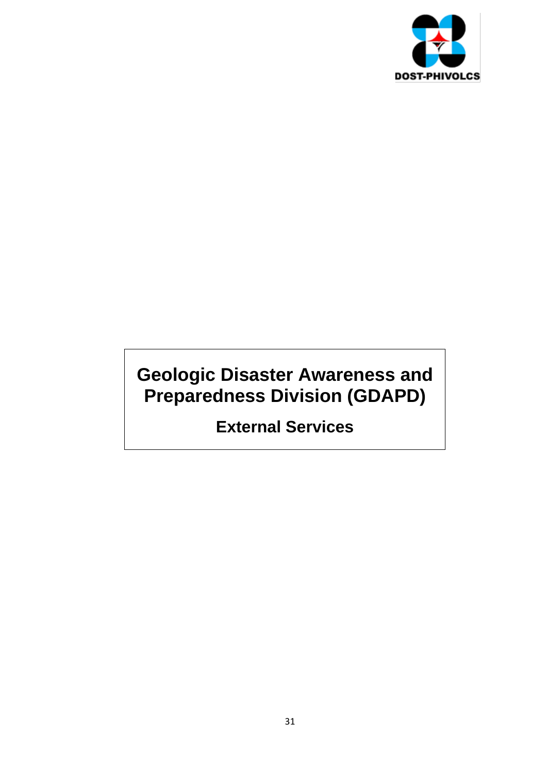

## **Geologic Disaster Awareness and Preparedness Division (GDAPD)**

**External Services**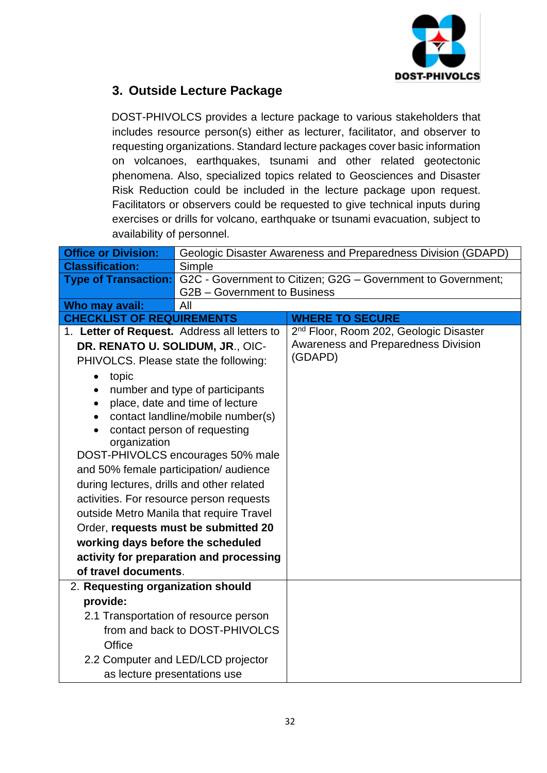

### **3. Outside Lecture Package**

DOST-PHIVOLCS provides a lecture package to various stakeholders that includes resource person(s) either as lecturer, facilitator, and observer to requesting organizations. Standard lecture packages cover basic information on volcanoes, earthquakes, tsunami and other related geotectonic phenomena. Also, specialized topics related to Geosciences and Disaster Risk Reduction could be included in the lecture package upon request. Facilitators or observers could be requested to give technical inputs during exercises or drills for volcano, earthquake or tsunami evacuation, subject to availability of personnel.

| <b>Office or Division:</b>                   | Geologic Disaster Awareness and Preparedness Division (GDAPD)                            |                                                    |  |  |
|----------------------------------------------|------------------------------------------------------------------------------------------|----------------------------------------------------|--|--|
| <b>Classification:</b>                       | Simple                                                                                   |                                                    |  |  |
|                                              | <b>Type of Transaction:</b> G2C - Government to Citizen; G2G - Government to Government; |                                                    |  |  |
|                                              | G2B - Government to Business                                                             |                                                    |  |  |
| Who may avail:                               | All                                                                                      |                                                    |  |  |
| <b>CHECKLIST OF REQUIREMENTS</b>             |                                                                                          | <b>WHERE TO SECURE</b>                             |  |  |
| 1. Letter of Request. Address all letters to |                                                                                          | 2 <sup>nd</sup> Floor, Room 202, Geologic Disaster |  |  |
| DR. RENATO U. SOLIDUM, JR., OIC-             |                                                                                          | Awareness and Preparedness Division                |  |  |
| PHIVOLCS. Please state the following:        |                                                                                          | (GDAPD)                                            |  |  |
| topic<br>$\bullet$                           |                                                                                          |                                                    |  |  |
| $\bullet$                                    | number and type of participants                                                          |                                                    |  |  |
| $\bullet$                                    | place, date and time of lecture                                                          |                                                    |  |  |
|                                              | contact landline/mobile number(s)                                                        |                                                    |  |  |
| contact person of requesting                 |                                                                                          |                                                    |  |  |
| organization                                 |                                                                                          |                                                    |  |  |
| DOST-PHIVOLCS encourages 50% male            |                                                                                          |                                                    |  |  |
| and 50% female participation/audience        |                                                                                          |                                                    |  |  |
| during lectures, drills and other related    |                                                                                          |                                                    |  |  |
| activities. For resource person requests     |                                                                                          |                                                    |  |  |
| outside Metro Manila that require Travel     |                                                                                          |                                                    |  |  |
| Order, requests must be submitted 20         |                                                                                          |                                                    |  |  |
| working days before the scheduled            |                                                                                          |                                                    |  |  |
| activity for preparation and processing      |                                                                                          |                                                    |  |  |
| of travel documents.                         |                                                                                          |                                                    |  |  |
| 2. Requesting organization should            |                                                                                          |                                                    |  |  |
| provide:                                     |                                                                                          |                                                    |  |  |
|                                              | 2.1 Transportation of resource person                                                    |                                                    |  |  |
|                                              | from and back to DOST-PHIVOLCS                                                           |                                                    |  |  |
| Office                                       |                                                                                          |                                                    |  |  |
|                                              | 2.2 Computer and LED/LCD projector                                                       |                                                    |  |  |
| as lecture presentations use                 |                                                                                          |                                                    |  |  |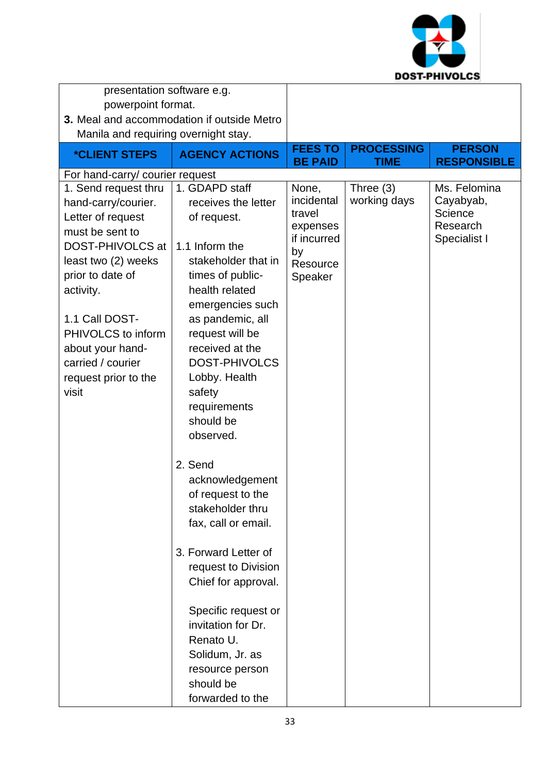

| presentation software e.g.                                                                                                                                                                                                                                                                                           |                                                                                                                                                                                                                                                                                                                                                                                                                                                                                    |                                                                                                         |                                     |                                                                                        |
|----------------------------------------------------------------------------------------------------------------------------------------------------------------------------------------------------------------------------------------------------------------------------------------------------------------------|------------------------------------------------------------------------------------------------------------------------------------------------------------------------------------------------------------------------------------------------------------------------------------------------------------------------------------------------------------------------------------------------------------------------------------------------------------------------------------|---------------------------------------------------------------------------------------------------------|-------------------------------------|----------------------------------------------------------------------------------------|
| powerpoint format.                                                                                                                                                                                                                                                                                                   |                                                                                                                                                                                                                                                                                                                                                                                                                                                                                    |                                                                                                         |                                     |                                                                                        |
| 3. Meal and accommodation if outside Metro                                                                                                                                                                                                                                                                           |                                                                                                                                                                                                                                                                                                                                                                                                                                                                                    |                                                                                                         |                                     |                                                                                        |
| Manila and requiring overnight stay.                                                                                                                                                                                                                                                                                 |                                                                                                                                                                                                                                                                                                                                                                                                                                                                                    |                                                                                                         |                                     |                                                                                        |
| <i><b>*CLIENT STEPS</b></i>                                                                                                                                                                                                                                                                                          | <b>AGENCY ACTIONS</b>                                                                                                                                                                                                                                                                                                                                                                                                                                                              | <b>FEES TO</b>                                                                                          | <b>PROCESSING</b>                   | <b>PERSON</b>                                                                          |
|                                                                                                                                                                                                                                                                                                                      |                                                                                                                                                                                                                                                                                                                                                                                                                                                                                    |                                                                                                         |                                     |                                                                                        |
| For hand-carry/ courier request<br>1. Send request thru<br>hand-carry/courier.<br>Letter of request<br>must be sent to<br>DOST-PHIVOLCS at<br>least two (2) weeks<br>prior to date of<br>activity.<br>1.1 Call DOST-<br>PHIVOLCS to inform<br>about your hand-<br>carried / courier<br>request prior to the<br>visit | 1. GDAPD staff<br>receives the letter<br>of request.<br>1.1 Inform the<br>stakeholder that in<br>times of public-<br>health related<br>emergencies such<br>as pandemic, all<br>request will be<br>received at the<br><b>DOST-PHIVOLCS</b><br>Lobby. Health<br>safety<br>requirements<br>should be<br>observed.<br>2. Send<br>acknowledgement<br>of request to the<br>stakeholder thru<br>fax, call or email.<br>3. Forward Letter of<br>request to Division<br>Chief for approval. | <b>BE PAID</b><br>None,<br>incidental<br>travel<br>expenses<br>if incurred<br>by<br>Resource<br>Speaker | TIME<br>Three $(3)$<br>working days | <b>RESPONSIBLE</b><br>Ms. Felomina<br>Cayabyab,<br>Science<br>Research<br>Specialist I |
|                                                                                                                                                                                                                                                                                                                      | Specific request or<br>invitation for Dr.<br>Renato U.                                                                                                                                                                                                                                                                                                                                                                                                                             |                                                                                                         |                                     |                                                                                        |
|                                                                                                                                                                                                                                                                                                                      | Solidum, Jr. as                                                                                                                                                                                                                                                                                                                                                                                                                                                                    |                                                                                                         |                                     |                                                                                        |
|                                                                                                                                                                                                                                                                                                                      | resource person                                                                                                                                                                                                                                                                                                                                                                                                                                                                    |                                                                                                         |                                     |                                                                                        |
|                                                                                                                                                                                                                                                                                                                      | should be                                                                                                                                                                                                                                                                                                                                                                                                                                                                          |                                                                                                         |                                     |                                                                                        |
|                                                                                                                                                                                                                                                                                                                      | forwarded to the                                                                                                                                                                                                                                                                                                                                                                                                                                                                   |                                                                                                         |                                     |                                                                                        |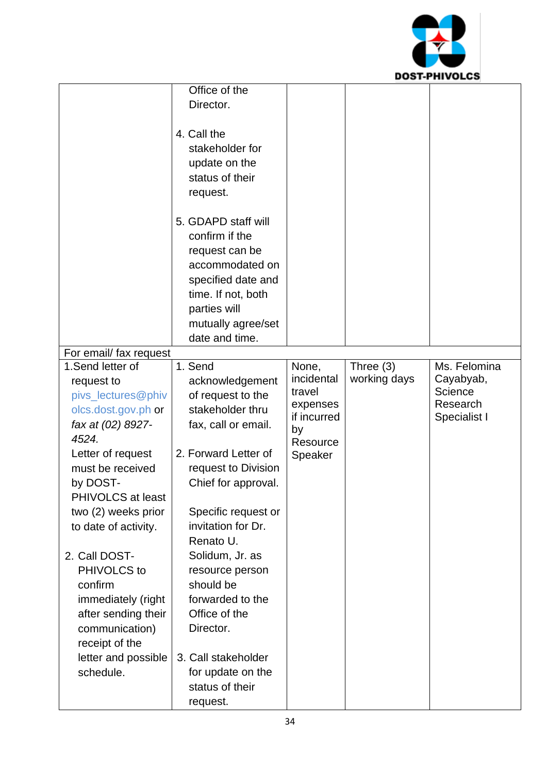

|                        | Office of the        |                |              |              |
|------------------------|----------------------|----------------|--------------|--------------|
|                        | Director.            |                |              |              |
|                        |                      |                |              |              |
|                        | 4. Call the          |                |              |              |
|                        | stakeholder for      |                |              |              |
|                        | update on the        |                |              |              |
|                        | status of their      |                |              |              |
|                        | request.             |                |              |              |
|                        |                      |                |              |              |
|                        | 5. GDAPD staff will  |                |              |              |
|                        | confirm if the       |                |              |              |
|                        | request can be       |                |              |              |
|                        | accommodated on      |                |              |              |
|                        | specified date and   |                |              |              |
|                        | time. If not, both   |                |              |              |
|                        | parties will         |                |              |              |
|                        | mutually agree/set   |                |              |              |
|                        | date and time.       |                |              |              |
| For email/ fax request |                      |                |              |              |
| 1.Send letter of       | 1. Send              | None,          | Three $(3)$  | Ms. Felomina |
| request to             | acknowledgement      | incidental     | working days | Cayabyab,    |
| pivs_lectures@phiv     | of request to the    | travel         |              | Science      |
| olcs.dost.gov.ph or    | stakeholder thru     | expenses       |              | Research     |
| fax at (02) 8927-      | fax, call or email.  | if incurred    |              | Specialist I |
| 4524.                  |                      | by<br>Resource |              |              |
| Letter of request      | 2. Forward Letter of | Speaker        |              |              |
| must be received       | request to Division  |                |              |              |
| by DOST-               | Chief for approval.  |                |              |              |
| PHIVOLCS at least      |                      |                |              |              |
| two (2) weeks prior    | Specific request or  |                |              |              |
| to date of activity.   | invitation for Dr.   |                |              |              |
|                        | Renato U.            |                |              |              |
| 2. Call DOST-          | Solidum, Jr. as      |                |              |              |
| PHIVOLCS to            | resource person      |                |              |              |
| confirm                | should be            |                |              |              |
| immediately (right     | forwarded to the     |                |              |              |
| after sending their    | Office of the        |                |              |              |
| communication)         | Director.            |                |              |              |
| receipt of the         |                      |                |              |              |
| letter and possible    | 3. Call stakeholder  |                |              |              |
| schedule.              | for update on the    |                |              |              |
|                        | status of their      |                |              |              |
|                        | request.             |                |              |              |
|                        |                      |                |              |              |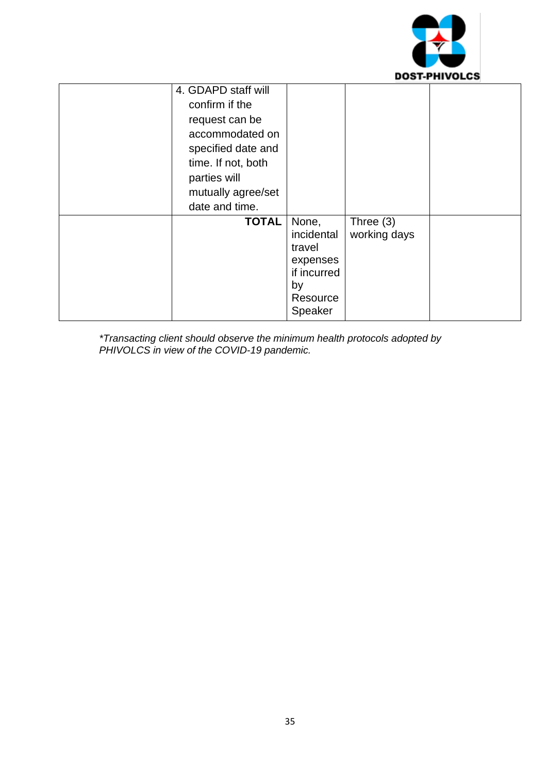

| 4. GDAPD staff will<br>confirm if the<br>request can be<br>accommodated on<br>specified date and<br>time. If not, both<br>parties will<br>mutually agree/set<br>date and time. |                                                                                       |                             |  |
|--------------------------------------------------------------------------------------------------------------------------------------------------------------------------------|---------------------------------------------------------------------------------------|-----------------------------|--|
| <b>TOTAL</b>                                                                                                                                                                   | None,<br>incidental<br>travel<br>expenses<br>if incurred<br>by<br>Resource<br>Speaker | Three $(3)$<br>working days |  |

*\*Transacting client should observe the minimum health protocols adopted by PHIVOLCS in view of the COVID-19 pandemic.*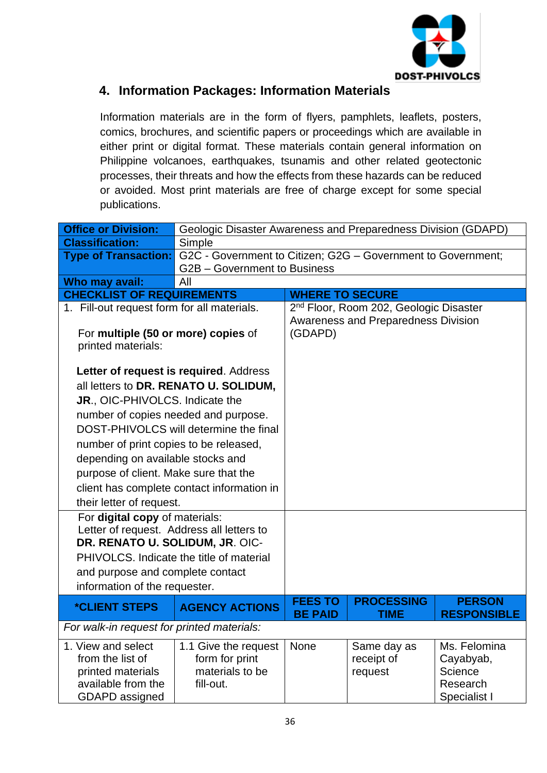

#### **4. Information Packages: Information Materials**

Information materials are in the form of flyers, pamphlets, leaflets, posters, comics, brochures, and scientific papers or proceedings which are available in either print or digital format. These materials contain general information on Philippine volcanoes, earthquakes, tsunamis and other related geotectonic processes, their threats and how the effects from these hazards can be reduced or avoided. Most print materials are free of charge except for some special publications.

| <b>Office or Division:</b>                                                                                                                                                                              | Geologic Disaster Awareness and Preparedness Division (GDAPD)           |                                     |                                                    |                                                                                        |  |
|---------------------------------------------------------------------------------------------------------------------------------------------------------------------------------------------------------|-------------------------------------------------------------------------|-------------------------------------|----------------------------------------------------|----------------------------------------------------------------------------------------|--|
| <b>Classification:</b>                                                                                                                                                                                  | Simple                                                                  |                                     |                                                    |                                                                                        |  |
| <b>Type of Transaction:</b>                                                                                                                                                                             | G2C - Government to Citizen; G2G - Government to Government;            |                                     |                                                    |                                                                                        |  |
|                                                                                                                                                                                                         | G2B - Government to Business                                            |                                     |                                                    |                                                                                        |  |
| Who may avail:                                                                                                                                                                                          | All                                                                     |                                     |                                                    |                                                                                        |  |
| <b>CHECKLIST OF REQUIREMENTS</b>                                                                                                                                                                        |                                                                         | <b>WHERE TO SECURE</b>              |                                                    |                                                                                        |  |
| 1. Fill-out request form for all materials.                                                                                                                                                             |                                                                         |                                     | 2 <sup>nd</sup> Floor, Room 202, Geologic Disaster |                                                                                        |  |
|                                                                                                                                                                                                         |                                                                         | Awareness and Preparedness Division |                                                    |                                                                                        |  |
| For multiple (50 or more) copies of                                                                                                                                                                     |                                                                         | (GDAPD)                             |                                                    |                                                                                        |  |
| printed materials:                                                                                                                                                                                      |                                                                         |                                     |                                                    |                                                                                        |  |
| Letter of request is required. Address                                                                                                                                                                  |                                                                         |                                     |                                                    |                                                                                        |  |
|                                                                                                                                                                                                         | all letters to DR. RENATO U. SOLIDUM,                                   |                                     |                                                    |                                                                                        |  |
|                                                                                                                                                                                                         |                                                                         |                                     |                                                    |                                                                                        |  |
| JR., OIC-PHIVOLCS. Indicate the                                                                                                                                                                         |                                                                         |                                     |                                                    |                                                                                        |  |
| number of copies needed and purpose.                                                                                                                                                                    |                                                                         |                                     |                                                    |                                                                                        |  |
| DOST-PHIVOLCS will determine the final                                                                                                                                                                  |                                                                         |                                     |                                                    |                                                                                        |  |
| number of print copies to be released,                                                                                                                                                                  |                                                                         |                                     |                                                    |                                                                                        |  |
| depending on available stocks and                                                                                                                                                                       |                                                                         |                                     |                                                    |                                                                                        |  |
| purpose of client. Make sure that the                                                                                                                                                                   |                                                                         |                                     |                                                    |                                                                                        |  |
| client has complete contact information in                                                                                                                                                              |                                                                         |                                     |                                                    |                                                                                        |  |
| their letter of request.                                                                                                                                                                                |                                                                         |                                     |                                                    |                                                                                        |  |
| For digital copy of materials:                                                                                                                                                                          |                                                                         |                                     |                                                    |                                                                                        |  |
| Letter of request. Address all letters to                                                                                                                                                               |                                                                         |                                     |                                                    |                                                                                        |  |
| DR. RENATO U. SOLIDUM, JR. OIC-                                                                                                                                                                         |                                                                         |                                     |                                                    |                                                                                        |  |
|                                                                                                                                                                                                         | PHIVOLCS. Indicate the title of material                                |                                     |                                                    |                                                                                        |  |
|                                                                                                                                                                                                         |                                                                         |                                     |                                                    |                                                                                        |  |
|                                                                                                                                                                                                         |                                                                         |                                     |                                                    |                                                                                        |  |
|                                                                                                                                                                                                         |                                                                         | <b>FEES TO</b>                      | <b>PROCESSING</b>                                  | <b>PERSON</b>                                                                          |  |
|                                                                                                                                                                                                         |                                                                         |                                     |                                                    |                                                                                        |  |
| For walk-in request for printed materials:                                                                                                                                                              |                                                                         |                                     |                                                    |                                                                                        |  |
|                                                                                                                                                                                                         | 1.1 Give the request                                                    | None                                | Same day as                                        |                                                                                        |  |
|                                                                                                                                                                                                         |                                                                         |                                     |                                                    |                                                                                        |  |
|                                                                                                                                                                                                         |                                                                         |                                     |                                                    |                                                                                        |  |
|                                                                                                                                                                                                         |                                                                         |                                     |                                                    |                                                                                        |  |
| and purpose and complete contact<br>information of the requester.<br><i><b>*CLIENT STEPS</b></i><br>1. View and select<br>from the list of<br>printed materials<br>available from the<br>GDAPD assigned | <b>AGENCY ACTIONS</b><br>form for print<br>materials to be<br>fill-out. | <b>BE PAID</b>                      | <b>TIME</b><br>receipt of<br>request               | <b>RESPONSIBLE</b><br>Ms. Felomina<br>Cayabyab,<br>Science<br>Research<br>Specialist I |  |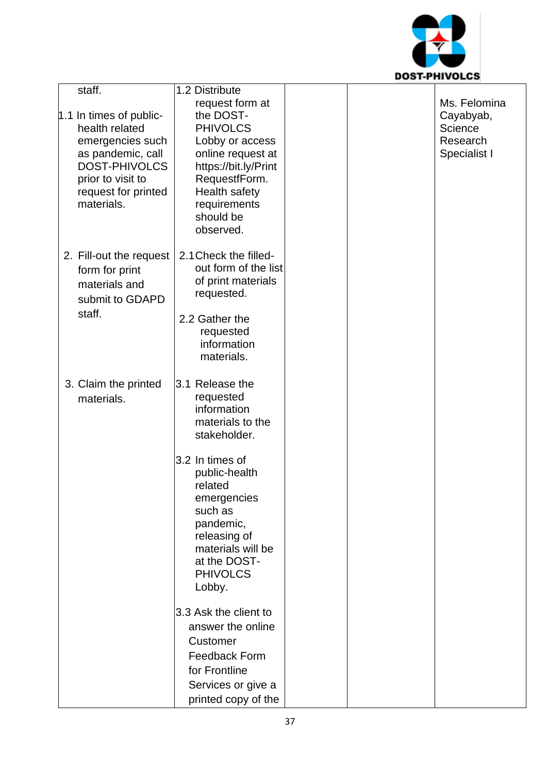

| staff. |                                                                                                                         | 1.2 Distribute                                                                                                                                                       |  |                                      |
|--------|-------------------------------------------------------------------------------------------------------------------------|----------------------------------------------------------------------------------------------------------------------------------------------------------------------|--|--------------------------------------|
|        | 1.1 In times of public-<br>health related                                                                               | request form at<br>the DOST-<br><b>PHIVOLCS</b>                                                                                                                      |  | Ms. Felomina<br>Cayabyab,<br>Science |
|        | emergencies such<br>as pandemic, call<br><b>DOST-PHIVOLCS</b><br>prior to visit to<br>request for printed<br>materials. | Lobby or access<br>online request at<br>https://bit.ly/Print<br>RequestfForm.<br>Health safety<br>requirements<br>should be<br>observed.                             |  | Research<br>Specialist I             |
| staff. | 2. Fill-out the request<br>form for print<br>materials and<br>submit to GDAPD                                           | 2.1 Check the filled-<br>out form of the list<br>of print materials<br>requested.<br>2.2 Gather the<br>requested<br>information<br>materials.                        |  |                                      |
|        | 3. Claim the printed<br>materials.                                                                                      | 3.1 Release the<br>requested<br>information<br>materials to the<br>stakeholder.                                                                                      |  |                                      |
|        |                                                                                                                         | 3.2 In times of<br>public-health<br>related<br>emergencies<br>such as<br>pandemic,<br>releasing of<br>materials will be<br>at the DOST-<br><b>PHIVOLCS</b><br>Lobby. |  |                                      |
|        |                                                                                                                         | 3.3 Ask the client to<br>answer the online<br>Customer<br>Feedback Form<br>for Frontline<br>Services or give a<br>printed copy of the                                |  |                                      |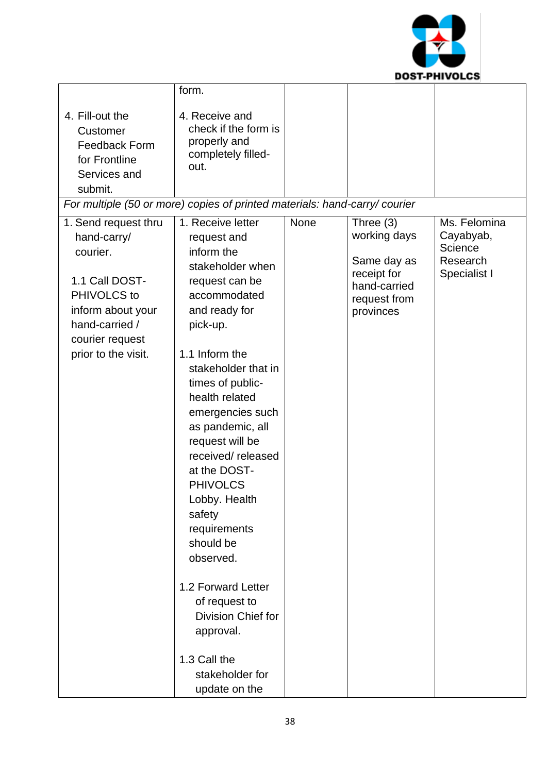

|                                                                                                                                                                   | form.                                                                                                                                                                                                                                                                                                                                                                                                                                                                                                                 |      |                                                                                                        |                                                                  |
|-------------------------------------------------------------------------------------------------------------------------------------------------------------------|-----------------------------------------------------------------------------------------------------------------------------------------------------------------------------------------------------------------------------------------------------------------------------------------------------------------------------------------------------------------------------------------------------------------------------------------------------------------------------------------------------------------------|------|--------------------------------------------------------------------------------------------------------|------------------------------------------------------------------|
| 4. Fill-out the<br>Customer<br><b>Feedback Form</b><br>for Frontline<br>Services and<br>submit.                                                                   | 4. Receive and<br>check if the form is<br>properly and<br>completely filled-<br>out.                                                                                                                                                                                                                                                                                                                                                                                                                                  |      |                                                                                                        |                                                                  |
| For multiple (50 or more) copies of printed materials: hand-carry/ courier                                                                                        |                                                                                                                                                                                                                                                                                                                                                                                                                                                                                                                       |      |                                                                                                        |                                                                  |
| 1. Send request thru<br>hand-carry/<br>courier.<br>1.1 Call DOST-<br>PHIVOLCS to<br>inform about your<br>hand-carried /<br>courier request<br>prior to the visit. | 1. Receive letter<br>request and<br>inform the<br>stakeholder when<br>request can be<br>accommodated<br>and ready for<br>pick-up.<br>1.1 Inform the<br>stakeholder that in<br>times of public-<br>health related<br>emergencies such<br>as pandemic, all<br>request will be<br>received/released<br>at the DOST-<br><b>PHIVOLCS</b><br>Lobby. Health<br>safety<br>requirements<br>should be<br>observed.<br>1.2 Forward Letter<br>of request to<br>Division Chief for<br>approval.<br>1.3 Call the<br>stakeholder for | None | Three $(3)$<br>working days<br>Same day as<br>receipt for<br>hand-carried<br>request from<br>provinces | Ms. Felomina<br>Cayabyab,<br>Science<br>Research<br>Specialist I |
|                                                                                                                                                                   | update on the                                                                                                                                                                                                                                                                                                                                                                                                                                                                                                         |      |                                                                                                        |                                                                  |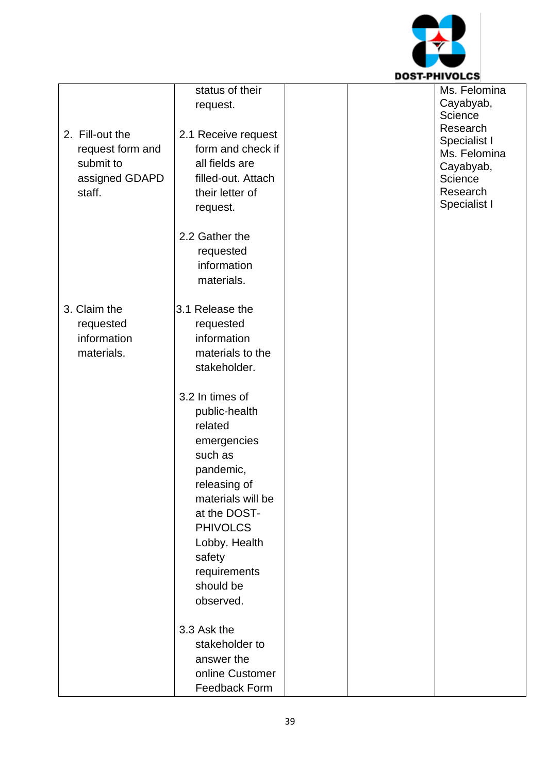

| status of their<br>Ms. Felomina<br>Cayabyab,<br>request.<br>Science<br>Research<br>2. Fill-out the<br>2.1 Receive request<br>Specialist I<br>form and check if<br>request form and<br>Ms. Felomina<br>submit to<br>all fields are<br>Cayabyab,<br>assigned GDAPD<br>filled-out. Attach<br>Science<br>Research<br>staff.<br>their letter of |  |
|--------------------------------------------------------------------------------------------------------------------------------------------------------------------------------------------------------------------------------------------------------------------------------------------------------------------------------------------|--|
|                                                                                                                                                                                                                                                                                                                                            |  |
|                                                                                                                                                                                                                                                                                                                                            |  |
|                                                                                                                                                                                                                                                                                                                                            |  |
|                                                                                                                                                                                                                                                                                                                                            |  |
|                                                                                                                                                                                                                                                                                                                                            |  |
|                                                                                                                                                                                                                                                                                                                                            |  |
|                                                                                                                                                                                                                                                                                                                                            |  |
|                                                                                                                                                                                                                                                                                                                                            |  |
|                                                                                                                                                                                                                                                                                                                                            |  |
| Specialist I<br>request.                                                                                                                                                                                                                                                                                                                   |  |
|                                                                                                                                                                                                                                                                                                                                            |  |
| 2.2 Gather the                                                                                                                                                                                                                                                                                                                             |  |
|                                                                                                                                                                                                                                                                                                                                            |  |
| requested                                                                                                                                                                                                                                                                                                                                  |  |
| information                                                                                                                                                                                                                                                                                                                                |  |
| materials.                                                                                                                                                                                                                                                                                                                                 |  |
|                                                                                                                                                                                                                                                                                                                                            |  |
| 3. Claim the<br>3.1 Release the                                                                                                                                                                                                                                                                                                            |  |
| requested<br>requested                                                                                                                                                                                                                                                                                                                     |  |
| information<br>information                                                                                                                                                                                                                                                                                                                 |  |
| materials to the<br>materials.                                                                                                                                                                                                                                                                                                             |  |
| stakeholder.                                                                                                                                                                                                                                                                                                                               |  |
|                                                                                                                                                                                                                                                                                                                                            |  |
| 3.2 In times of                                                                                                                                                                                                                                                                                                                            |  |
| public-health                                                                                                                                                                                                                                                                                                                              |  |
| related                                                                                                                                                                                                                                                                                                                                    |  |
| emergencies                                                                                                                                                                                                                                                                                                                                |  |
| such as                                                                                                                                                                                                                                                                                                                                    |  |
|                                                                                                                                                                                                                                                                                                                                            |  |
| pandemic,                                                                                                                                                                                                                                                                                                                                  |  |
| releasing of                                                                                                                                                                                                                                                                                                                               |  |
| materials will be                                                                                                                                                                                                                                                                                                                          |  |
| at the DOST-                                                                                                                                                                                                                                                                                                                               |  |
| <b>PHIVOLCS</b>                                                                                                                                                                                                                                                                                                                            |  |
| Lobby. Health                                                                                                                                                                                                                                                                                                                              |  |
| safety                                                                                                                                                                                                                                                                                                                                     |  |
| requirements                                                                                                                                                                                                                                                                                                                               |  |
|                                                                                                                                                                                                                                                                                                                                            |  |
| should be                                                                                                                                                                                                                                                                                                                                  |  |
| observed.                                                                                                                                                                                                                                                                                                                                  |  |
|                                                                                                                                                                                                                                                                                                                                            |  |
| 3.3 Ask the                                                                                                                                                                                                                                                                                                                                |  |
| stakeholder to                                                                                                                                                                                                                                                                                                                             |  |
| answer the                                                                                                                                                                                                                                                                                                                                 |  |
| online Customer                                                                                                                                                                                                                                                                                                                            |  |
| <b>Feedback Form</b>                                                                                                                                                                                                                                                                                                                       |  |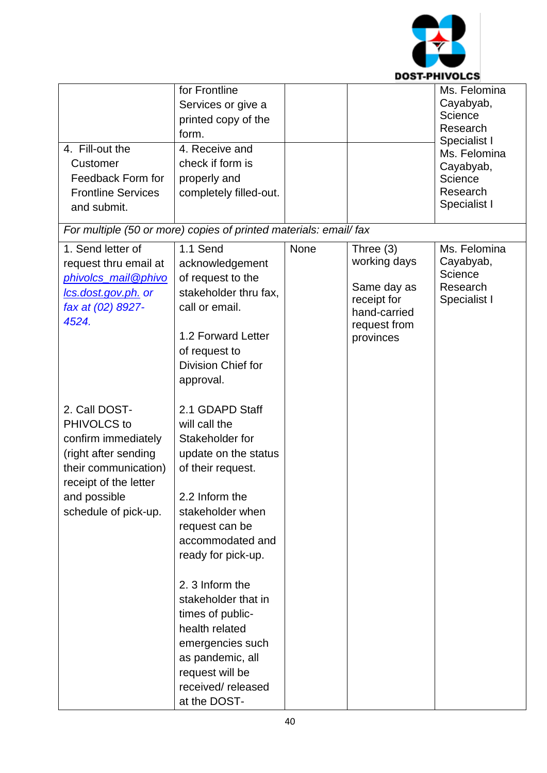

| 4. Fill-out the<br>Customer<br>Feedback Form for<br><b>Frontline Services</b><br>and submit.                                                                         | for Frontline<br>Services or give a<br>printed copy of the<br>form.<br>4. Receive and<br>check if form is<br>properly and<br>completely filled-out.                                                                                                                                                                                                                                |      |                                                                                                        | Ms. Felomina<br>Cayabyab,<br>Science<br>Research<br>Specialist I<br>Ms. Felomina<br>Cayabyab,<br>Science<br>Research<br>Specialist I |
|----------------------------------------------------------------------------------------------------------------------------------------------------------------------|------------------------------------------------------------------------------------------------------------------------------------------------------------------------------------------------------------------------------------------------------------------------------------------------------------------------------------------------------------------------------------|------|--------------------------------------------------------------------------------------------------------|--------------------------------------------------------------------------------------------------------------------------------------|
| For multiple (50 or more) copies of printed materials: email/ fax                                                                                                    |                                                                                                                                                                                                                                                                                                                                                                                    |      |                                                                                                        |                                                                                                                                      |
| 1. Send letter of<br>request thru email at<br>phivolcs_mail@phivo<br>lcs.dost.gov.ph. or<br>fax at (02) 8927-<br>4524.                                               | 1.1 Send<br>acknowledgement<br>of request to the<br>stakeholder thru fax,<br>call or email.<br>1.2 Forward Letter<br>of request to<br>Division Chief for<br>approval.                                                                                                                                                                                                              | None | Three $(3)$<br>working days<br>Same day as<br>receipt for<br>hand-carried<br>request from<br>provinces | Ms. Felomina<br>Cayabyab,<br>Science<br>Research<br>Specialist I                                                                     |
| 2. Call DOST-<br>PHIVOLCS to<br>confirm immediately<br>(right after sending<br>their communication)<br>receipt of the letter<br>and possible<br>schedule of pick-up. | 2.1 GDAPD Staff<br>will call the<br>Stakeholder for<br>update on the status<br>of their request.<br>2.2 Inform the<br>stakeholder when<br>request can be<br>accommodated and<br>ready for pick-up.<br>2. 3 Inform the<br>stakeholder that in<br>times of public-<br>health related<br>emergencies such<br>as pandemic, all<br>request will be<br>received/released<br>at the DOST- |      |                                                                                                        |                                                                                                                                      |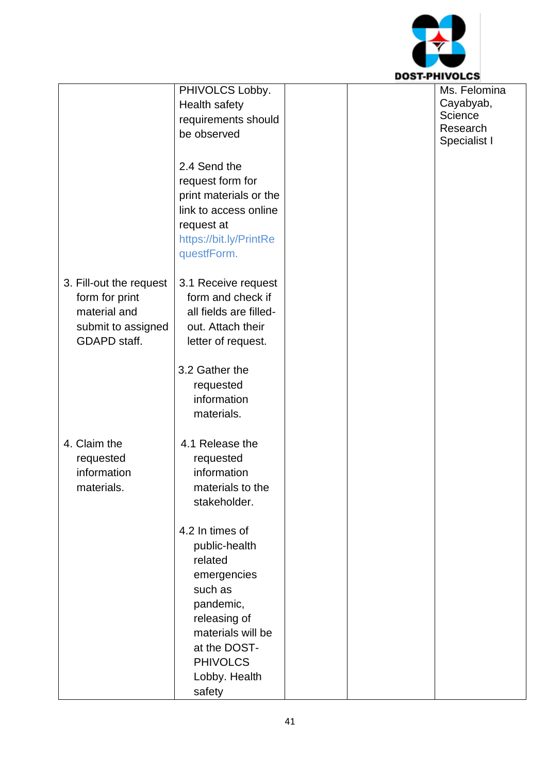

|                         | PHIVOLCS Lobby.                                 |  | Ms. Felomina |
|-------------------------|-------------------------------------------------|--|--------------|
|                         | Health safety                                   |  | Cayabyab,    |
|                         | requirements should                             |  | Science      |
|                         | be observed                                     |  | Research     |
|                         |                                                 |  | Specialist I |
|                         | 2.4 Send the                                    |  |              |
|                         | request form for                                |  |              |
|                         |                                                 |  |              |
|                         | print materials or the<br>link to access online |  |              |
|                         |                                                 |  |              |
|                         | request at                                      |  |              |
|                         | https://bit.ly/PrintRe                          |  |              |
|                         | questfForm.                                     |  |              |
|                         |                                                 |  |              |
| 3. Fill-out the request | 3.1 Receive request                             |  |              |
| form for print          | form and check if                               |  |              |
| material and            | all fields are filled-                          |  |              |
| submit to assigned      | out. Attach their                               |  |              |
| GDAPD staff.            | letter of request.                              |  |              |
|                         |                                                 |  |              |
|                         | 3.2 Gather the                                  |  |              |
|                         | requested                                       |  |              |
|                         | information                                     |  |              |
|                         | materials.                                      |  |              |
|                         |                                                 |  |              |
| 4. Claim the            | 4.1 Release the                                 |  |              |
| requested               | requested                                       |  |              |
| information             | information                                     |  |              |
| materials.              | materials to the                                |  |              |
|                         | stakeholder.                                    |  |              |
|                         |                                                 |  |              |
|                         | 4.2 In times of                                 |  |              |
|                         | public-health                                   |  |              |
|                         | related                                         |  |              |
|                         | emergencies                                     |  |              |
|                         | such as                                         |  |              |
|                         | pandemic,                                       |  |              |
|                         | releasing of                                    |  |              |
|                         | materials will be                               |  |              |
|                         |                                                 |  |              |
|                         | at the DOST-                                    |  |              |
|                         | <b>PHIVOLCS</b>                                 |  |              |
|                         | Lobby. Health                                   |  |              |
|                         | safety                                          |  |              |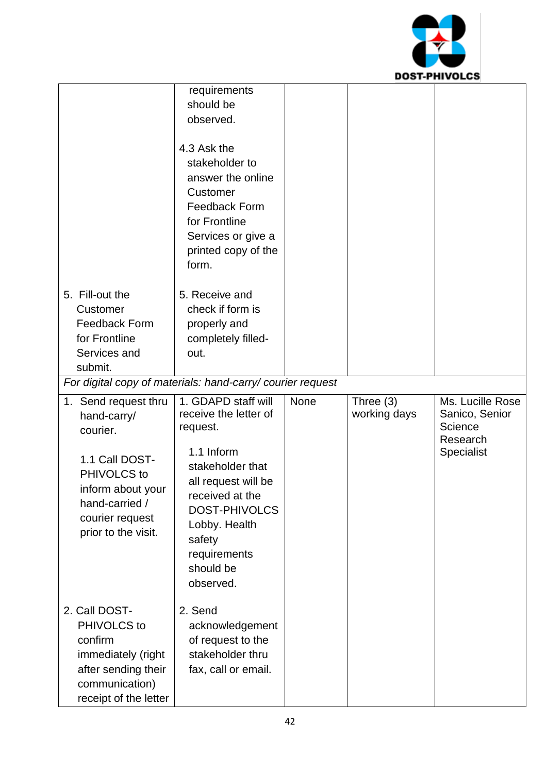

|                                                                                                                                                                   | requirements<br>should be<br>observed.<br>4.3 Ask the<br>stakeholder to<br>answer the online<br>Customer<br><b>Feedback Form</b><br>for Frontline<br>Services or give a<br>printed copy of the                                    |      |                           |                                                                         |
|-------------------------------------------------------------------------------------------------------------------------------------------------------------------|-----------------------------------------------------------------------------------------------------------------------------------------------------------------------------------------------------------------------------------|------|---------------------------|-------------------------------------------------------------------------|
| 5. Fill-out the<br>Customer<br><b>Feedback Form</b><br>for Frontline<br>Services and<br>submit.                                                                   | form.<br>5. Receive and<br>check if form is<br>properly and<br>completely filled-<br>out.<br>For digital copy of materials: hand-carry/ courier request                                                                           |      |                           |                                                                         |
| 1. Send request thru<br>hand-carry/<br>courier.<br>1.1 Call DOST-<br>PHIVOLCS to<br>inform about your<br>hand-carried /<br>courier request<br>prior to the visit. | 1. GDAPD staff will<br>receive the letter of<br>request.<br>1.1 Inform<br>stakeholder that<br>all request will be<br>received at the<br><b>DOST-PHIVOLCS</b><br>Lobby. Health<br>safety<br>requirements<br>should be<br>observed. | None | Three (3)<br>working days | Ms. Lucille Rose<br>Sanico, Senior<br>Science<br>Research<br>Specialist |
| 2. Call DOST-<br>PHIVOLCS to<br>confirm<br>immediately (right<br>after sending their<br>communication)<br>receipt of the letter                                   | 2. Send<br>acknowledgement<br>of request to the<br>stakeholder thru<br>fax, call or email.                                                                                                                                        |      |                           |                                                                         |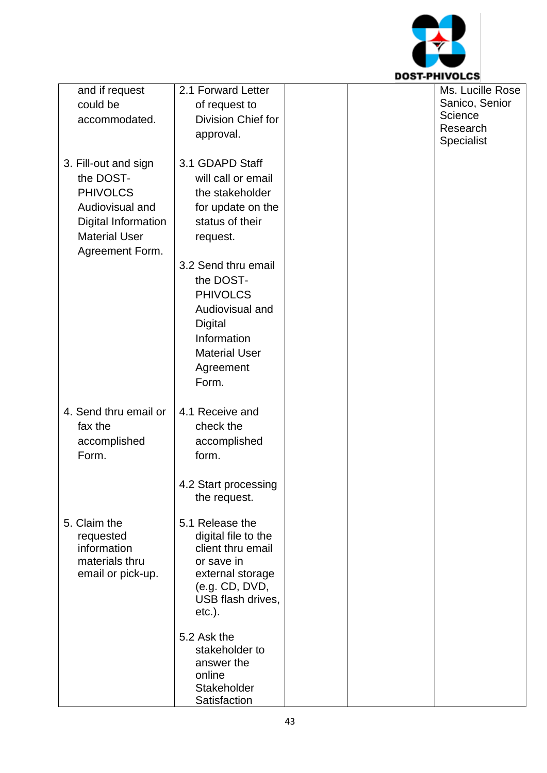

| and if request                | 2.1 Forward Letter              | Ms. Lucille Rose |
|-------------------------------|---------------------------------|------------------|
| could be                      | of request to                   | Sanico, Senior   |
| accommodated.                 | Division Chief for              | Science          |
|                               | approval.                       | Research         |
|                               |                                 | Specialist       |
| 3. Fill-out and sign          | 3.1 GDAPD Staff                 |                  |
| the DOST-                     | will call or email              |                  |
| <b>PHIVOLCS</b>               | the stakeholder                 |                  |
| Audiovisual and               | for update on the               |                  |
| Digital Information           | status of their                 |                  |
| <b>Material User</b>          | request.                        |                  |
| Agreement Form.               |                                 |                  |
|                               | 3.2 Send thru email             |                  |
|                               | the DOST-                       |                  |
|                               | <b>PHIVOLCS</b>                 |                  |
|                               | Audiovisual and                 |                  |
|                               | Digital                         |                  |
|                               | Information                     |                  |
|                               | <b>Material User</b>            |                  |
|                               | Agreement                       |                  |
|                               | Form.                           |                  |
|                               |                                 |                  |
| 4. Send thru email or         | 4.1 Receive and                 |                  |
| fax the                       | check the                       |                  |
| accomplished                  | accomplished                    |                  |
| Form.                         | form.                           |                  |
|                               |                                 |                  |
|                               | 4.2 Start processing            |                  |
|                               | the request.                    |                  |
|                               |                                 |                  |
| 5. Claim the                  | 5.1 Release the                 |                  |
| requested                     | digital file to the             |                  |
| information<br>materials thru | client thru email<br>or save in |                  |
| email or pick-up.             | external storage                |                  |
|                               | (e.g. CD, DVD,                  |                  |
|                               | USB flash drives,               |                  |
|                               | $etc.$ ).                       |                  |
|                               |                                 |                  |
|                               | 5.2 Ask the                     |                  |
|                               | stakeholder to<br>answer the    |                  |
|                               | online                          |                  |
|                               | Stakeholder                     |                  |
|                               | Satisfaction                    |                  |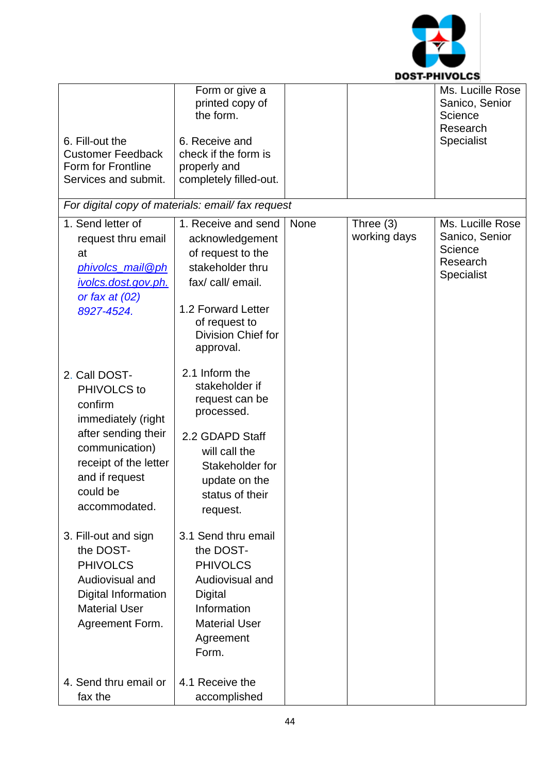

|                                         | Form or give a<br>printed copy of<br>the form.   |      |              | Ms. Lucille Rose<br>Sanico, Senior<br>Science<br>Research |
|-----------------------------------------|--------------------------------------------------|------|--------------|-----------------------------------------------------------|
| 6. Fill-out the                         | 6. Receive and                                   |      |              | <b>Specialist</b>                                         |
| <b>Customer Feedback</b>                | check if the form is                             |      |              |                                                           |
| Form for Frontline                      | properly and                                     |      |              |                                                           |
| Services and submit.                    | completely filled-out.                           |      |              |                                                           |
|                                         | For digital copy of materials: email/fax request |      |              |                                                           |
| 1. Send letter of                       | 1. Receive and send                              | None | Three (3)    | Ms. Lucille Rose                                          |
| request thru email                      | acknowledgement                                  |      | working days | Sanico, Senior                                            |
| at                                      | of request to the                                |      |              | Science<br>Research                                       |
| phivolcs_mail@ph                        | stakeholder thru                                 |      |              | Specialist                                                |
| ivolcs.dost.gov.ph.<br>or fax at $(02)$ | fax/ call/ email.                                |      |              |                                                           |
| 8927-4524.                              | 1.2 Forward Letter                               |      |              |                                                           |
|                                         | of request to                                    |      |              |                                                           |
|                                         | Division Chief for                               |      |              |                                                           |
|                                         | approval.                                        |      |              |                                                           |
| 2. Call DOST-                           | 2.1 Inform the                                   |      |              |                                                           |
| PHIVOLCS to                             | stakeholder if                                   |      |              |                                                           |
| confirm                                 | request can be                                   |      |              |                                                           |
|                                         | processed.                                       |      |              |                                                           |
| immediately (right                      |                                                  |      |              |                                                           |
| after sending their                     | 2.2 GDAPD Staff                                  |      |              |                                                           |
| communication)                          | will call the                                    |      |              |                                                           |
| receipt of the letter                   | Stakeholder for                                  |      |              |                                                           |
| and if request                          | update on the                                    |      |              |                                                           |
| could be                                | status of their                                  |      |              |                                                           |
| accommodated.                           | request.                                         |      |              |                                                           |
| 3. Fill-out and sign                    | 3.1 Send thru email                              |      |              |                                                           |
| the DOST-                               | the DOST-                                        |      |              |                                                           |
| <b>PHIVOLCS</b>                         | <b>PHIVOLCS</b>                                  |      |              |                                                           |
| Audiovisual and                         | Audiovisual and                                  |      |              |                                                           |
| Digital Information                     | Digital                                          |      |              |                                                           |
| <b>Material User</b>                    | Information                                      |      |              |                                                           |
| Agreement Form.                         | <b>Material User</b>                             |      |              |                                                           |
|                                         | Agreement                                        |      |              |                                                           |
|                                         | Form.                                            |      |              |                                                           |
|                                         |                                                  |      |              |                                                           |
| 4. Send thru email or                   | 4.1 Receive the                                  |      |              |                                                           |
| fax the                                 | accomplished                                     |      |              |                                                           |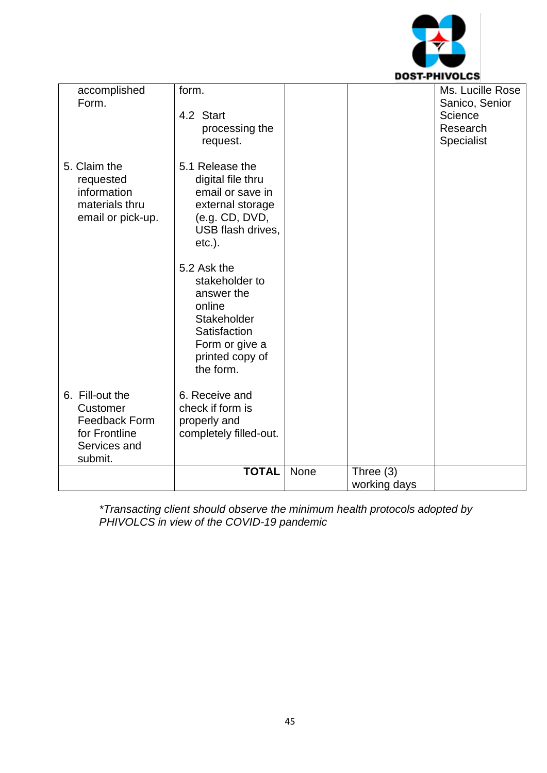

| accomplished<br>Form.                                                                           | form.<br>4.2 Start<br>processing the<br>request.                                                                                       |      |                             | Ms. Lucille Rose<br>Sanico, Senior<br>Science<br>Research<br>Specialist |
|-------------------------------------------------------------------------------------------------|----------------------------------------------------------------------------------------------------------------------------------------|------|-----------------------------|-------------------------------------------------------------------------|
| 5. Claim the<br>requested<br>information<br>materials thru<br>email or pick-up.                 | 5.1 Release the<br>digital file thru<br>email or save in<br>external storage<br>(e.g. CD, DVD,<br>USB flash drives,<br>$etc.$ ).       |      |                             |                                                                         |
|                                                                                                 | 5.2 Ask the<br>stakeholder to<br>answer the<br>online<br>Stakeholder<br>Satisfaction<br>Form or give a<br>printed copy of<br>the form. |      |                             |                                                                         |
| 6. Fill-out the<br>Customer<br><b>Feedback Form</b><br>for Frontline<br>Services and<br>submit. | 6. Receive and<br>check if form is<br>properly and<br>completely filled-out.                                                           |      |                             |                                                                         |
|                                                                                                 | <b>TOTAL</b>                                                                                                                           | None | Three $(3)$<br>working days |                                                                         |
|                                                                                                 |                                                                                                                                        |      |                             |                                                                         |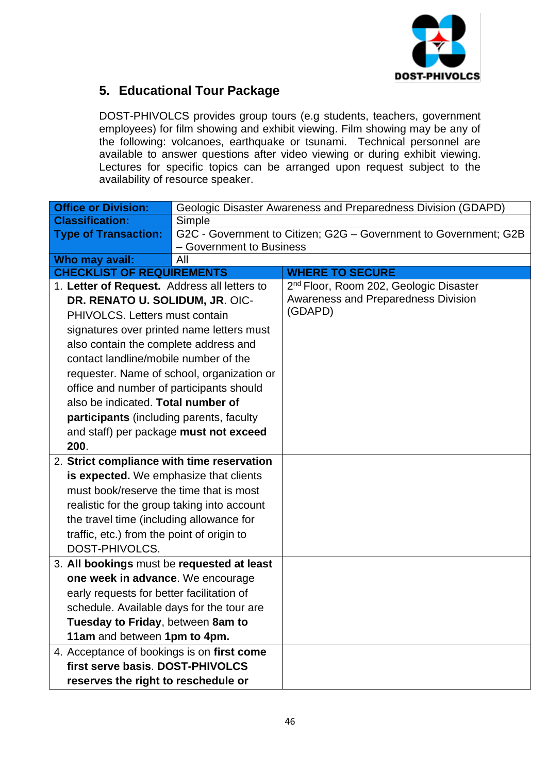

## **5. Educational Tour Package**

DOST-PHIVOLCS provides group tours (e.g students, teachers, government employees) for film showing and exhibit viewing. Film showing may be any of the following: volcanoes, earthquake or tsunami. Technical personnel are available to answer questions after video viewing or during exhibit viewing. Lectures for specific topics can be arranged upon request subject to the availability of resource speaker.

| <b>Office or Division:</b>                   |                                            | Geologic Disaster Awareness and Preparedness Division (GDAPD)    |  |  |  |  |
|----------------------------------------------|--------------------------------------------|------------------------------------------------------------------|--|--|--|--|
| <b>Classification:</b>                       | Simple                                     |                                                                  |  |  |  |  |
| <b>Type of Transaction:</b>                  |                                            | G2C - Government to Citizen; G2G - Government to Government; G2B |  |  |  |  |
|                                              | - Government to Business                   |                                                                  |  |  |  |  |
| Who may avail:                               | All                                        |                                                                  |  |  |  |  |
| <b>CHECKLIST OF REQUIREMENTS</b>             |                                            | <b>WHERE TO SECURE</b>                                           |  |  |  |  |
| 1. Letter of Request. Address all letters to |                                            | 2 <sup>nd</sup> Floor, Room 202, Geologic Disaster               |  |  |  |  |
| DR. RENATO U. SOLIDUM, JR. OIC-              |                                            | <b>Awareness and Preparedness Division</b><br>(GDAPD)            |  |  |  |  |
| PHIVOLCS. Letters must contain               |                                            |                                                                  |  |  |  |  |
| signatures over printed name letters must    |                                            |                                                                  |  |  |  |  |
| also contain the complete address and        |                                            |                                                                  |  |  |  |  |
| contact landline/mobile number of the        |                                            |                                                                  |  |  |  |  |
|                                              | requester. Name of school, organization or |                                                                  |  |  |  |  |
| office and number of participants should     |                                            |                                                                  |  |  |  |  |
| also be indicated. Total number of           |                                            |                                                                  |  |  |  |  |
| participants (including parents, faculty     |                                            |                                                                  |  |  |  |  |
| and staff) per package must not exceed       |                                            |                                                                  |  |  |  |  |
| 200.                                         |                                            |                                                                  |  |  |  |  |
| 2. Strict compliance with time reservation   |                                            |                                                                  |  |  |  |  |
| is expected. We emphasize that clients       |                                            |                                                                  |  |  |  |  |
| must book/reserve the time that is most      |                                            |                                                                  |  |  |  |  |
| realistic for the group taking into account  |                                            |                                                                  |  |  |  |  |
| the travel time (including allowance for     |                                            |                                                                  |  |  |  |  |
| traffic, etc.) from the point of origin to   |                                            |                                                                  |  |  |  |  |
| DOST-PHIVOLCS.                               |                                            |                                                                  |  |  |  |  |
| 3. All bookings must be requested at least   |                                            |                                                                  |  |  |  |  |
| one week in advance. We encourage            |                                            |                                                                  |  |  |  |  |
| early requests for better facilitation of    |                                            |                                                                  |  |  |  |  |
| schedule. Available days for the tour are    |                                            |                                                                  |  |  |  |  |
| Tuesday to Friday, between 8am to            |                                            |                                                                  |  |  |  |  |
| 11am and between 1pm to 4pm.                 |                                            |                                                                  |  |  |  |  |
| 4. Acceptance of bookings is on first come   |                                            |                                                                  |  |  |  |  |
| first serve basis. DOST-PHIVOLCS             |                                            |                                                                  |  |  |  |  |
|                                              |                                            |                                                                  |  |  |  |  |
| reserves the right to reschedule or          |                                            |                                                                  |  |  |  |  |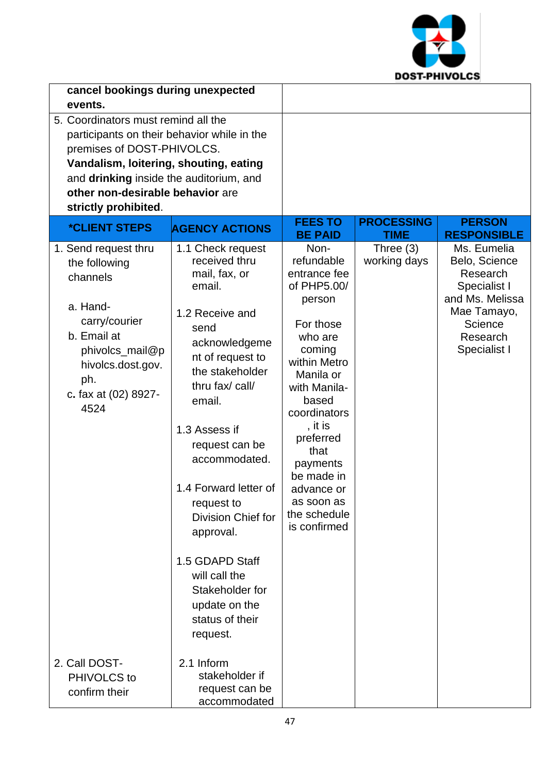

| cancel bookings during unexpected<br>events.                                                                                                                                                                                                                      |                                                                                                                                                                                                                                                                                                                                                                                                                           |                                                                                                                                                                                                                                                                                           |                                  |                                                                                                                                   |
|-------------------------------------------------------------------------------------------------------------------------------------------------------------------------------------------------------------------------------------------------------------------|---------------------------------------------------------------------------------------------------------------------------------------------------------------------------------------------------------------------------------------------------------------------------------------------------------------------------------------------------------------------------------------------------------------------------|-------------------------------------------------------------------------------------------------------------------------------------------------------------------------------------------------------------------------------------------------------------------------------------------|----------------------------------|-----------------------------------------------------------------------------------------------------------------------------------|
| 5. Coordinators must remind all the<br>participants on their behavior while in the<br>premises of DOST-PHIVOLCS.<br>Vandalism, loitering, shouting, eating<br>and drinking inside the auditorium, and<br>other non-desirable behavior are<br>strictly prohibited. |                                                                                                                                                                                                                                                                                                                                                                                                                           |                                                                                                                                                                                                                                                                                           |                                  |                                                                                                                                   |
| <i><b>*CLIENT STEPS</b></i>                                                                                                                                                                                                                                       | <b>AGENCY ACTIONS</b>                                                                                                                                                                                                                                                                                                                                                                                                     | <b>FEES TO</b><br><b>BE PAID</b>                                                                                                                                                                                                                                                          | <b>PROCESSING</b><br><b>TIME</b> | <b>PERSON</b><br><b>RESPONSIBLE</b>                                                                                               |
| 1. Send request thru<br>the following<br>channels<br>a. Hand-<br>carry/courier<br>b. Email at<br>phivolcs_mail@p<br>hivolcs.dost.gov.<br>ph.<br>c. fax at (02) 8927-<br>4524                                                                                      | 1.1 Check request<br>received thru<br>mail, fax, or<br>email.<br>1.2 Receive and<br>send<br>acknowledgeme<br>nt of request to<br>the stakeholder<br>thru fax/ call/<br>email.<br>1.3 Assess if<br>request can be<br>accommodated.<br>1.4 Forward letter of<br>request to<br><b>Division Chief for</b><br>approval.<br>1.5 GDAPD Staff<br>will call the<br>Stakeholder for<br>update on the<br>status of their<br>request. | Non-<br>refundable<br>entrance fee<br>of PHP5.00/<br>person<br>For those<br>who are<br>coming<br>within Metro<br>Manila or<br>with Manila-<br>based<br>coordinators<br>, it is<br>preferred<br>that<br>payments<br>be made in<br>advance or<br>as soon as<br>the schedule<br>is confirmed | Three $(3)$<br>working days      | Ms. Eumelia<br>Belo, Science<br>Research<br>Specialist I<br>and Ms. Melissa<br>Mae Tamayo,<br>Science<br>Research<br>Specialist I |
| 2. Call DOST-<br>PHIVOLCS to<br>confirm their                                                                                                                                                                                                                     | 2.1 Inform<br>stakeholder if<br>request can be<br>accommodated                                                                                                                                                                                                                                                                                                                                                            |                                                                                                                                                                                                                                                                                           |                                  |                                                                                                                                   |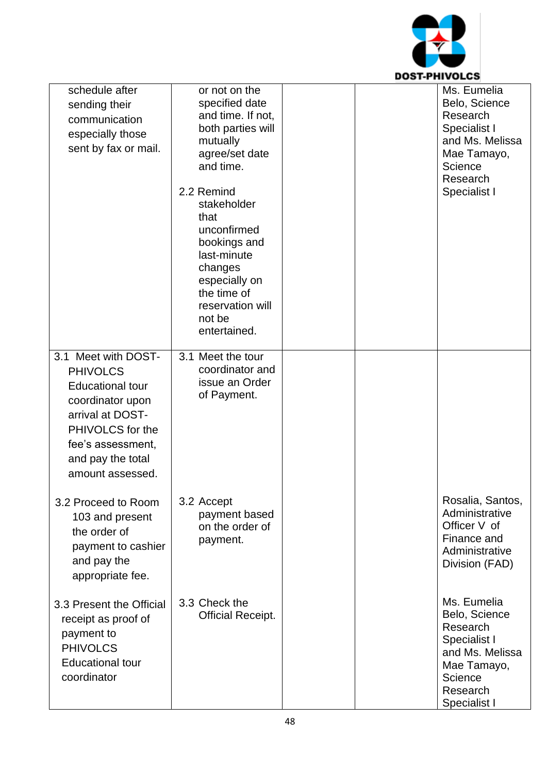

| schedule after<br>sending their<br>communication<br>especially those<br>sent by fax or mail.                                                                                                | or not on the<br>specified date<br>and time. If not,<br>both parties will<br>mutually<br>agree/set date<br>and time.<br>2.2 Remind<br>stakeholder<br>that<br>unconfirmed<br>bookings and<br>last-minute<br>changes<br>especially on<br>the time of<br>reservation will<br>not be<br>entertained. | Ms. Eumelia<br>Belo, Science<br>Research<br>Specialist I<br>and Ms. Melissa<br>Mae Tamayo,<br>Science<br>Research<br>Specialist I |
|---------------------------------------------------------------------------------------------------------------------------------------------------------------------------------------------|--------------------------------------------------------------------------------------------------------------------------------------------------------------------------------------------------------------------------------------------------------------------------------------------------|-----------------------------------------------------------------------------------------------------------------------------------|
| 3.1 Meet with DOST-<br><b>PHIVOLCS</b><br><b>Educational tour</b><br>coordinator upon<br>arrival at DOST-<br>PHIVOLCS for the<br>fee's assessment,<br>and pay the total<br>amount assessed. | 3.1 Meet the tour<br>coordinator and<br>issue an Order<br>of Payment.                                                                                                                                                                                                                            |                                                                                                                                   |
| 3.2 Proceed to Room<br>103 and present<br>the order of<br>payment to cashier<br>and pay the<br>appropriate fee.                                                                             | 3.2 Accept<br>payment based<br>on the order of<br>payment.                                                                                                                                                                                                                                       | Rosalia, Santos,<br>Administrative<br>Officer V of<br>Finance and<br>Administrative<br>Division (FAD)                             |
| 3.3 Present the Official<br>receipt as proof of<br>payment to<br><b>PHIVOLCS</b><br><b>Educational tour</b><br>coordinator                                                                  | 3.3 Check the<br><b>Official Receipt.</b>                                                                                                                                                                                                                                                        | Ms. Eumelia<br>Belo, Science<br>Research<br>Specialist I<br>and Ms. Melissa<br>Mae Tamayo,<br>Science<br>Research<br>Specialist I |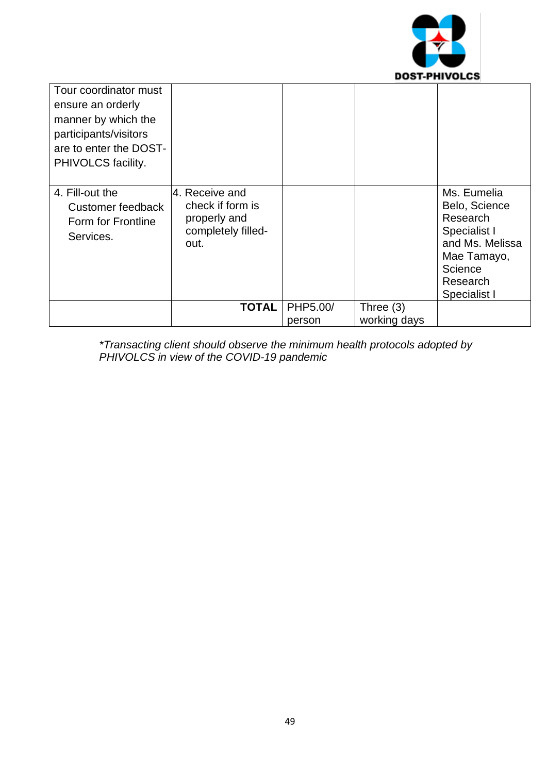

| Tour coordinator must<br>ensure an orderly<br>manner by which the<br>participants/visitors<br>are to enter the DOST-<br>PHIVOLCS facility. |                                                                                  |          |              |                                                                                                                                   |
|--------------------------------------------------------------------------------------------------------------------------------------------|----------------------------------------------------------------------------------|----------|--------------|-----------------------------------------------------------------------------------------------------------------------------------|
| 4. Fill-out the<br>Customer feedback<br>Form for Frontline<br>Services.                                                                    | 4. Receive and<br>check if form is<br>properly and<br>completely filled-<br>out. |          |              | Ms. Eumelia<br>Belo, Science<br>Research<br>Specialist I<br>and Ms. Melissa<br>Mae Tamayo,<br>Science<br>Research<br>Specialist I |
|                                                                                                                                            | TOTAL                                                                            | PHP5.00/ | Three $(3)$  |                                                                                                                                   |
|                                                                                                                                            |                                                                                  | person   | working days |                                                                                                                                   |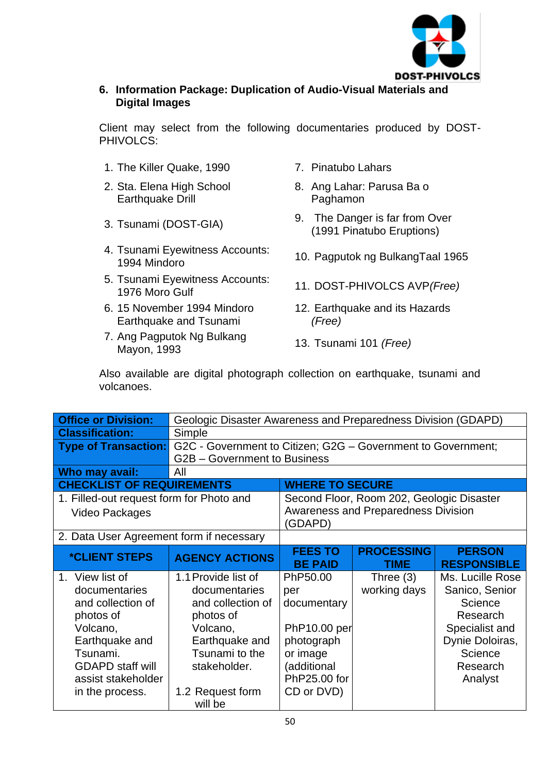

### **6. Information Package: Duplication of Audio-Visual Materials and Digital Images**

Client may select from the following documentaries produced by DOST-PHIVOLCS:

- 1. The Killer Quake, 1990 7. Pinatubo Lahars
- 2. Sta. Elena High School Earthquake Drill
- 
- 4. Tsunami Eyewitness Accounts: 1994 Mindoro 10. Pagputok ng BulkangTaal 1965
- 5. Tsunami Eyewitness Accounts: 1976 Moro Gulf 11. DOST-PHIVOLCS AVP*(Free)*
- 6. 15 November 1994 Mindoro Earthquake and Tsunami
- 7. Ang Pagputok Ng Bulkang Ang Pagpulok ng Bulkang<br>Mayon, 1993
- 
- 8. Ang Lahar: Parusa Ba o Paghamon
- 3. Tsunami (DOST-GIA) 9. The Danger is far from Over (1991 Pinatubo Eruptions)
	-
	-
	- 12. Earthquake and its Hazards *(Free)*
	-

Also available are digital photograph collection on earthquake, tsunami and volcanoes.

| <b>Office or Division:</b>               |                                                              | Geologic Disaster Awareness and Preparedness Division (GDAPD) |                                           |                    |  |
|------------------------------------------|--------------------------------------------------------------|---------------------------------------------------------------|-------------------------------------------|--------------------|--|
| <b>Classification:</b>                   | Simple                                                       |                                                               |                                           |                    |  |
| <b>Type of Transaction:</b>              | G2C - Government to Citizen; G2G - Government to Government; |                                                               |                                           |                    |  |
|                                          | G2B - Government to Business                                 |                                                               |                                           |                    |  |
| Who may avail:                           | All                                                          |                                                               |                                           |                    |  |
| <b>CHECKLIST OF REQUIREMENTS</b>         |                                                              | <b>WHERE TO SECURE</b>                                        |                                           |                    |  |
| 1. Filled-out request form for Photo and |                                                              |                                                               | Second Floor, Room 202, Geologic Disaster |                    |  |
| Video Packages                           |                                                              | (GDAPD)                                                       | Awareness and Preparedness Division       |                    |  |
| 2. Data User Agreement form if necessary |                                                              |                                                               |                                           |                    |  |
| <i><b>*CLIENT STEPS</b></i>              | <b>AGENCY ACTIONS</b>                                        | <b>FEES TO</b>                                                | <b>PROCESSING</b>                         | <b>PERSON</b>      |  |
|                                          |                                                              | <b>BE PAID</b>                                                | <b>TIME</b>                               | <b>RESPONSIBLE</b> |  |
| 1. View list of                          | 1.1 Provide list of                                          | PhP50.00                                                      | Three $(3)$                               | Ms. Lucille Rose   |  |
| documentaries                            | documentaries                                                | per                                                           | working days                              | Sanico, Senior     |  |
| and collection of                        | and collection of                                            | documentary                                                   |                                           | Science            |  |
| photos of                                | photos of                                                    |                                                               |                                           | Research           |  |
| Volcano,                                 | Volcano,                                                     | PhP10.00 per                                                  |                                           | Specialist and     |  |
| Earthquake and                           | Earthquake and                                               | photograph                                                    |                                           | Dynie Doloiras,    |  |
| Tsunami.                                 | Tsunami to the                                               | or image                                                      |                                           | Science            |  |
| <b>GDAPD staff will</b>                  | stakeholder.                                                 | (additional                                                   |                                           | Research           |  |
| assist stakeholder                       |                                                              | PhP25.00 for                                                  |                                           | Analyst            |  |
| in the process.                          | 1.2 Request form                                             | CD or DVD)                                                    |                                           |                    |  |
|                                          | will be                                                      |                                                               |                                           |                    |  |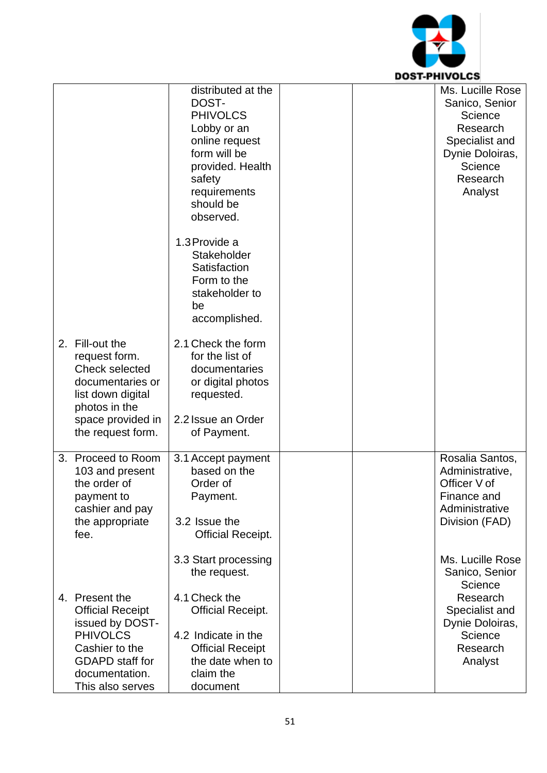

|                         | distributed at the       |  | Ms. Lucille Rose |
|-------------------------|--------------------------|--|------------------|
|                         | DOST-                    |  | Sanico, Senior   |
|                         | <b>PHIVOLCS</b>          |  | Science          |
|                         | Lobby or an              |  | Research         |
|                         | online request           |  | Specialist and   |
|                         | form will be             |  | Dynie Doloiras,  |
|                         | provided. Health         |  | Science          |
|                         | safety                   |  | Research         |
|                         |                          |  |                  |
|                         | requirements             |  | Analyst          |
|                         | should be                |  |                  |
|                         | observed.                |  |                  |
|                         | 1.3 Provide a            |  |                  |
|                         |                          |  |                  |
|                         | Stakeholder              |  |                  |
|                         | Satisfaction             |  |                  |
|                         | Form to the              |  |                  |
|                         | stakeholder to           |  |                  |
|                         | be                       |  |                  |
|                         | accomplished.            |  |                  |
|                         |                          |  |                  |
| 2. Fill-out the         | 2.1 Check the form       |  |                  |
| request form.           | for the list of          |  |                  |
| <b>Check selected</b>   | documentaries            |  |                  |
| documentaries or        | or digital photos        |  |                  |
| list down digital       | requested.               |  |                  |
| photos in the           |                          |  |                  |
| space provided in       | 2.2 Issue an Order       |  |                  |
| the request form.       | of Payment.              |  |                  |
|                         |                          |  |                  |
| 3. Proceed to Room      | 3.1 Accept payment       |  | Rosalia Santos,  |
| 103 and present         | based on the             |  | Administrative,  |
| the order of            | Order of                 |  | Officer V of     |
| payment to              | Payment.                 |  | Finance and      |
| cashier and pay         |                          |  | Administrative   |
| the appropriate         | 3.2 Issue the            |  | Division (FAD)   |
| fee.                    | <b>Official Receipt.</b> |  |                  |
|                         |                          |  |                  |
|                         | 3.3 Start processing     |  | Ms. Lucille Rose |
|                         | the request.             |  | Sanico, Senior   |
|                         |                          |  | Science          |
| 4. Present the          | 4.1 Check the            |  | Research         |
|                         |                          |  |                  |
| <b>Official Receipt</b> | <b>Official Receipt.</b> |  | Specialist and   |
| issued by DOST-         |                          |  | Dynie Doloiras,  |
| <b>PHIVOLCS</b>         | 4.2 Indicate in the      |  | Science          |
| Cashier to the          | <b>Official Receipt</b>  |  | Research         |
| <b>GDAPD</b> staff for  | the date when to         |  | Analyst          |
| documentation.          | claim the                |  |                  |
| This also serves        | document                 |  |                  |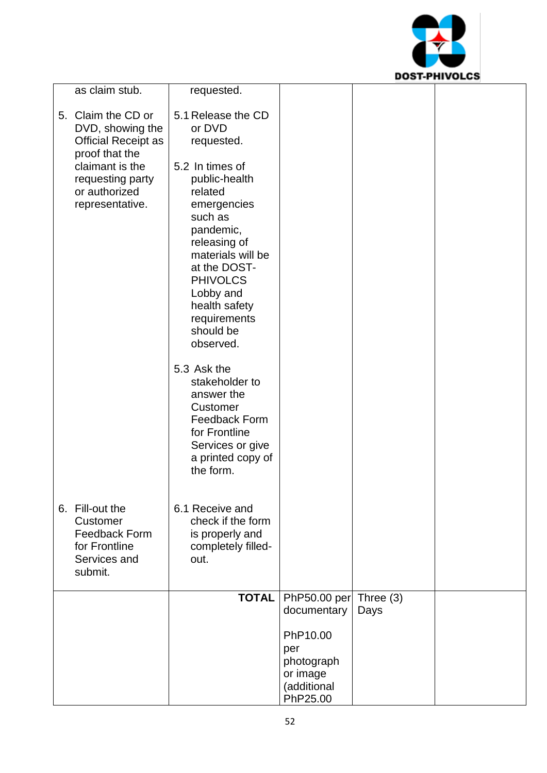

| as claim stub.                                                                                  | requested.                                                                                                                                                                                                                         |                          |      |  |
|-------------------------------------------------------------------------------------------------|------------------------------------------------------------------------------------------------------------------------------------------------------------------------------------------------------------------------------------|--------------------------|------|--|
| 5. Claim the CD or<br>DVD, showing the<br><b>Official Receipt as</b><br>proof that the          | 5.1 Release the CD<br>or DVD<br>requested.                                                                                                                                                                                         |                          |      |  |
| claimant is the<br>requesting party<br>or authorized<br>representative.                         | 5.2 In times of<br>public-health<br>related<br>emergencies<br>such as<br>pandemic,<br>releasing of<br>materials will be<br>at the DOST-<br><b>PHIVOLCS</b><br>Lobby and<br>health safety<br>requirements<br>should be<br>observed. |                          |      |  |
|                                                                                                 | 5.3 Ask the<br>stakeholder to<br>answer the<br>Customer<br><b>Feedback Form</b><br>for Frontline<br>Services or give<br>a printed copy of<br>the form.                                                                             |                          |      |  |
| 6. Fill-out the<br>Customer<br><b>Feedback Form</b><br>for Frontline<br>Services and<br>submit. | 6.1 Receive and<br>check if the form<br>is properly and<br>completely filled-<br>out.                                                                                                                                              |                          |      |  |
|                                                                                                 | <b>TOTAL</b>                                                                                                                                                                                                                       | PhP50.00 per Three $(3)$ |      |  |
|                                                                                                 |                                                                                                                                                                                                                                    | documentary              | Days |  |
|                                                                                                 |                                                                                                                                                                                                                                    | PhP10.00<br>per          |      |  |
|                                                                                                 |                                                                                                                                                                                                                                    | photograph               |      |  |
|                                                                                                 |                                                                                                                                                                                                                                    | or image<br>(additional  |      |  |
|                                                                                                 |                                                                                                                                                                                                                                    | PhP25.00                 |      |  |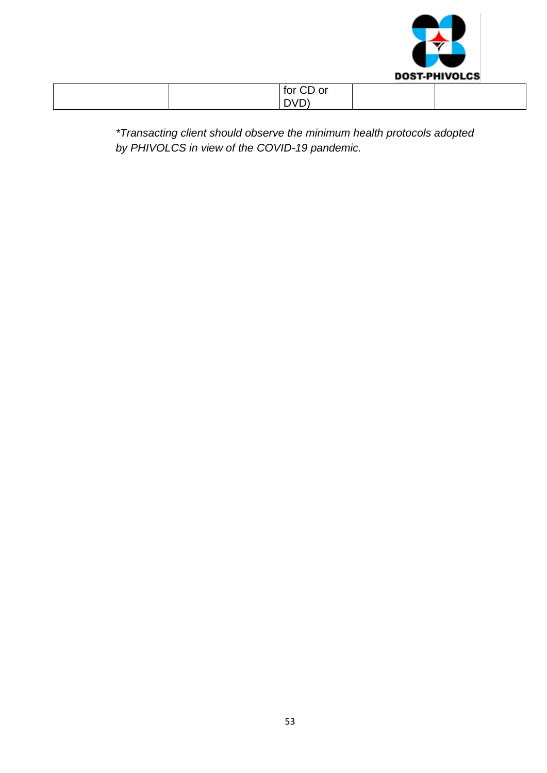

| for CD or                    |  |
|------------------------------|--|
| DVD <sup>'</sup><br><u>_</u> |  |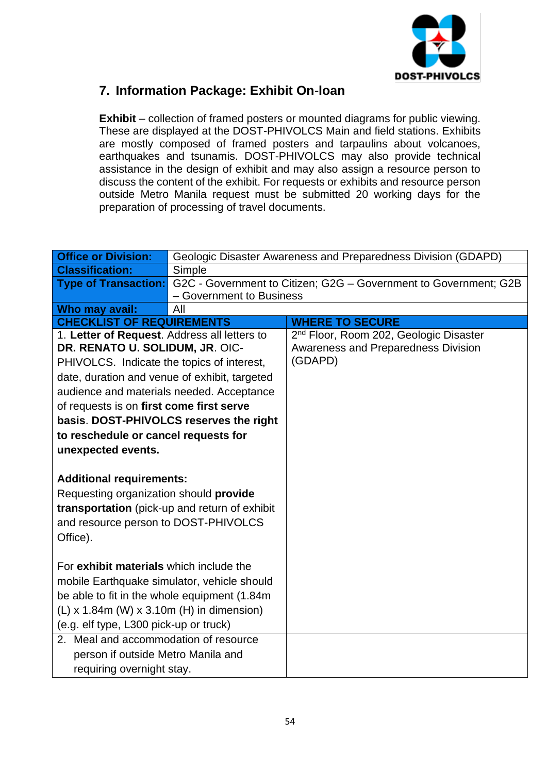

## **7. Information Package: Exhibit On-loan**

**Exhibit** – collection of framed posters or mounted diagrams for public viewing. These are displayed at the DOST-PHIVOLCS Main and field stations. Exhibits are mostly composed of framed posters and tarpaulins about volcanoes, earthquakes and tsunamis. DOST-PHIVOLCS may also provide technical assistance in the design of exhibit and may also assign a resource person to discuss the content of the exhibit. For requests or exhibits and resource person outside Metro Manila request must be submitted 20 working days for the preparation of processing of travel documents.

| <b>Office or Division:</b>                    |                                         | Geologic Disaster Awareness and Preparedness Division (GDAPD)                         |
|-----------------------------------------------|-----------------------------------------|---------------------------------------------------------------------------------------|
| <b>Classification:</b>                        | Simple                                  |                                                                                       |
|                                               |                                         | Type of Transaction: G2C - Government to Citizen; G2G - Government to Government; G2B |
|                                               | - Government to Business                |                                                                                       |
| Who may avail:                                | All                                     |                                                                                       |
| <b>CHECKLIST OF REQUIREMENTS</b>              |                                         | <b>WHERE TO SECURE</b>                                                                |
| 1. Letter of Request. Address all letters to  |                                         | 2 <sup>nd</sup> Floor, Room 202, Geologic Disaster                                    |
| DR. RENATO U. SOLIDUM, JR. OIC-               |                                         | <b>Awareness and Preparedness Division</b><br>(GDAPD)                                 |
| PHIVOLCS. Indicate the topics of interest,    |                                         |                                                                                       |
| date, duration and venue of exhibit, targeted |                                         |                                                                                       |
| audience and materials needed. Acceptance     |                                         |                                                                                       |
| of requests is on first come first serve      |                                         |                                                                                       |
|                                               | basis. DOST-PHIVOLCS reserves the right |                                                                                       |
| to reschedule or cancel requests for          |                                         |                                                                                       |
| unexpected events.                            |                                         |                                                                                       |
|                                               |                                         |                                                                                       |
| <b>Additional requirements:</b>               |                                         |                                                                                       |
| Requesting organization should provide        |                                         |                                                                                       |
| transportation (pick-up and return of exhibit |                                         |                                                                                       |
| and resource person to DOST-PHIVOLCS          |                                         |                                                                                       |
| Office).                                      |                                         |                                                                                       |
|                                               |                                         |                                                                                       |
| For exhibit materials which include the       |                                         |                                                                                       |
| mobile Earthquake simulator, vehicle should   |                                         |                                                                                       |
| be able to fit in the whole equipment (1.84m) |                                         |                                                                                       |
| $(L)$ x 1.84m (W) x 3.10m (H) in dimension)   |                                         |                                                                                       |
| (e.g. elf type, L300 pick-up or truck)        |                                         |                                                                                       |
| 2. Meal and accommodation of resource         |                                         |                                                                                       |
| person if outside Metro Manila and            |                                         |                                                                                       |
| requiring overnight stay.                     |                                         |                                                                                       |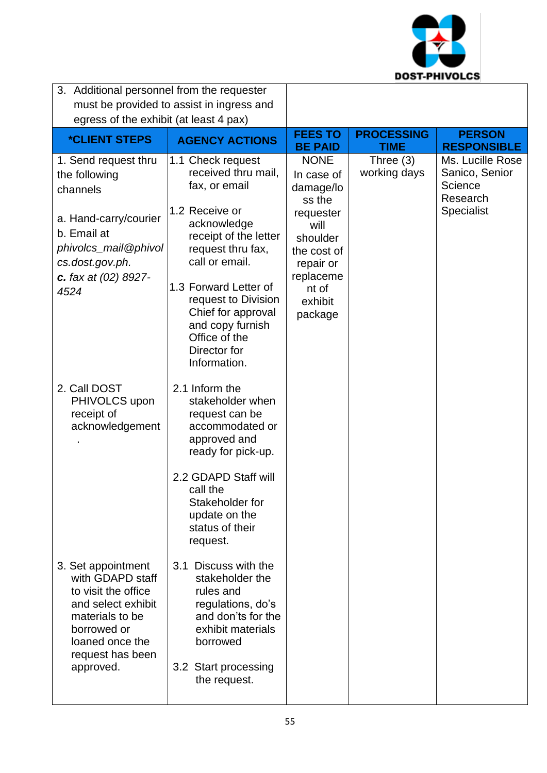

| 3. Additional personnel from the requester<br>must be provided to assist in ingress and<br>egress of the exhibit (at least 4 pax)                                         |                                                                                                                                                                                                                                                                                                       |                                                                                                                                                           |                             |                                                                                |
|---------------------------------------------------------------------------------------------------------------------------------------------------------------------------|-------------------------------------------------------------------------------------------------------------------------------------------------------------------------------------------------------------------------------------------------------------------------------------------------------|-----------------------------------------------------------------------------------------------------------------------------------------------------------|-----------------------------|--------------------------------------------------------------------------------|
| <i><b>*CLIENT STEPS</b></i>                                                                                                                                               | <b>AGENCY ACTIONS</b>                                                                                                                                                                                                                                                                                 | <b>FEES TO</b><br><b>BE PAID</b>                                                                                                                          | <b>PROCESSING</b><br>TIME   | <b>PERSON</b><br><b>RESPONSIBLE</b>                                            |
| 1. Send request thru<br>the following<br>channels<br>a. Hand-carry/courier<br>b. Email at<br>phivolcs_mail@phivol<br>cs.dost.gov.ph.<br>c. fax at $(02)$ 8927-<br>4524    | 1.1 Check request<br>received thru mail,<br>fax, or email<br>1.2 Receive or<br>acknowledge<br>receipt of the letter<br>request thru fax,<br>call or email.<br>1.3 Forward Letter of<br>request to Division<br>Chief for approval<br>and copy furnish<br>Office of the<br>Director for<br>Information. | <b>NONE</b><br>In case of<br>damage/lo<br>ss the<br>requester<br>will<br>shoulder<br>the cost of<br>repair or<br>replaceme<br>nt of<br>exhibit<br>package | Three $(3)$<br>working days | Ms. Lucille Rose<br>Sanico, Senior<br>Science<br>Research<br><b>Specialist</b> |
| 2. Call DOST<br>PHIVOLCS upon<br>receipt of<br>acknowledgement                                                                                                            | 2.1 Inform the<br>stakeholder when<br>request can be<br>accommodated or<br>approved and<br>ready for pick-up.<br>2.2 GDAPD Staff will<br>call the<br>Stakeholder for<br>update on the<br>status of their<br>request.                                                                                  |                                                                                                                                                           |                             |                                                                                |
| 3. Set appointment<br>with GDAPD staff<br>to visit the office<br>and select exhibit<br>materials to be<br>borrowed or<br>loaned once the<br>request has been<br>approved. | Discuss with the<br>3.1<br>stakeholder the<br>rules and<br>regulations, do's<br>and don'ts for the<br>exhibit materials<br>borrowed<br>3.2 Start processing<br>the request.                                                                                                                           |                                                                                                                                                           |                             |                                                                                |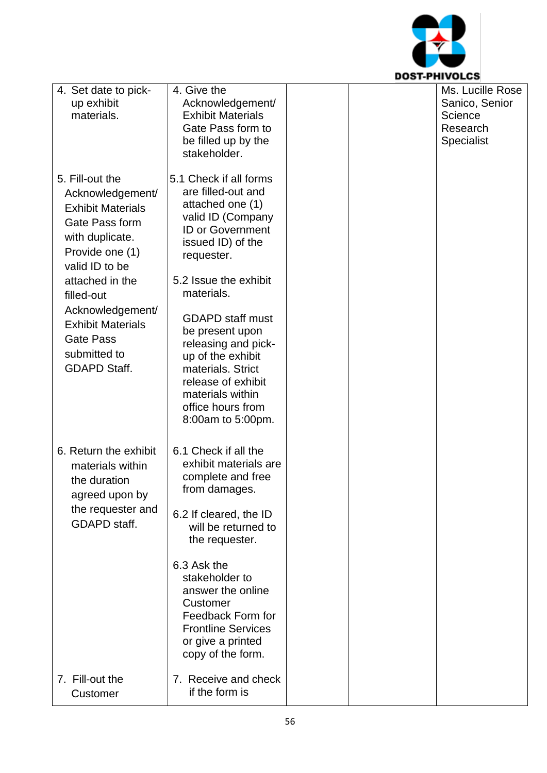

| 4. Set date to pick-<br>up exhibit<br>materials.                                                        | 4. Give the<br>Acknowledgement/<br><b>Exhibit Materials</b>                                                                                                |  | Ms. Lucille Rose<br>Sanico, Senior<br>Science |
|---------------------------------------------------------------------------------------------------------|------------------------------------------------------------------------------------------------------------------------------------------------------------|--|-----------------------------------------------|
|                                                                                                         | Gate Pass form to<br>be filled up by the                                                                                                                   |  | Research<br>Specialist                        |
| 5. Fill-out the                                                                                         | stakeholder.<br>5.1 Check if all forms                                                                                                                     |  |                                               |
| Acknowledgement/<br><b>Exhibit Materials</b>                                                            | are filled-out and<br>attached one (1)<br>valid ID (Company                                                                                                |  |                                               |
| Gate Pass form<br>with duplicate.<br>Provide one (1)<br>valid ID to be                                  | <b>ID or Government</b><br>issued ID) of the<br>requester.                                                                                                 |  |                                               |
| attached in the<br>filled-out                                                                           | 5.2 Issue the exhibit<br>materials.                                                                                                                        |  |                                               |
| Acknowledgement/<br><b>Exhibit Materials</b><br><b>Gate Pass</b><br>submitted to<br><b>GDAPD Staff.</b> | <b>GDAPD staff must</b><br>be present upon<br>releasing and pick-<br>up of the exhibit<br>materials. Strict                                                |  |                                               |
|                                                                                                         | release of exhibit<br>materials within<br>office hours from<br>8:00am to 5:00pm.                                                                           |  |                                               |
| 6. Return the exhibit<br>materials within<br>the duration<br>agreed upon by                             | 6.1 Check if all the<br>exhibit materials are<br>complete and free<br>from damages.                                                                        |  |                                               |
| the requester and<br>GDAPD staff.                                                                       | 6.2 If cleared, the ID<br>will be returned to<br>the requester.                                                                                            |  |                                               |
|                                                                                                         | 6.3 Ask the<br>stakeholder to<br>answer the online<br>Customer<br>Feedback Form for<br><b>Frontline Services</b><br>or give a printed<br>copy of the form. |  |                                               |
| 7. Fill-out the<br>Customer                                                                             | 7. Receive and check<br>if the form is                                                                                                                     |  |                                               |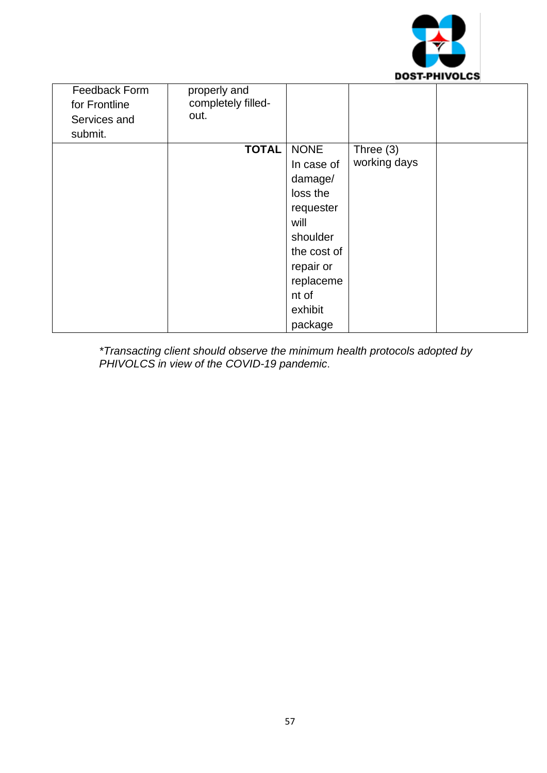

| Feedback Form | properly and       |             |              |  |
|---------------|--------------------|-------------|--------------|--|
| for Frontline | completely filled- |             |              |  |
| Services and  | out.               |             |              |  |
| submit.       |                    |             |              |  |
|               | <b>TOTAL</b>       | <b>NONE</b> | Three $(3)$  |  |
|               |                    | In case of  | working days |  |
|               |                    | damage/     |              |  |
|               |                    | loss the    |              |  |
|               |                    | requester   |              |  |
|               |                    | will        |              |  |
|               |                    | shoulder    |              |  |
|               |                    | the cost of |              |  |
|               |                    | repair or   |              |  |
|               |                    | replaceme   |              |  |
|               |                    | nt of       |              |  |
|               |                    | exhibit     |              |  |
|               |                    | package     |              |  |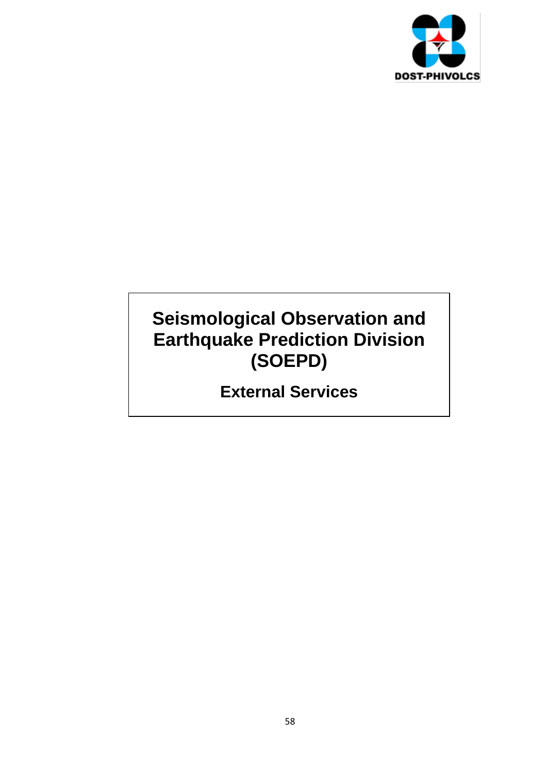

# **Seismological Observation and Earthquake Prediction Division (SOEPD)**

**External Services**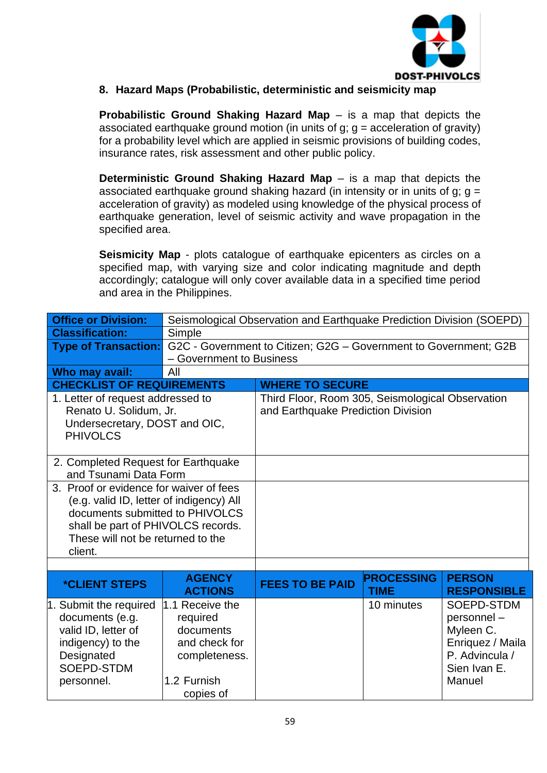

#### **8. Hazard Maps (Probabilistic, deterministic and seismicity map**

**Probabilistic Ground Shaking Hazard Map** – is a map that depicts the associated earthquake ground motion (in units of  $a$ ;  $a =$  acceleration of gravity) for a probability level which are applied in seismic provisions of building codes, insurance rates, risk assessment and other public policy.

**Deterministic Ground Shaking Hazard Map** – is a map that depicts the associated earthquake ground shaking hazard (in intensity or in units of g;  $q =$ acceleration of gravity) as modeled using knowledge of the physical process of earthquake generation, level of seismic activity and wave propagation in the specified area.

**Seismicity Map** - plots catalogue of earthquake epicenters as circles on a specified map, with varying size and color indicating magnitude and depth accordingly; catalogue will only cover available data in a specified time period and area in the Philippines.

| <b>Office or Division:</b>                                                                                                                                                                                   | Seismological Observation and Earthquake Prediction Division (SOEPD)                                   |                                                                                        |                                  |                                                                                                       |
|--------------------------------------------------------------------------------------------------------------------------------------------------------------------------------------------------------------|--------------------------------------------------------------------------------------------------------|----------------------------------------------------------------------------------------|----------------------------------|-------------------------------------------------------------------------------------------------------|
| <b>Classification:</b>                                                                                                                                                                                       | Simple                                                                                                 |                                                                                        |                                  |                                                                                                       |
| <b>Type of Transaction:</b>                                                                                                                                                                                  |                                                                                                        | G2C - Government to Citizen; G2G - Government to Government; G2B                       |                                  |                                                                                                       |
|                                                                                                                                                                                                              | - Government to Business                                                                               |                                                                                        |                                  |                                                                                                       |
| Who may avail:                                                                                                                                                                                               | All                                                                                                    |                                                                                        |                                  |                                                                                                       |
| <b>CHECKLIST OF REQUIREMENTS</b>                                                                                                                                                                             |                                                                                                        | <b>WHERE TO SECURE</b>                                                                 |                                  |                                                                                                       |
| 1. Letter of request addressed to<br>Renato U. Solidum, Jr.<br>Undersecretary, DOST and OIC,<br><b>PHIVOLCS</b>                                                                                              |                                                                                                        | Third Floor, Room 305, Seismological Observation<br>and Earthquake Prediction Division |                                  |                                                                                                       |
| 2. Completed Request for Earthquake<br>and Tsunami Data Form                                                                                                                                                 |                                                                                                        |                                                                                        |                                  |                                                                                                       |
| 3. Proof or evidence for waiver of fees<br>(e.g. valid ID, letter of indigency) All<br>documents submitted to PHIVOLCS<br>shall be part of PHIVOLCS records.<br>These will not be returned to the<br>client. |                                                                                                        |                                                                                        |                                  |                                                                                                       |
|                                                                                                                                                                                                              |                                                                                                        |                                                                                        |                                  |                                                                                                       |
| <i><b>*CLIENT STEPS</b></i>                                                                                                                                                                                  | <b>AGENCY</b><br><b>ACTIONS</b>                                                                        | <b>FEES TO BE PAID</b>                                                                 | <b>PROCESSING</b><br><b>TIME</b> | <b>PERSON</b><br><b>RESPONSIBLE</b>                                                                   |
| 1. Submit the required<br>documents (e.g.<br>valid ID, letter of<br>indigency) to the<br>Designated<br>SOEPD-STDM<br>personnel.                                                                              | 1.1 Receive the<br>required<br>documents<br>and check for<br>completeness.<br>1.2 Furnish<br>copies of |                                                                                        | 10 minutes                       | SOEPD-STDM<br>personnel-<br>Myleen C.<br>Enriquez / Maila<br>P. Advincula /<br>Sien Ivan E.<br>Manuel |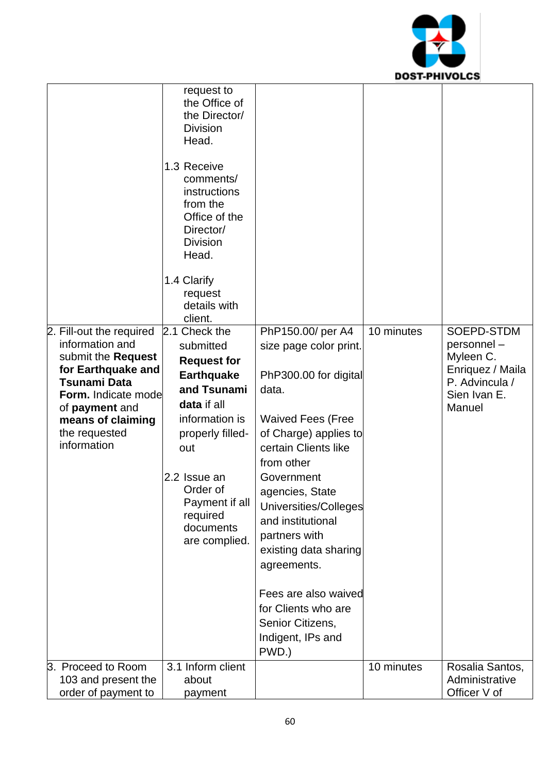

|                                                                                                                                                                                                              | request to<br>the Office of<br>the Director/<br><b>Division</b><br>Head.<br>1.3 Receive<br>comments/<br>instructions<br>from the<br>Office of the<br>Director/<br><b>Division</b><br>Head.<br>1.4 Clarify<br>request<br>details with     |                                                                                                                                                                                                                                                                                                                                                                                                                   |            |                                                                                                       |
|--------------------------------------------------------------------------------------------------------------------------------------------------------------------------------------------------------------|------------------------------------------------------------------------------------------------------------------------------------------------------------------------------------------------------------------------------------------|-------------------------------------------------------------------------------------------------------------------------------------------------------------------------------------------------------------------------------------------------------------------------------------------------------------------------------------------------------------------------------------------------------------------|------------|-------------------------------------------------------------------------------------------------------|
|                                                                                                                                                                                                              | client.                                                                                                                                                                                                                                  |                                                                                                                                                                                                                                                                                                                                                                                                                   |            |                                                                                                       |
| 2. Fill-out the required<br>information and<br>submit the Request<br>for Earthquake and<br><b>Tsunami Data</b><br>Form. Indicate mode<br>of payment and<br>means of claiming<br>the requested<br>information | 2.1 Check the<br>submitted<br><b>Request for</b><br><b>Earthquake</b><br>and Tsunami<br>data if all<br>information is<br>properly filled-<br>out<br>2.2 Issue an<br>Order of<br>Payment if all<br>required<br>documents<br>are complied. | PhP150.00/ per A4<br>size page color print.<br>PhP300.00 for digital<br>data.<br><b>Waived Fees (Free</b><br>of Charge) applies to<br>certain Clients like<br>from other<br>Government<br>agencies, State<br>Universities/Colleges<br>and institutional<br>partners with<br>existing data sharing<br>agreements.<br>Fees are also waived<br>for Clients who are<br>Senior Citizens,<br>Indigent, IPs and<br>PWD.) | 10 minutes | SOEPD-STDM<br>personnel-<br>Myleen C.<br>Enriquez / Maila<br>P. Advincula /<br>Sien Ivan E.<br>Manuel |
| 3. Proceed to Room                                                                                                                                                                                           | 3.1 Inform client                                                                                                                                                                                                                        |                                                                                                                                                                                                                                                                                                                                                                                                                   | 10 minutes | Rosalia Santos,                                                                                       |
| 103 and present the<br>order of payment to                                                                                                                                                                   | about<br>payment                                                                                                                                                                                                                         |                                                                                                                                                                                                                                                                                                                                                                                                                   |            | Administrative<br>Officer V of                                                                        |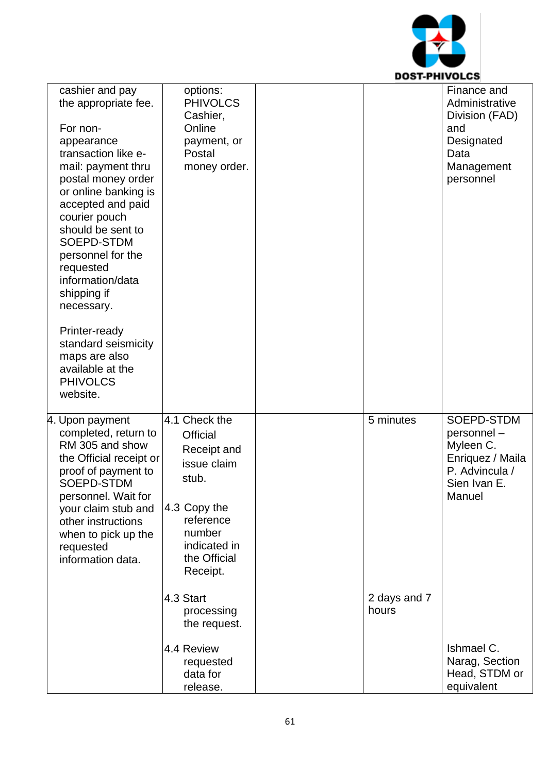

| cashier and pay<br>the appropriate fee. | options:<br><b>PHIVOLCS</b><br>Cashier, |              | Finance and<br>Administrative<br>Division (FAD) |
|-----------------------------------------|-----------------------------------------|--------------|-------------------------------------------------|
| For non-                                | Online                                  |              | and                                             |
| appearance                              | payment, or                             |              | Designated                                      |
| transaction like e-                     | Postal                                  |              | Data                                            |
| mail: payment thru                      | money order.                            |              | Management                                      |
| postal money order                      |                                         |              | personnel                                       |
| or online banking is                    |                                         |              |                                                 |
| accepted and paid                       |                                         |              |                                                 |
| courier pouch                           |                                         |              |                                                 |
| should be sent to                       |                                         |              |                                                 |
| SOEPD-STDM                              |                                         |              |                                                 |
| personnel for the                       |                                         |              |                                                 |
| requested<br>information/data           |                                         |              |                                                 |
| shipping if                             |                                         |              |                                                 |
| necessary.                              |                                         |              |                                                 |
|                                         |                                         |              |                                                 |
| Printer-ready                           |                                         |              |                                                 |
| standard seismicity                     |                                         |              |                                                 |
| maps are also                           |                                         |              |                                                 |
| available at the                        |                                         |              |                                                 |
| <b>PHIVOLCS</b><br>website.             |                                         |              |                                                 |
|                                         |                                         |              |                                                 |
| 4. Upon payment                         | 4.1 Check the                           | 5 minutes    | SOEPD-STDM                                      |
| completed, return to                    | <b>Official</b>                         |              | personnel-                                      |
| RM 305 and show                         | Receipt and                             |              | Myleen C.                                       |
| the Official receipt or                 | issue claim                             |              | Enriquez / Maila                                |
| proof of payment to<br>SOEPD-STDM       | stub.                                   |              | P. Advincula /<br>Sien Ivan E.                  |
| personnel. Wait for                     |                                         |              | Manuel                                          |
| your claim stub and                     | 4.3 Copy the                            |              |                                                 |
| other instructions                      | reference                               |              |                                                 |
| when to pick up the                     | number                                  |              |                                                 |
| requested                               | indicated in                            |              |                                                 |
| information data.                       | the Official                            |              |                                                 |
|                                         | Receipt.                                |              |                                                 |
|                                         | 4.3 Start                               | 2 days and 7 |                                                 |
|                                         | processing                              | hours        |                                                 |
|                                         | the request.                            |              |                                                 |
|                                         |                                         |              |                                                 |
|                                         | 4.4 Review                              |              | Ishmael C.                                      |
|                                         | requested                               |              | Narag, Section                                  |
|                                         | data for                                |              | Head, STDM or<br>equivalent                     |
|                                         | release.                                |              |                                                 |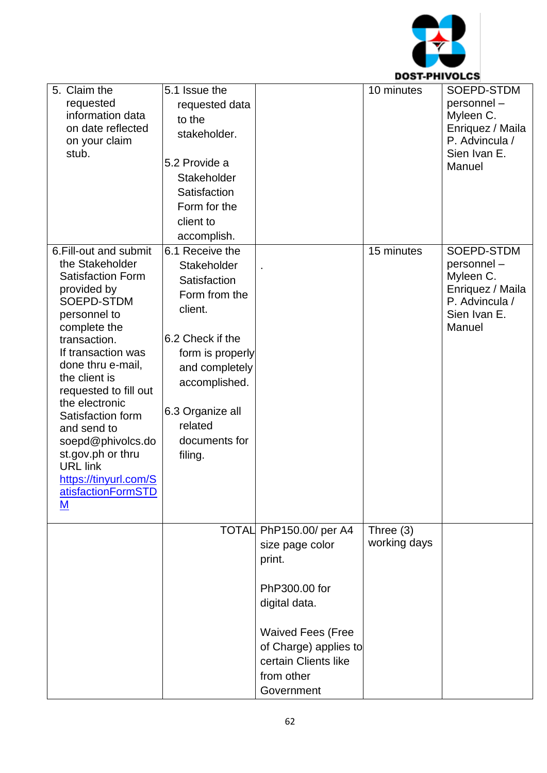

| 5. Claim the<br>requested<br>information data<br>on date reflected<br>on your claim<br>stub.                                                                                                                                                                                                                                                                                                                   | 5.1 Issue the<br>requested data<br>to the<br>stakeholder.<br>5.2 Provide a<br>Stakeholder<br>Satisfaction<br>Form for the<br>client to<br>accomplish.                                                            |                                                                                                                                                                                                 | 10 minutes                  | SOEPD-STDM<br>personnel-<br>Myleen C.<br>Enriquez / Maila<br>P. Advincula /<br>Sien Ivan E.<br>Manuel |
|----------------------------------------------------------------------------------------------------------------------------------------------------------------------------------------------------------------------------------------------------------------------------------------------------------------------------------------------------------------------------------------------------------------|------------------------------------------------------------------------------------------------------------------------------------------------------------------------------------------------------------------|-------------------------------------------------------------------------------------------------------------------------------------------------------------------------------------------------|-----------------------------|-------------------------------------------------------------------------------------------------------|
| 6. Fill-out and submit<br>the Stakeholder<br><b>Satisfaction Form</b><br>provided by<br>SOEPD-STDM<br>personnel to<br>complete the<br>transaction.<br>If transaction was<br>done thru e-mail,<br>the client is<br>requested to fill out<br>the electronic<br>Satisfaction form<br>and send to<br>soepd@phivolcs.do<br>st.gov.ph or thru<br><b>URL</b> link<br>https://tinyurl.com/S<br>atisfactionFormSTD<br>M | 6.1 Receive the<br>Stakeholder<br>Satisfaction<br>Form from the<br>client.<br>6.2 Check if the<br>form is properly<br>and completely<br>accomplished.<br>6.3 Organize all<br>related<br>documents for<br>filing. |                                                                                                                                                                                                 | 15 minutes                  | SOEPD-STDM<br>personnel-<br>Myleen C.<br>Enriquez / Maila<br>P. Advincula /<br>Sien Ivan E.<br>Manuel |
|                                                                                                                                                                                                                                                                                                                                                                                                                |                                                                                                                                                                                                                  | TOTAL PhP150.00/ per A4<br>size page color<br>print.<br>PhP300.00 for<br>digital data.<br><b>Waived Fees (Free</b><br>of Charge) applies to<br>certain Clients like<br>from other<br>Government | Three $(3)$<br>working days |                                                                                                       |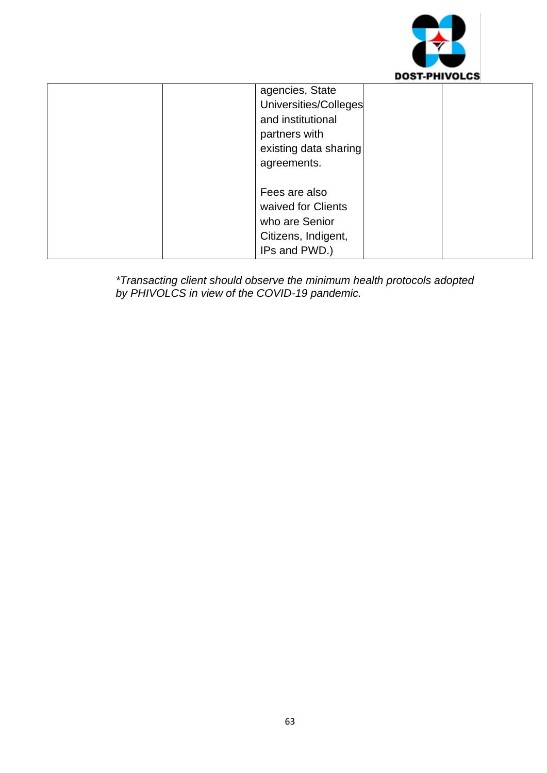

| agencies, State<br>Universities/Colleges<br>and institutional<br>partners with<br>existing data sharing<br>agreements. |
|------------------------------------------------------------------------------------------------------------------------|
| Fees are also<br>waived for Clients<br>who are Senior<br>Citizens, Indigent,<br>IPs and PWD.)                          |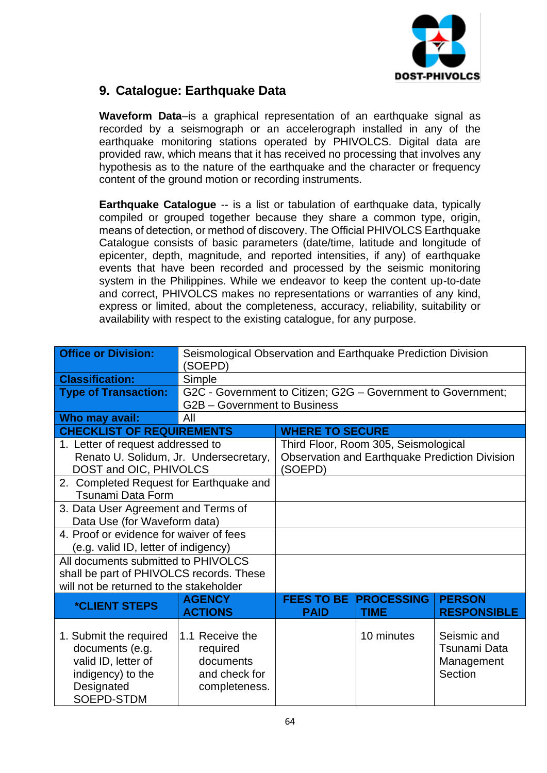

## **9. Catalogue: Earthquake Data**

**Waveform Data**–is a graphical representation of an earthquake signal as recorded by a seismograph or an accelerograph installed in any of the earthquake monitoring stations operated by PHIVOLCS. Digital data are provided raw, which means that it has received no processing that involves any hypothesis as to the nature of the earthquake and the character or frequency content of the ground motion or recording instruments.

**Earthquake Catalogue** -- is a list or tabulation of earthquake data, typically compiled or grouped together because they share a common type, origin, means of detection, or method of discovery. The Official PHIVOLCS Earthquake Catalogue consists of basic parameters (date/time, latitude and longitude of epicenter, depth, magnitude, and reported intensities, if any) of earthquake events that have been recorded and processed by the seismic monitoring system in the Philippines. While we endeavor to keep the content up-to-date and correct, PHIVOLCS makes no representations or warranties of any kind, express or limited, about the completeness, accuracy, reliability, suitability or availability with respect to the existing catalogue, for any purpose.

| <b>Office or Division:</b>               | Seismological Observation and Earthquake Prediction Division<br>(SOEPD) |                        |                                      |                                                       |
|------------------------------------------|-------------------------------------------------------------------------|------------------------|--------------------------------------|-------------------------------------------------------|
| <b>Classification:</b>                   | Simple                                                                  |                        |                                      |                                                       |
| <b>Type of Transaction:</b>              | G2C - Government to Citizen; G2G - Government to Government;            |                        |                                      |                                                       |
|                                          | G2B - Government to Business                                            |                        |                                      |                                                       |
| Who may avail:                           | All                                                                     |                        |                                      |                                                       |
| <b>CHECKLIST OF REQUIREMENTS</b>         |                                                                         | <b>WHERE TO SECURE</b> |                                      |                                                       |
| 1. Letter of request addressed to        |                                                                         |                        | Third Floor, Room 305, Seismological |                                                       |
| Renato U. Solidum, Jr. Undersecretary,   |                                                                         |                        |                                      | <b>Observation and Earthquake Prediction Division</b> |
| DOST and OIC, PHIVOLCS                   |                                                                         | (SOEPD)                |                                      |                                                       |
| 2. Completed Request for Earthquake and  |                                                                         |                        |                                      |                                                       |
| Tsunami Data Form                        |                                                                         |                        |                                      |                                                       |
| 3. Data User Agreement and Terms of      |                                                                         |                        |                                      |                                                       |
| Data Use (for Waveform data)             |                                                                         |                        |                                      |                                                       |
| 4. Proof or evidence for waiver of fees  |                                                                         |                        |                                      |                                                       |
| (e.g. valid ID, letter of indigency)     |                                                                         |                        |                                      |                                                       |
| All documents submitted to PHIVOLCS      |                                                                         |                        |                                      |                                                       |
| shall be part of PHIVOLCS records. These |                                                                         |                        |                                      |                                                       |
| will not be returned to the stakeholder  |                                                                         |                        |                                      |                                                       |
| <i><b>*CLIENT STEPS</b></i>              | <b>AGENCY</b>                                                           | <b>FEES TO BE</b>      | <b>PROCESSING</b>                    | <b>PERSON</b>                                         |
|                                          | <b>ACTIONS</b>                                                          | <b>PAID</b>            | <b>TIME</b>                          | <b>RESPONSIBLE</b>                                    |
|                                          |                                                                         |                        |                                      |                                                       |
| 1. Submit the required                   | 1.1 Receive the                                                         |                        | 10 minutes                           | Seismic and                                           |
| documents (e.g.                          | required                                                                |                        |                                      | <b>Tsunami Data</b>                                   |
| valid ID, letter of                      | documents                                                               |                        |                                      | Management                                            |
| indigency) to the                        | and check for                                                           |                        |                                      | Section                                               |
| Designated                               | completeness.                                                           |                        |                                      |                                                       |
| SOEPD-STDM                               |                                                                         |                        |                                      |                                                       |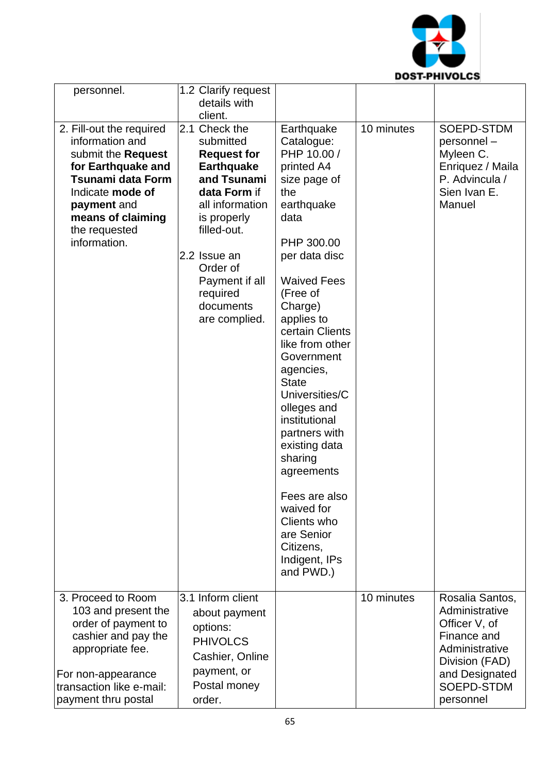

| personnel.                                                                                                                                                                                                   | 1.2 Clarify request<br>details with                                                                                                                                                                                                           |                                                                                                                                                                                                                                                                                                                                                                                                                                                                                                   |            |                                                                                                                                                    |
|--------------------------------------------------------------------------------------------------------------------------------------------------------------------------------------------------------------|-----------------------------------------------------------------------------------------------------------------------------------------------------------------------------------------------------------------------------------------------|---------------------------------------------------------------------------------------------------------------------------------------------------------------------------------------------------------------------------------------------------------------------------------------------------------------------------------------------------------------------------------------------------------------------------------------------------------------------------------------------------|------------|----------------------------------------------------------------------------------------------------------------------------------------------------|
|                                                                                                                                                                                                              | client.                                                                                                                                                                                                                                       |                                                                                                                                                                                                                                                                                                                                                                                                                                                                                                   |            |                                                                                                                                                    |
| 2. Fill-out the required<br>information and<br>submit the Request<br>for Earthquake and<br><b>Tsunami data Form</b><br>Indicate mode of<br>payment and<br>means of claiming<br>the requested<br>information. | 2.1 Check the<br>submitted<br><b>Request for</b><br><b>Earthquake</b><br>and Tsunami<br>data Form if<br>all information<br>is properly<br>filled-out.<br>2.2 Issue an<br>Order of<br>Payment if all<br>required<br>documents<br>are complied. | Earthquake<br>Catalogue:<br>PHP 10.00 /<br>printed A4<br>size page of<br>the<br>earthquake<br>data<br>PHP 300.00<br>per data disc<br><b>Waived Fees</b><br>(Free of<br>Charge)<br>applies to<br>certain Clients<br>like from other<br>Government<br>agencies,<br><b>State</b><br>Universities/C<br>olleges and<br>institutional<br>partners with<br>existing data<br>sharing<br>agreements<br>Fees are also<br>waived for<br>Clients who<br>are Senior<br>Citizens,<br>Indigent, IPs<br>and PWD.) | 10 minutes | SOEPD-STDM<br>personnel-<br>Myleen C.<br>Enriquez / Maila<br>P. Advincula /<br>Sien Ivan E.<br>Manuel                                              |
| 3. Proceed to Room<br>103 and present the<br>order of payment to<br>cashier and pay the<br>appropriate fee.<br>For non-appearance<br>transaction like e-mail:<br>payment thru postal                         | 3.1 Inform client<br>about payment<br>options:<br><b>PHIVOLCS</b><br>Cashier, Online<br>payment, or<br>Postal money<br>order.                                                                                                                 |                                                                                                                                                                                                                                                                                                                                                                                                                                                                                                   | 10 minutes | Rosalia Santos,<br>Administrative<br>Officer V, of<br>Finance and<br>Administrative<br>Division (FAD)<br>and Designated<br>SOEPD-STDM<br>personnel |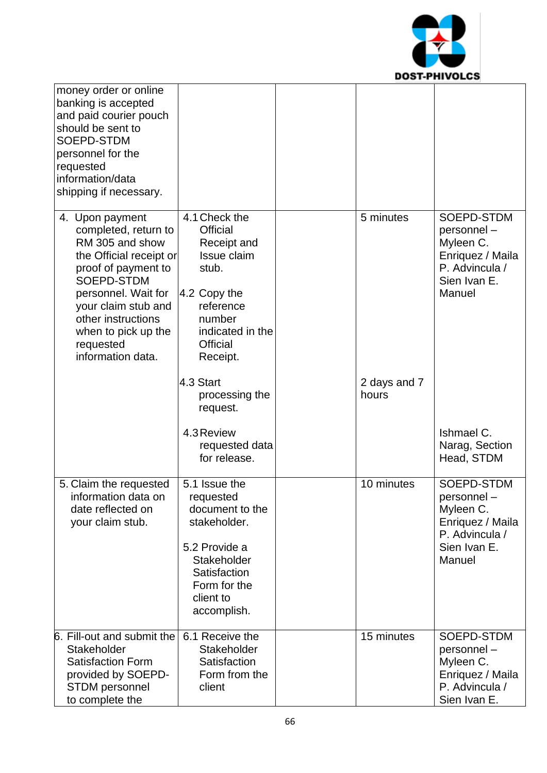

| money order or online<br>banking is accepted<br>and paid courier pouch<br>should be sent to<br>SOEPD-STDM<br>personnel for the<br>requested<br>information/data<br>shipping if necessary.                                                               |                                                                                                                                                            |                       |                                                                                                       |
|---------------------------------------------------------------------------------------------------------------------------------------------------------------------------------------------------------------------------------------------------------|------------------------------------------------------------------------------------------------------------------------------------------------------------|-----------------------|-------------------------------------------------------------------------------------------------------|
| 4. Upon payment<br>completed, return to<br>RM 305 and show<br>the Official receipt or<br>proof of payment to<br>SOEPD-STDM<br>personnel. Wait for<br>your claim stub and<br>other instructions<br>when to pick up the<br>requested<br>information data. | 4.1 Check the<br><b>Official</b><br>Receipt and<br>Issue claim<br>stub.<br>4.2 Copy the<br>reference<br>number<br>indicated in the<br>Official<br>Receipt. | 5 minutes             | SOEPD-STDM<br>personnel-<br>Myleen C.<br>Enriquez / Maila<br>P. Advincula /<br>Sien Ivan E.<br>Manuel |
|                                                                                                                                                                                                                                                         | 4.3 Start<br>processing the<br>request.                                                                                                                    | 2 days and 7<br>hours |                                                                                                       |
|                                                                                                                                                                                                                                                         | 4.3 Review<br>requested data<br>for release.                                                                                                               |                       | Ishmael C.<br>Narag, Section<br>Head, STDM                                                            |
| 5. Claim the requested<br>information data on<br>date reflected on<br>your claim stub.                                                                                                                                                                  | 5.1 Issue the<br>requested<br>document to the<br>stakeholder.<br>5.2 Provide a<br>Stakeholder<br>Satisfaction<br>Form for the<br>client to<br>accomplish.  | 10 minutes            | SOEPD-STDM<br>personnel-<br>Myleen C.<br>Enriquez / Maila<br>P. Advincula /<br>Sien Ivan E.<br>Manuel |
| 6. Fill-out and submit the<br>Stakeholder<br><b>Satisfaction Form</b><br>provided by SOEPD-<br><b>STDM</b> personnel<br>to complete the                                                                                                                 | 6.1 Receive the<br>Stakeholder<br>Satisfaction<br>Form from the<br>client                                                                                  | 15 minutes            | SOEPD-STDM<br>personnel-<br>Myleen C.<br>Enriquez / Maila<br>P. Advincula /<br>Sien Ivan E.           |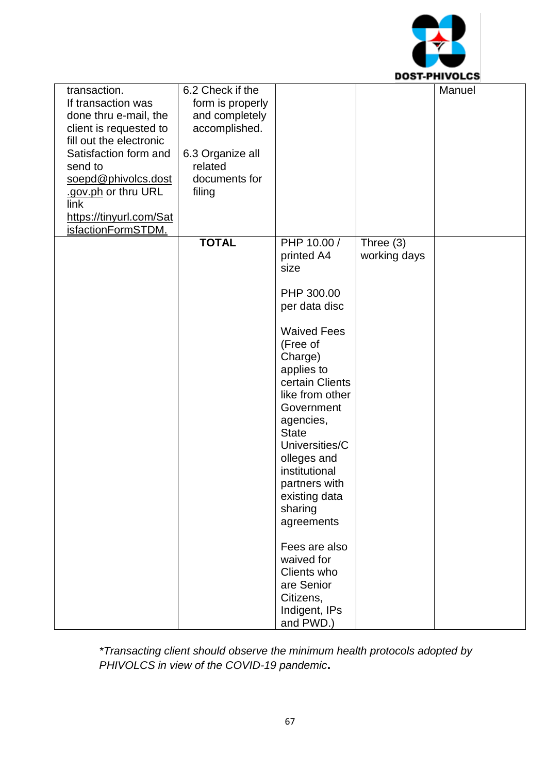

|                         |                  |                    |              | UJI-FIII YULUJ |
|-------------------------|------------------|--------------------|--------------|----------------|
| transaction.            | 6.2 Check if the |                    |              | Manuel         |
| If transaction was      | form is properly |                    |              |                |
|                         |                  |                    |              |                |
| done thru e-mail, the   | and completely   |                    |              |                |
| client is requested to  | accomplished.    |                    |              |                |
| fill out the electronic |                  |                    |              |                |
| Satisfaction form and   | 6.3 Organize all |                    |              |                |
|                         |                  |                    |              |                |
| send to                 | related          |                    |              |                |
| soepd@phivolcs.dost     | documents for    |                    |              |                |
| .gov.ph or thru URL     | filing           |                    |              |                |
| link                    |                  |                    |              |                |
|                         |                  |                    |              |                |
| https://tinyurl.com/Sat |                  |                    |              |                |
| isfactionFormSTDM.      |                  |                    |              |                |
|                         | <b>TOTAL</b>     | PHP 10.00 /        | Three $(3)$  |                |
|                         |                  | printed A4         | working days |                |
|                         |                  | size               |              |                |
|                         |                  |                    |              |                |
|                         |                  | PHP 300.00         |              |                |
|                         |                  |                    |              |                |
|                         |                  | per data disc      |              |                |
|                         |                  | <b>Waived Fees</b> |              |                |
|                         |                  |                    |              |                |
|                         |                  | (Free of           |              |                |
|                         |                  | Charge)            |              |                |
|                         |                  | applies to         |              |                |
|                         |                  | certain Clients    |              |                |
|                         |                  | like from other    |              |                |
|                         |                  |                    |              |                |
|                         |                  | Government         |              |                |
|                         |                  | agencies,          |              |                |
|                         |                  | <b>State</b>       |              |                |
|                         |                  | Universities/C     |              |                |
|                         |                  |                    |              |                |
|                         |                  | olleges and        |              |                |
|                         |                  | institutional      |              |                |
|                         |                  | partners with      |              |                |
|                         |                  | existing data      |              |                |
|                         |                  | sharing            |              |                |
|                         |                  |                    |              |                |
|                         |                  | agreements         |              |                |
|                         |                  | Fees are also      |              |                |
|                         |                  | waived for         |              |                |
|                         |                  |                    |              |                |
|                         |                  | Clients who        |              |                |
|                         |                  | are Senior         |              |                |
|                         |                  | Citizens,          |              |                |
|                         |                  | Indigent, IPs      |              |                |
|                         |                  | and PWD.)          |              |                |
|                         |                  |                    |              |                |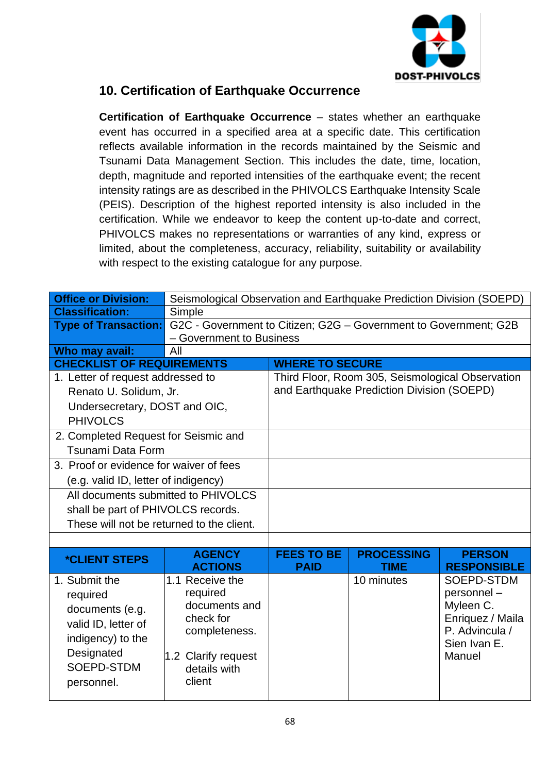

## **10. Certification of Earthquake Occurrence**

**Certification of Earthquake Occurrence** – states whether an earthquake event has occurred in a specified area at a specific date. This certification reflects available information in the records maintained by the Seismic and Tsunami Data Management Section. This includes the date, time, location, depth, magnitude and reported intensities of the earthquake event; the recent intensity ratings are as described in the PHIVOLCS Earthquake Intensity Scale (PEIS). Description of the highest reported intensity is also included in the certification. While we endeavor to keep the content up-to-date and correct, PHIVOLCS makes no representations or warranties of any kind, express or limited, about the completeness, accuracy, reliability, suitability or availability with respect to the existing catalogue for any purpose.

| <b>Office or Division:</b>                | Seismological Observation and Earthquake Prediction Division (SOEPD) |                          |                                                  |                        |  |
|-------------------------------------------|----------------------------------------------------------------------|--------------------------|--------------------------------------------------|------------------------|--|
| <b>Classification:</b>                    | Simple                                                               |                          |                                                  |                        |  |
| <b>Type of Transaction:</b>               | G2C - Government to Citizen; G2G - Government to Government; G2B     |                          |                                                  |                        |  |
|                                           |                                                                      | - Government to Business |                                                  |                        |  |
| Who may avail:                            | All                                                                  |                          |                                                  |                        |  |
| <b>CHECKLIST OF REQUIREMENTS</b>          |                                                                      | <b>WHERE TO SECURE</b>   |                                                  |                        |  |
| 1. Letter of request addressed to         |                                                                      |                          | Third Floor, Room 305, Seismological Observation |                        |  |
| Renato U. Solidum, Jr.                    |                                                                      |                          | and Earthquake Prediction Division (SOEPD)       |                        |  |
| Undersecretary, DOST and OIC,             |                                                                      |                          |                                                  |                        |  |
| <b>PHIVOLCS</b>                           |                                                                      |                          |                                                  |                        |  |
| 2. Completed Request for Seismic and      |                                                                      |                          |                                                  |                        |  |
| <b>Tsunami Data Form</b>                  |                                                                      |                          |                                                  |                        |  |
| 3. Proof or evidence for waiver of fees   |                                                                      |                          |                                                  |                        |  |
| (e.g. valid ID, letter of indigency)      |                                                                      |                          |                                                  |                        |  |
| All documents submitted to PHIVOLCS       |                                                                      |                          |                                                  |                        |  |
| shall be part of PHIVOLCS records.        |                                                                      |                          |                                                  |                        |  |
| These will not be returned to the client. |                                                                      |                          |                                                  |                        |  |
|                                           |                                                                      |                          |                                                  |                        |  |
| <i><b>*CLIENT STEPS</b></i>               | <b>AGENCY</b>                                                        | <b>FEES TO BE</b>        | <b>PROCESSING</b>                                | <b>PERSON</b>          |  |
|                                           | <b>ACTIONS</b>                                                       | <b>PAID</b>              | <b>TIME</b>                                      | <b>RESPONSIBLE</b>     |  |
| 1. Submit the                             | 1.1 Receive the                                                      |                          | 10 minutes                                       | SOEPD-STDM             |  |
| required                                  | required                                                             |                          |                                                  | personnel-             |  |
| documents (e.g.                           | documents and                                                        |                          |                                                  | Myleen C.              |  |
| valid ID, letter of                       | check for                                                            |                          |                                                  | Enriquez / Maila       |  |
| indigency) to the                         | completeness.                                                        |                          |                                                  | P. Advincula /         |  |
| Designated                                | 1.2 Clarify request                                                  |                          |                                                  | Sien Ivan E.<br>Manuel |  |
| SOEPD-STDM                                | details with                                                         |                          |                                                  |                        |  |
| personnel.                                | client                                                               |                          |                                                  |                        |  |
|                                           |                                                                      |                          |                                                  |                        |  |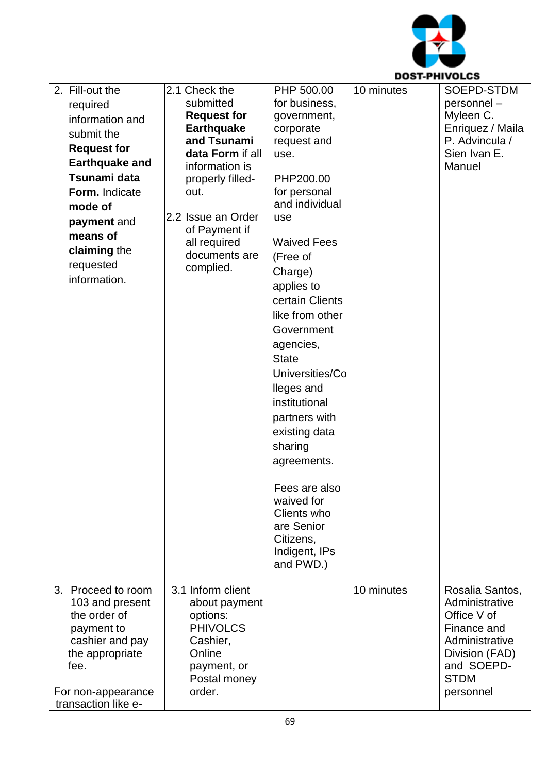

| 2. Fill-out the                       | 2.1 Check the                 | PHP 500.00         | 10 minutes | SOEPD-STDM                        |
|---------------------------------------|-------------------------------|--------------------|------------|-----------------------------------|
|                                       | submitted                     | for business,      |            | personnel-                        |
| required                              | <b>Request for</b>            | government,        |            | Myleen C.                         |
| information and                       | <b>Earthquake</b>             | corporate          |            | Enriquez / Maila                  |
| submit the                            | and Tsunami                   | request and        |            | P. Advincula /                    |
| <b>Request for</b>                    | data Form if all              | use.               |            | Sien Ivan E.                      |
| <b>Earthquake and</b>                 | information is                |                    |            | Manuel                            |
| Tsunami data                          | properly filled-              | PHP200.00          |            |                                   |
| Form. Indicate                        | out.                          | for personal       |            |                                   |
| mode of                               |                               | and individual     |            |                                   |
| payment and                           | 2.2 Issue an Order            | use                |            |                                   |
| means of                              | of Payment if                 | <b>Waived Fees</b> |            |                                   |
| claiming the                          | all required<br>documents are |                    |            |                                   |
| requested                             | complied.                     | (Free of           |            |                                   |
| information.                          |                               | Charge)            |            |                                   |
|                                       |                               | applies to         |            |                                   |
|                                       |                               | certain Clients    |            |                                   |
|                                       |                               | like from other    |            |                                   |
|                                       |                               | Government         |            |                                   |
|                                       |                               | agencies,          |            |                                   |
|                                       |                               | <b>State</b>       |            |                                   |
|                                       |                               | Universities/Co    |            |                                   |
|                                       |                               | lleges and         |            |                                   |
|                                       |                               | institutional      |            |                                   |
|                                       |                               | partners with      |            |                                   |
|                                       |                               | existing data      |            |                                   |
|                                       |                               | sharing            |            |                                   |
|                                       |                               | agreements.        |            |                                   |
|                                       |                               |                    |            |                                   |
|                                       |                               | Fees are also      |            |                                   |
|                                       |                               | waived for         |            |                                   |
|                                       |                               | Clients who        |            |                                   |
|                                       |                               | are Senior         |            |                                   |
|                                       |                               | Citizens,          |            |                                   |
|                                       |                               | Indigent, IPs      |            |                                   |
|                                       |                               | and PWD.)          |            |                                   |
|                                       | 3.1 Inform client             |                    |            |                                   |
| 3. Proceed to room<br>103 and present | about payment                 |                    | 10 minutes | Rosalia Santos,<br>Administrative |
| the order of                          | options:                      |                    |            | Office V of                       |
| payment to                            | <b>PHIVOLCS</b>               |                    |            | Finance and                       |
| cashier and pay                       | Cashier,                      |                    |            | Administrative                    |
| the appropriate                       | Online                        |                    |            | Division (FAD)                    |
| fee.                                  | payment, or                   |                    |            | and SOEPD-                        |
|                                       | Postal money                  |                    |            | <b>STDM</b>                       |
| For non-appearance                    | order.                        |                    |            | personnel                         |
| transaction like e-                   |                               |                    |            |                                   |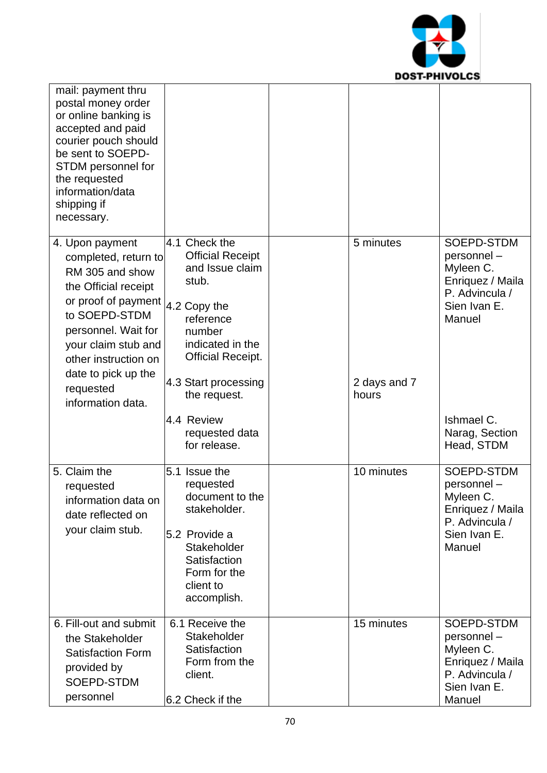

| mail: payment thru<br>postal money order<br>or online banking is<br>accepted and paid<br>courier pouch should<br>be sent to SOEPD-<br>STDM personnel for<br>the requested<br>information/data<br>shipping if<br>necessary. |                                                                                                                                                             |                       |                                                                                                       |
|----------------------------------------------------------------------------------------------------------------------------------------------------------------------------------------------------------------------------|-------------------------------------------------------------------------------------------------------------------------------------------------------------|-----------------------|-------------------------------------------------------------------------------------------------------|
| 4. Upon payment<br>completed, return to<br>RM 305 and show<br>the Official receipt<br>or proof of payment<br>to SOEPD-STDM<br>personnel. Wait for<br>your claim stub and<br>other instruction on<br>date to pick up the    | 4.1 Check the<br><b>Official Receipt</b><br>and Issue claim<br>stub.<br>4.2 Copy the<br>reference<br>number<br>indicated in the<br><b>Official Receipt.</b> | 5 minutes             | SOEPD-STDM<br>personnel-<br>Myleen C.<br>Enriquez / Maila<br>P. Advincula /<br>Sien Ivan E.<br>Manuel |
| requested<br>information data.                                                                                                                                                                                             | 4.3 Start processing<br>the request.                                                                                                                        | 2 days and 7<br>hours |                                                                                                       |
|                                                                                                                                                                                                                            | 4.4 Review<br>requested data<br>for release.                                                                                                                |                       | Ishmael C.<br>Narag, Section<br>Head, STDM                                                            |
| 5. Claim the<br>requested<br>information data on<br>date reflected on<br>your claim stub.                                                                                                                                  | 5.1 Issue the<br>requested<br>document to the<br>stakeholder.<br>5.2 Provide a<br>Stakeholder<br>Satisfaction<br>Form for the<br>client to<br>accomplish.   | 10 minutes            | SOEPD-STDM<br>personnel-<br>Myleen C.<br>Enriquez / Maila<br>P. Advincula /<br>Sien Ivan E.<br>Manuel |
| 6. Fill-out and submit<br>the Stakeholder<br><b>Satisfaction Form</b><br>provided by<br>SOEPD-STDM<br>personnel                                                                                                            | 6.1 Receive the<br>Stakeholder<br>Satisfaction<br>Form from the<br>client.<br>6.2 Check if the                                                              | 15 minutes            | SOEPD-STDM<br>personnel-<br>Myleen C.<br>Enriquez / Maila<br>P. Advincula /<br>Sien Ivan E.<br>Manuel |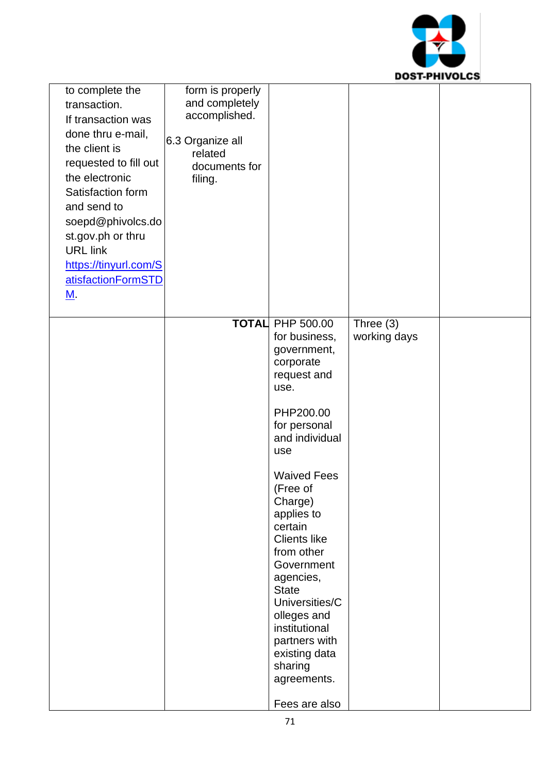

| to complete the<br>transaction.<br>If transaction was<br>done thru e-mail,<br>the client is<br>requested to fill out<br>the electronic<br>Satisfaction form<br>and send to<br>soepd@phivolcs.do<br>st.gov.ph or thru<br><b>URL link</b><br>https://tinyurl.com/S<br>atisfactionFormSTD<br><u>M</u> . | form is properly<br>and completely<br>accomplished.<br>6.3 Organize all<br>related<br>documents for<br>filing. |                                                                                                                                                                                                                                                                                                                                                                                                                                 |                           |  |
|------------------------------------------------------------------------------------------------------------------------------------------------------------------------------------------------------------------------------------------------------------------------------------------------------|----------------------------------------------------------------------------------------------------------------|---------------------------------------------------------------------------------------------------------------------------------------------------------------------------------------------------------------------------------------------------------------------------------------------------------------------------------------------------------------------------------------------------------------------------------|---------------------------|--|
|                                                                                                                                                                                                                                                                                                      |                                                                                                                | TOTAL PHP 500.00<br>for business,<br>government,<br>corporate<br>request and<br>use.<br>PHP200.00<br>for personal<br>and individual<br>use<br><b>Waived Fees</b><br>(Free of<br>Charge)<br>applies to<br>certain<br><b>Clients like</b><br>from other<br>Government<br>agencies,<br><b>State</b><br>Universities/C<br>olleges and<br>institutional<br>partners with<br>existing data<br>sharing<br>agreements.<br>Fees are also | Three (3)<br>working days |  |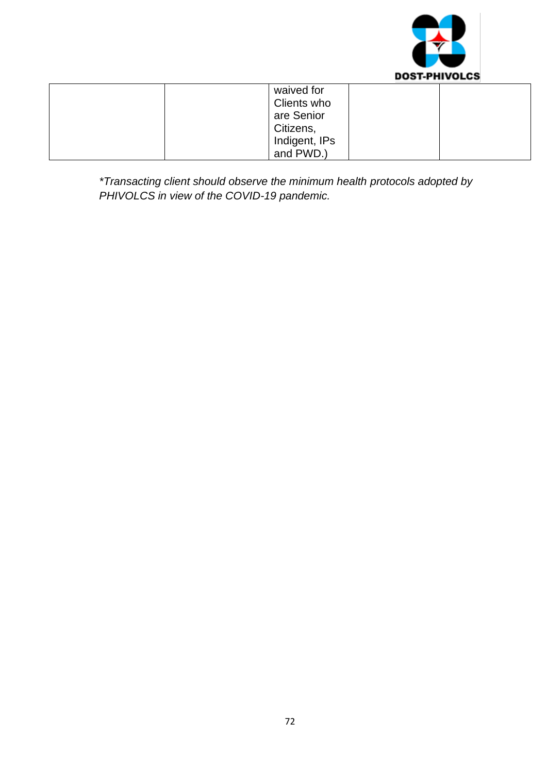

| waived for    |  |
|---------------|--|
| Clients who   |  |
| are Senior    |  |
| Citizens,     |  |
| Indigent, IPs |  |
| and PWD.)     |  |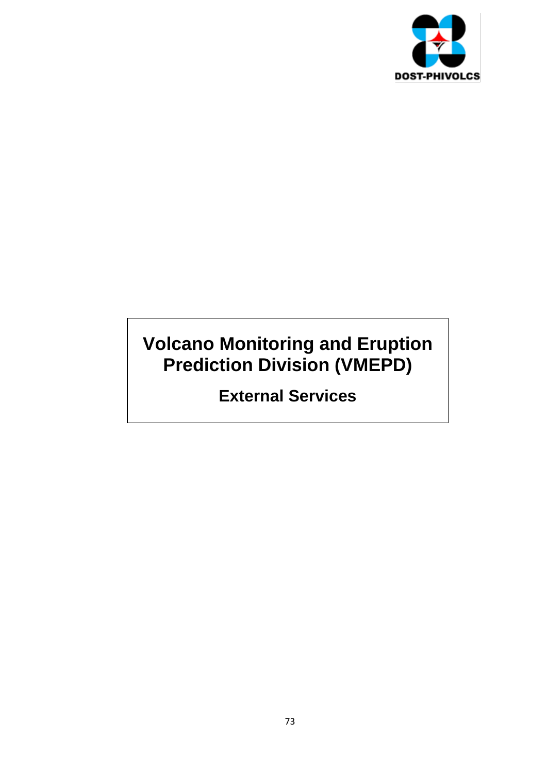

## **Volcano Monitoring and Eruption Prediction Division (VMEPD)**

## **External Services**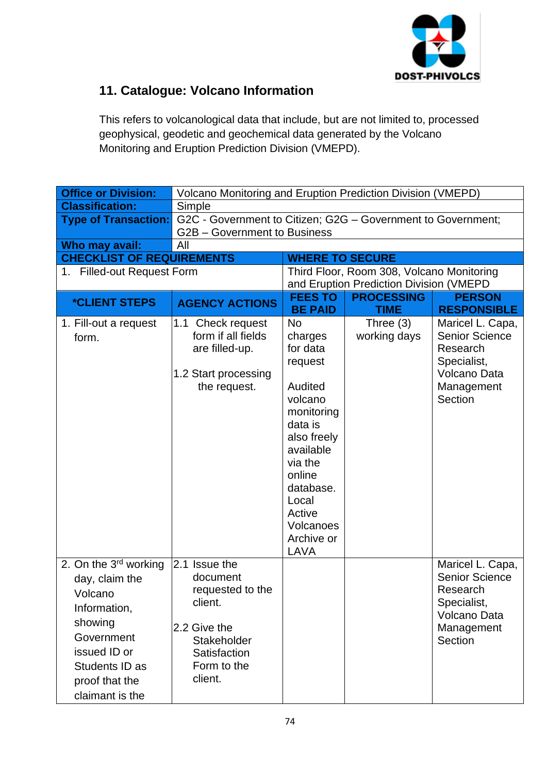

## **11. Catalogue: Volcano Information**

This refers to volcanological data that include, but are not limited to, processed geophysical, geodetic and geochemical data generated by the Volcano Monitoring and Eruption Prediction Division (VMEPD).

| <b>Office or Division:</b>                                                                                                                                           |                                                                                                                                   | <b>Volcano Monitoring and Eruption Prediction Division (VMEPD)</b>                                                                                                                                      |                                           |                                                                                                               |
|----------------------------------------------------------------------------------------------------------------------------------------------------------------------|-----------------------------------------------------------------------------------------------------------------------------------|---------------------------------------------------------------------------------------------------------------------------------------------------------------------------------------------------------|-------------------------------------------|---------------------------------------------------------------------------------------------------------------|
| <b>Classification:</b>                                                                                                                                               | Simple                                                                                                                            |                                                                                                                                                                                                         |                                           |                                                                                                               |
| <b>Type of Transaction:</b>                                                                                                                                          |                                                                                                                                   | G2C - Government to Citizen; G2G - Government to Government;                                                                                                                                            |                                           |                                                                                                               |
|                                                                                                                                                                      | G2B - Government to Business                                                                                                      |                                                                                                                                                                                                         |                                           |                                                                                                               |
| Who may avail:                                                                                                                                                       | All                                                                                                                               |                                                                                                                                                                                                         |                                           |                                                                                                               |
| <b>CHECKLIST OF REQUIREMENTS</b>                                                                                                                                     |                                                                                                                                   | <b>WHERE TO SECURE</b>                                                                                                                                                                                  |                                           |                                                                                                               |
| 1. Filled-out Request Form                                                                                                                                           |                                                                                                                                   |                                                                                                                                                                                                         | Third Floor, Room 308, Volcano Monitoring |                                                                                                               |
|                                                                                                                                                                      |                                                                                                                                   |                                                                                                                                                                                                         | and Eruption Prediction Division (VMEPD   |                                                                                                               |
| <i><b>*CLIENT STEPS</b></i>                                                                                                                                          | <b>AGENCY ACTIONS</b>                                                                                                             | <b>FEES TO</b><br><b>BE PAID</b>                                                                                                                                                                        | <b>PROCESSING</b><br><b>TIME</b>          | <b>PERSON</b><br><b>RESPONSIBLE</b>                                                                           |
| 1. Fill-out a request<br>form.                                                                                                                                       | 1.1 Check request<br>form if all fields<br>are filled-up.<br>1.2 Start processing<br>the request.                                 | No<br>charges<br>for data<br>request<br>Audited<br>volcano<br>monitoring<br>data is<br>also freely<br>available<br>via the<br>online<br>database.<br>Local<br>Active<br>Volcanoes<br>Archive or<br>LAVA | Three $(3)$<br>working days               | Maricel L. Capa,<br><b>Senior Science</b><br>Research<br>Specialist,<br>Volcano Data<br>Management<br>Section |
| 2. On the $3rd$ working<br>day, claim the<br>Volcano<br>Information,<br>showing<br>Government<br>issued ID or<br>Students ID as<br>proof that the<br>claimant is the | 2.1 Issue the<br>document<br>requested to the<br>client.<br>2.2 Give the<br>Stakeholder<br>Satisfaction<br>Form to the<br>client. |                                                                                                                                                                                                         |                                           | Maricel L. Capa,<br><b>Senior Science</b><br>Research<br>Specialist,<br>Volcano Data<br>Management<br>Section |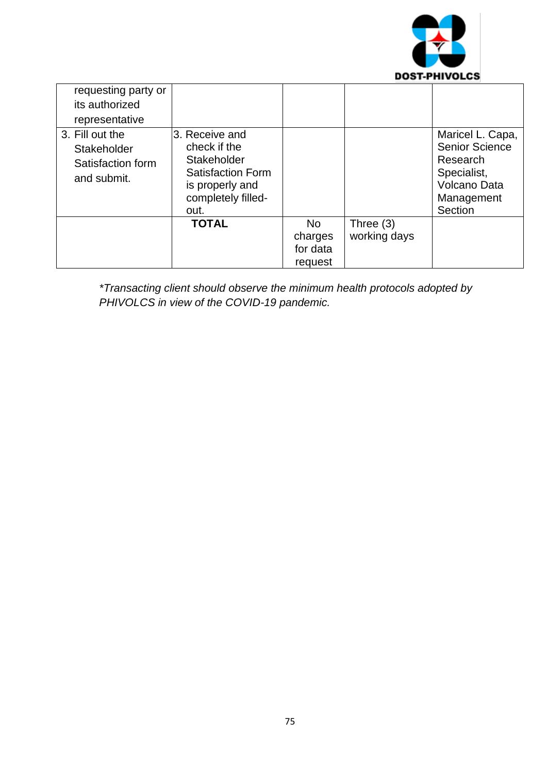

| requesting party or |                    |           |              |                       |
|---------------------|--------------------|-----------|--------------|-----------------------|
|                     |                    |           |              |                       |
| its authorized      |                    |           |              |                       |
| representative      |                    |           |              |                       |
| 3. Fill out the     | 3. Receive and     |           |              | Maricel L. Capa,      |
| Stakeholder         | check if the       |           |              | <b>Senior Science</b> |
| Satisfaction form   | Stakeholder        |           |              | Research              |
|                     | Satisfaction Form  |           |              | Specialist,           |
| and submit.         | is properly and    |           |              | <b>Volcano Data</b>   |
|                     | completely filled- |           |              | Management            |
|                     | out.               |           |              | Section               |
|                     | <b>TOTAL</b>       | <b>No</b> | Three $(3)$  |                       |
|                     |                    | charges   | working days |                       |
|                     |                    | for data  |              |                       |
|                     |                    | request   |              |                       |

*\*Transacting client should observe the minimum health protocols adopted by PHIVOLCS in view of the COVID-19 pandemic.*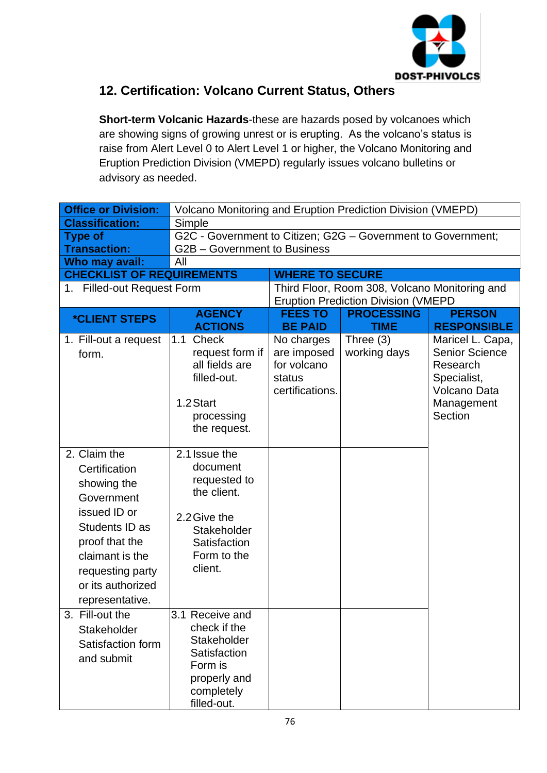

### **12. Certification: Volcano Current Status, Others**

**Short-term Volcanic Hazards**-these are hazards posed by volcanoes which are showing signs of growing unrest or is erupting. As the volcano's status is raise from Alert Level 0 to Alert Level 1 or higher, the Volcano Monitoring and Eruption Prediction Division (VMEPD) regularly issues volcano bulletins or advisory as needed.

| <b>Office or Division:</b>                                                                                                                                                                    | Volcano Monitoring and Eruption Prediction Division (VMEPD)                                                                       |                                                                       |                                               |                                                                                                                      |
|-----------------------------------------------------------------------------------------------------------------------------------------------------------------------------------------------|-----------------------------------------------------------------------------------------------------------------------------------|-----------------------------------------------------------------------|-----------------------------------------------|----------------------------------------------------------------------------------------------------------------------|
| <b>Classification:</b>                                                                                                                                                                        | Simple                                                                                                                            |                                                                       |                                               |                                                                                                                      |
| <b>Type of</b>                                                                                                                                                                                | G2C - Government to Citizen; G2G - Government to Government;                                                                      |                                                                       |                                               |                                                                                                                      |
| <b>Transaction:</b>                                                                                                                                                                           | G2B - Government to Business                                                                                                      |                                                                       |                                               |                                                                                                                      |
| Who may avail:                                                                                                                                                                                | All                                                                                                                               |                                                                       |                                               |                                                                                                                      |
| <b>CHECKLIST OF REQUIREMENTS</b>                                                                                                                                                              |                                                                                                                                   | <b>WHERE TO SECURE</b>                                                |                                               |                                                                                                                      |
| 1. Filled-out Request Form                                                                                                                                                                    |                                                                                                                                   |                                                                       | Third Floor, Room 308, Volcano Monitoring and |                                                                                                                      |
|                                                                                                                                                                                               |                                                                                                                                   |                                                                       | <b>Eruption Prediction Division (VMEPD</b>    |                                                                                                                      |
| <i><b>*CLIENT STEPS</b></i>                                                                                                                                                                   | <b>AGENCY</b><br><b>ACTIONS</b>                                                                                                   | <b>FEES TO</b><br><b>BE PAID</b>                                      | <b>PROCESSING</b><br><b>TIME</b>              | <b>PERSON</b><br><b>RESPONSIBLE</b>                                                                                  |
| 1. Fill-out a request<br>form.                                                                                                                                                                | Check<br> 1.1 <br>request form if<br>all fields are<br>filled-out.<br>1.2 Start<br>processing<br>the request.                     | No charges<br>are imposed<br>for volcano<br>status<br>certifications. | Three $(3)$<br>working days                   | Maricel L. Capa,<br><b>Senior Science</b><br>Research<br>Specialist,<br><b>Volcano Data</b><br>Management<br>Section |
| 2. Claim the<br>Certification<br>showing the<br>Government<br>issued ID or<br>Students ID as<br>proof that the<br>claimant is the<br>requesting party<br>or its authorized<br>representative. | 2.1 Issue the<br>document<br>requested to<br>the client.<br>2.2 Give the<br>Stakeholder<br>Satisfaction<br>Form to the<br>client. |                                                                       |                                               |                                                                                                                      |
| 3. Fill-out the<br>Stakeholder<br>Satisfaction form<br>and submit                                                                                                                             | 3.1 Receive and<br>check if the<br>Stakeholder<br>Satisfaction<br>Form is<br>properly and<br>completely<br>filled-out.            |                                                                       |                                               |                                                                                                                      |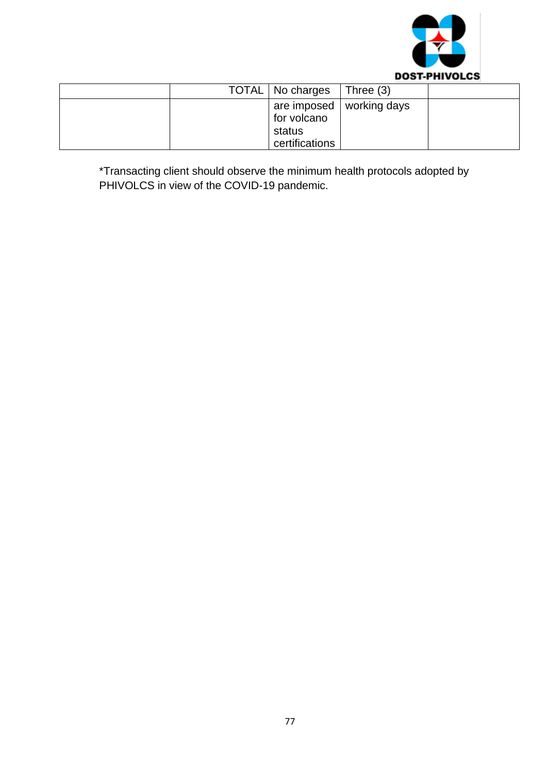

|  | TOTAL   No charges                      | Three $(3)$                |  |
|--|-----------------------------------------|----------------------------|--|
|  | for volcano<br>status<br>certifications | are imposed   working days |  |

\*Transacting client should observe the minimum health protocols adopted by PHIVOLCS in view of the COVID-19 pandemic.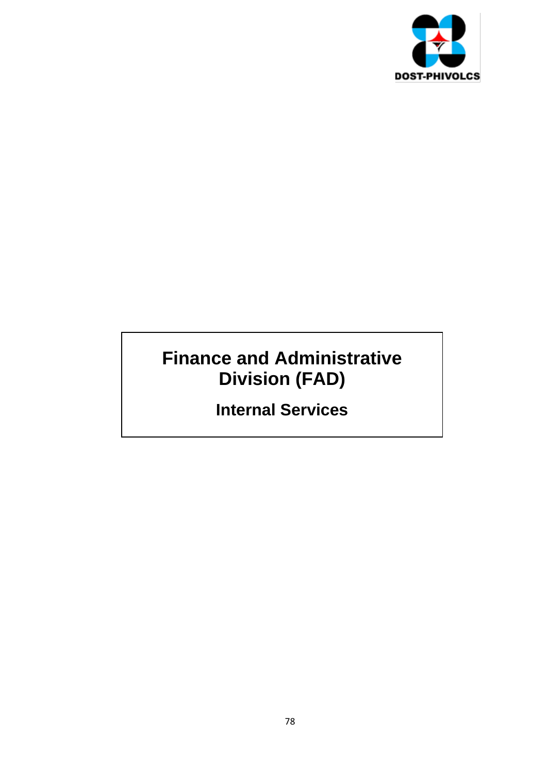

# **Finance and Administrative Division (FAD)**

**Internal Services**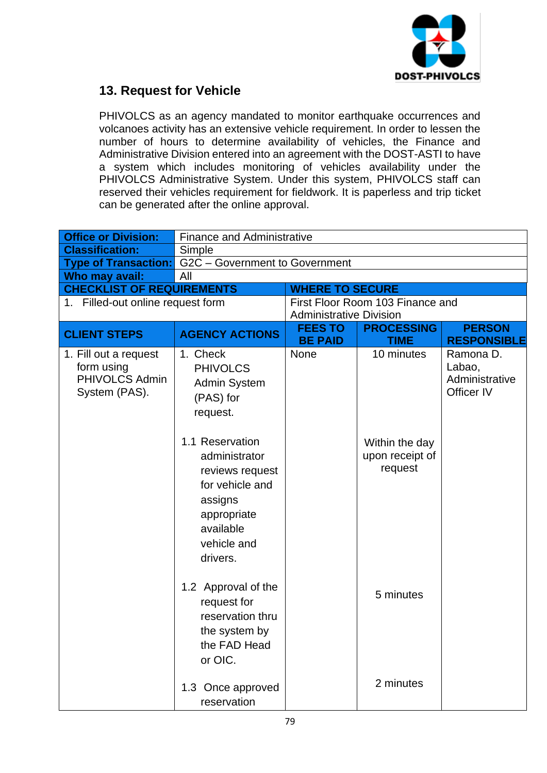

### **13. Request for Vehicle**

PHIVOLCS as an agency mandated to monitor earthquake occurrences and volcanoes activity has an extensive vehicle requirement. In order to lessen the number of hours to determine availability of vehicles, the Finance and Administrative Division entered into an agreement with the DOST-ASTI to have a system which includes monitoring of vehicles availability under the PHIVOLCS Administrative System. Under this system, PHIVOLCS staff can reserved their vehicles requirement for fieldwork. It is paperless and trip ticket can be generated after the online approval.

| <b>Office or Division:</b>                                             | <b>Finance and Administrative</b>                                                                                                        |                                  |                                              |                                                     |
|------------------------------------------------------------------------|------------------------------------------------------------------------------------------------------------------------------------------|----------------------------------|----------------------------------------------|-----------------------------------------------------|
| <b>Classification:</b>                                                 | Simple                                                                                                                                   |                                  |                                              |                                                     |
| <b>Type of Transaction:</b> G2C – Government to Government             |                                                                                                                                          |                                  |                                              |                                                     |
| Who may avail:                                                         | All                                                                                                                                      |                                  |                                              |                                                     |
| <b>CHECKLIST OF REQUIREMENTS</b>                                       |                                                                                                                                          | <b>WHERE TO SECURE</b>           |                                              |                                                     |
| 1. Filled-out online request form                                      |                                                                                                                                          |                                  | First Floor Room 103 Finance and             |                                                     |
|                                                                        |                                                                                                                                          | <b>Administrative Division</b>   |                                              |                                                     |
| <b>CLIENT STEPS</b>                                                    | <b>AGENCY ACTIONS</b>                                                                                                                    | <b>FEES TO</b><br><b>BE PAID</b> | <b>PROCESSING</b><br><b>TIME</b>             | <b>PERSON</b><br><b>RESPONSIBLE</b>                 |
| 1. Fill out a request<br>form using<br>PHIVOLCS Admin<br>System (PAS). | 1. Check<br><b>PHIVOLCS</b><br><b>Admin System</b><br>(PAS) for<br>request.                                                              | <b>None</b>                      | 10 minutes                                   | Ramona D.<br>Labao,<br>Administrative<br>Officer IV |
|                                                                        | 1.1 Reservation<br>administrator<br>reviews request<br>for vehicle and<br>assigns<br>appropriate<br>available<br>vehicle and<br>drivers. |                                  | Within the day<br>upon receipt of<br>request |                                                     |
|                                                                        | 1.2 Approval of the<br>request for<br>reservation thru<br>the system by<br>the FAD Head<br>or OIC.                                       |                                  | 5 minutes                                    |                                                     |
|                                                                        | 1.3 Once approved<br>reservation                                                                                                         |                                  | 2 minutes                                    |                                                     |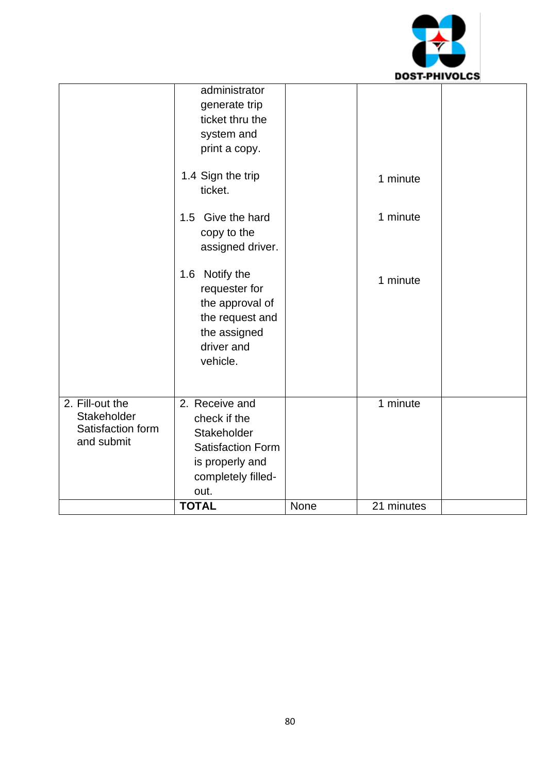

|                                                                   | <b>TOTAL</b>                                                                                                                                                                                                                                                               | None | 21 minutes                       |  |
|-------------------------------------------------------------------|----------------------------------------------------------------------------------------------------------------------------------------------------------------------------------------------------------------------------------------------------------------------------|------|----------------------------------|--|
| 2. Fill-out the<br>Stakeholder<br>Satisfaction form<br>and submit | 2. Receive and<br>check if the<br>Stakeholder<br><b>Satisfaction Form</b><br>is properly and<br>completely filled-<br>out.                                                                                                                                                 |      | 1 minute                         |  |
|                                                                   | generate trip<br>ticket thru the<br>system and<br>print a copy.<br>1.4 Sign the trip<br>ticket.<br>1.5 Give the hard<br>copy to the<br>assigned driver.<br>1.6 Notify the<br>requester for<br>the approval of<br>the request and<br>the assigned<br>driver and<br>vehicle. |      | 1 minute<br>1 minute<br>1 minute |  |
|                                                                   | administrator                                                                                                                                                                                                                                                              |      |                                  |  |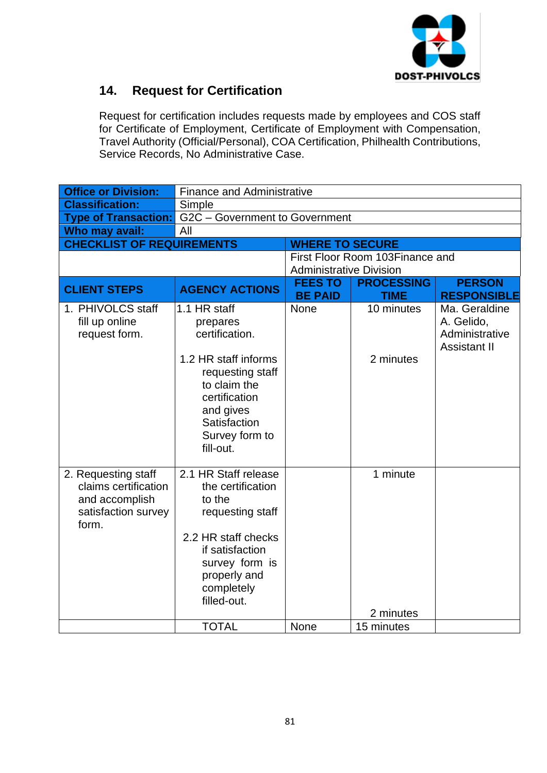

## **14. Request for Certification**

Request for certification includes requests made by employees and COS staff for Certificate of Employment, Certificate of Employment with Compensation, Travel Authority (Official/Personal), COA Certification, Philhealth Contributions, Service Records, No Administrative Case.

| <b>Office or Division:</b>                                                                    | <b>Finance and Administrative</b>                                                                                                                                                   |                                  |                                  |                                                                      |
|-----------------------------------------------------------------------------------------------|-------------------------------------------------------------------------------------------------------------------------------------------------------------------------------------|----------------------------------|----------------------------------|----------------------------------------------------------------------|
| <b>Classification:</b>                                                                        | Simple                                                                                                                                                                              |                                  |                                  |                                                                      |
| <b>Type of Transaction:</b>                                                                   | G2C - Government to Government                                                                                                                                                      |                                  |                                  |                                                                      |
| Who may avail:                                                                                | All                                                                                                                                                                                 |                                  |                                  |                                                                      |
| <b>CHECKLIST OF REQUIREMENTS</b>                                                              |                                                                                                                                                                                     | <b>WHERE TO SECURE</b>           |                                  |                                                                      |
|                                                                                               |                                                                                                                                                                                     |                                  | First Floor Room 103 Finance and |                                                                      |
|                                                                                               |                                                                                                                                                                                     | <b>Administrative Division</b>   |                                  |                                                                      |
| <b>CLIENT STEPS</b>                                                                           | <b>AGENCY ACTIONS</b>                                                                                                                                                               | <b>FEES TO</b><br><b>BE PAID</b> | <b>PROCESSING</b><br><b>TIME</b> | <b>PERSON</b><br><b>RESPONSIBLE</b>                                  |
| 1. PHIVOLCS staff<br>fill up online<br>request form.                                          | 1.1 HR staff<br>prepares<br>certification.<br>1.2 HR staff informs<br>requesting staff<br>to claim the<br>certification<br>and gives<br>Satisfaction<br>Survey form to<br>fill-out. | None                             | 10 minutes<br>2 minutes          | Ma. Geraldine<br>A. Gelido,<br>Administrative<br><b>Assistant II</b> |
| 2. Requesting staff<br>claims certification<br>and accomplish<br>satisfaction survey<br>form. | 2.1 HR Staff release<br>the certification<br>to the<br>requesting staff<br>2.2 HR staff checks<br>if satisfaction<br>survey form is<br>properly and<br>completely<br>filled-out.    |                                  | 1 minute<br>2 minutes            |                                                                      |
|                                                                                               | <b>TOTAL</b>                                                                                                                                                                        | None                             | 15 minutes                       |                                                                      |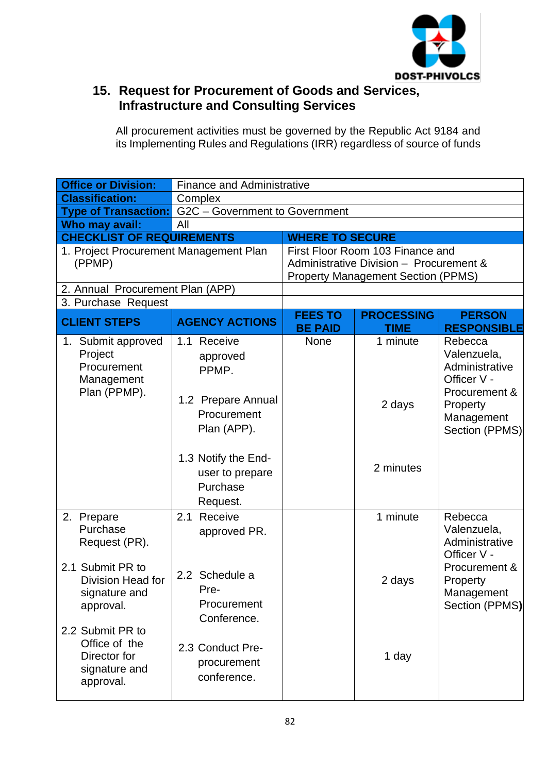

### **15. Request for Procurement of Goods and Services, Infrastructure and Consulting Services**

All procurement activities must be governed by the Republic Act 9184 and its Implementing Rules and Regulations (IRR) regardless of source of funds

| <b>Office or Division:</b>                                                              | <b>Finance and Administrative</b>                                                    |                                  |                                                                                                                          |                                                                                                                      |
|-----------------------------------------------------------------------------------------|--------------------------------------------------------------------------------------|----------------------------------|--------------------------------------------------------------------------------------------------------------------------|----------------------------------------------------------------------------------------------------------------------|
| <b>Classification:</b>                                                                  | Complex                                                                              |                                  |                                                                                                                          |                                                                                                                      |
| <b>Type of Transaction:</b>                                                             | G2C - Government to Government                                                       |                                  |                                                                                                                          |                                                                                                                      |
| Who may avail:                                                                          | All                                                                                  |                                  |                                                                                                                          |                                                                                                                      |
| <b>CHECKLIST OF REQUIREMENTS</b>                                                        |                                                                                      | <b>WHERE TO SECURE</b>           |                                                                                                                          |                                                                                                                      |
| 1. Project Procurement Management Plan<br>(PPMP)                                        |                                                                                      |                                  | First Floor Room 103 Finance and<br>Administrative Division - Procurement &<br><b>Property Management Section (PPMS)</b> |                                                                                                                      |
| 2. Annual Procurement Plan (APP)                                                        |                                                                                      |                                  |                                                                                                                          |                                                                                                                      |
| 3. Purchase Request                                                                     |                                                                                      |                                  |                                                                                                                          |                                                                                                                      |
| <b>CLIENT STEPS</b>                                                                     | <b>AGENCY ACTIONS</b>                                                                | <b>FEES TO</b><br><b>BE PAID</b> | <b>PROCESSING</b><br><b>TIME</b>                                                                                         | <b>PERSON</b><br><b>RESPONSIBLE</b>                                                                                  |
| 1. Submit approved<br>Project<br>Procurement<br>Management<br>Plan (PPMP).              | 1.1 Receive<br>approved<br>PPMP.<br>1.2 Prepare Annual<br>Procurement<br>Plan (APP). | <b>None</b>                      | 1 minute<br>2 days                                                                                                       | Rebecca<br>Valenzuela,<br>Administrative<br>Officer V -<br>Procurement &<br>Property<br>Management<br>Section (PPMS) |
|                                                                                         | 1.3 Notify the End-<br>user to prepare<br>Purchase<br>Request.                       |                                  | 2 minutes                                                                                                                |                                                                                                                      |
| 2. Prepare<br>Purchase<br>Request (PR).                                                 | Receive<br>2.1<br>approved PR.                                                       |                                  | 1 minute                                                                                                                 | Rebecca<br>Valenzuela,<br>Administrative<br>Officer V -                                                              |
| 2.1 Submit PR to<br>Division Head for<br>signature and<br>approval.<br>2.2 Submit PR to | 2.2 Schedule a<br>Pre-<br>Procurement<br>Conference.                                 |                                  | 2 days                                                                                                                   | Procurement &<br>Property<br>Management<br>Section (PPMS)                                                            |
| Office of the<br>Director for<br>signature and<br>approval.                             | 2.3 Conduct Pre-<br>procurement<br>conference.                                       |                                  | 1 day                                                                                                                    |                                                                                                                      |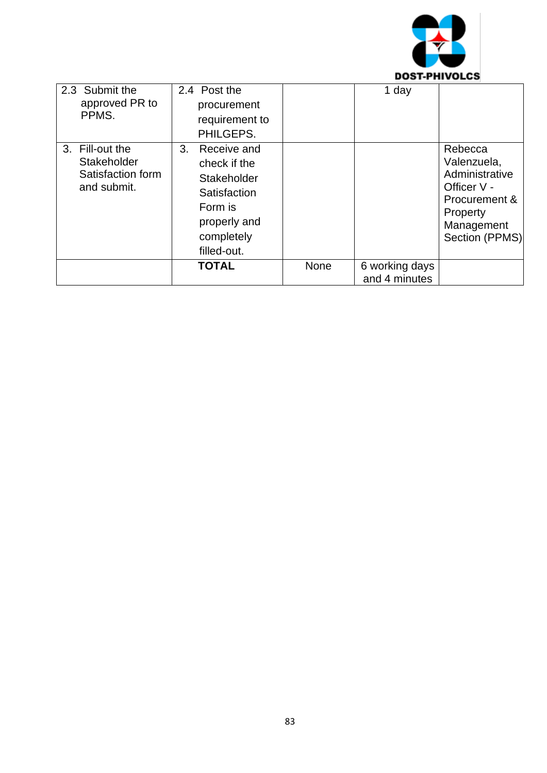

| 2.3 Submit the<br>approved PR to<br>PPMS.                          | 2.4 Post the<br>procurement<br>requirement to<br>PHILGEPS.                                                                           |      | 1 day                           |                                                                                                                      |
|--------------------------------------------------------------------|--------------------------------------------------------------------------------------------------------------------------------------|------|---------------------------------|----------------------------------------------------------------------------------------------------------------------|
| 3. Fill-out the<br>Stakeholder<br>Satisfaction form<br>and submit. | 3 <sub>1</sub><br>Receive and<br>check if the<br>Stakeholder<br>Satisfaction<br>Form is<br>properly and<br>completely<br>filled-out. |      |                                 | Rebecca<br>Valenzuela,<br>Administrative<br>Officer V -<br>Procurement &<br>Property<br>Management<br>Section (PPMS) |
|                                                                    | <b>TOTAL</b>                                                                                                                         | None | 6 working days<br>and 4 minutes |                                                                                                                      |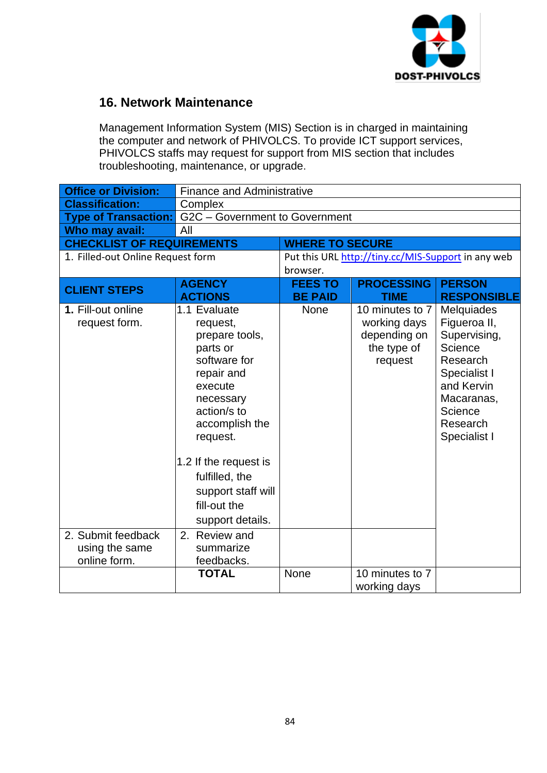

#### **16. Network Maintenance**

Management Information System (MIS) Section is in charged in maintaining the computer and network of PHIVOLCS. To provide ICT support services, PHIVOLCS staffs may request for support from MIS section that includes troubleshooting, maintenance, or upgrade.

| <b>Office or Division:</b>        |                                | <b>Finance and Administrative</b> |                                                    |                     |
|-----------------------------------|--------------------------------|-----------------------------------|----------------------------------------------------|---------------------|
| <b>Classification:</b>            | Complex                        |                                   |                                                    |                     |
| <b>Type of Transaction:</b>       | G2C - Government to Government |                                   |                                                    |                     |
| Who may avail:                    | All                            |                                   |                                                    |                     |
| <b>CHECKLIST OF REQUIREMENTS</b>  |                                | <b>WHERE TO SECURE</b>            |                                                    |                     |
| 1. Filled-out Online Request form |                                |                                   | Put this URL http://tiny.cc/MIS-Support in any web |                     |
|                                   |                                | browser.                          |                                                    |                     |
| <b>CLIENT STEPS</b>               | <b>AGENCY</b>                  | <b>FEES TO</b>                    | <b>PROCESSING</b>                                  | <b>PERSON</b>       |
|                                   | <b>ACTIONS</b>                 | <b>BE PAID</b>                    | <b>TIME</b>                                        | <b>RESPONSIBLE</b>  |
| 1. Fill-out online                | 1.1 Evaluate                   | <b>None</b>                       | 10 minutes to 7                                    | Melquiades          |
| request form.                     | request,                       |                                   | working days                                       | Figueroa II,        |
|                                   | prepare tools,                 |                                   | depending on                                       | Supervising,        |
|                                   | parts or                       |                                   | the type of                                        | Science             |
|                                   | software for                   |                                   | request                                            | Research            |
|                                   | repair and                     |                                   |                                                    | Specialist I        |
|                                   | execute                        |                                   |                                                    | and Kervin          |
|                                   | necessary<br>action/s to       |                                   |                                                    | Macaranas,          |
|                                   |                                |                                   |                                                    | Science<br>Research |
|                                   | accomplish the<br>request.     |                                   |                                                    | Specialist I        |
|                                   |                                |                                   |                                                    |                     |
|                                   | 1.2 If the request is          |                                   |                                                    |                     |
|                                   | fulfilled, the                 |                                   |                                                    |                     |
|                                   | support staff will             |                                   |                                                    |                     |
|                                   | fill-out the                   |                                   |                                                    |                     |
|                                   | support details.               |                                   |                                                    |                     |
| 2. Submit feedback                | 2. Review and                  |                                   |                                                    |                     |
| using the same                    | summarize                      |                                   |                                                    |                     |
| online form.                      | feedbacks.                     |                                   |                                                    |                     |
|                                   | <b>TOTAL</b>                   | None                              | 10 minutes to 7                                    |                     |
|                                   |                                |                                   | working days                                       |                     |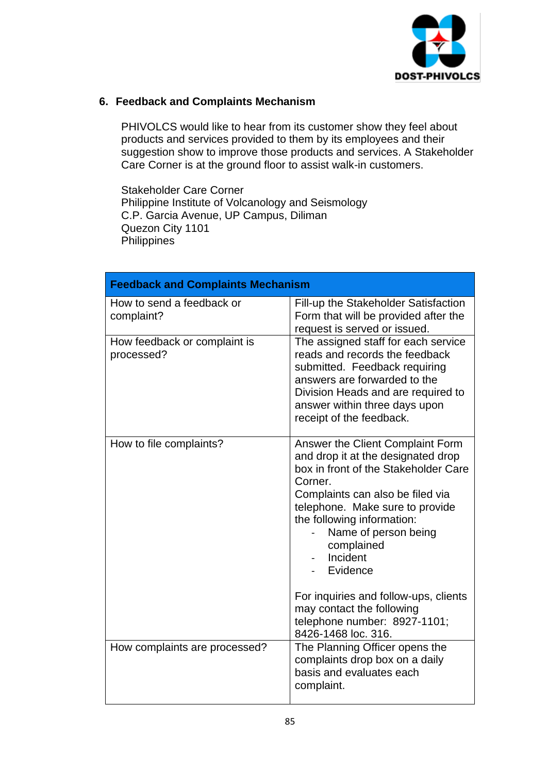

#### **6. Feedback and Complaints Mechanism**

PHIVOLCS would like to hear from its customer show they feel about products and services provided to them by its employees and their suggestion show to improve those products and services. A Stakeholder Care Corner is at the ground floor to assist walk-in customers.

Stakeholder Care Corner Philippine Institute of Volcanology and Seismology C.P. Garcia Avenue, UP Campus, Diliman Quezon City 1101 **Philippines** 

| <b>Feedback and Complaints Mechanism</b>   |                                                                                                                                                                                                                                                                                                                                                                                                                           |
|--------------------------------------------|---------------------------------------------------------------------------------------------------------------------------------------------------------------------------------------------------------------------------------------------------------------------------------------------------------------------------------------------------------------------------------------------------------------------------|
| How to send a feedback or<br>complaint?    | Fill-up the Stakeholder Satisfaction<br>Form that will be provided after the<br>request is served or issued.                                                                                                                                                                                                                                                                                                              |
| How feedback or complaint is<br>processed? | The assigned staff for each service<br>reads and records the feedback<br>submitted. Feedback requiring<br>answers are forwarded to the<br>Division Heads and are required to<br>answer within three days upon<br>receipt of the feedback.                                                                                                                                                                                 |
| How to file complaints?                    | Answer the Client Complaint Form<br>and drop it at the designated drop<br>box in front of the Stakeholder Care<br>Corner.<br>Complaints can also be filed via<br>telephone. Make sure to provide<br>the following information:<br>Name of person being<br>complained<br>Incident<br>Evidence<br>For inquiries and follow-ups, clients<br>may contact the following<br>telephone number: 8927-1101;<br>8426-1468 loc. 316. |
| How complaints are processed?              | The Planning Officer opens the<br>complaints drop box on a daily<br>basis and evaluates each<br>complaint.                                                                                                                                                                                                                                                                                                                |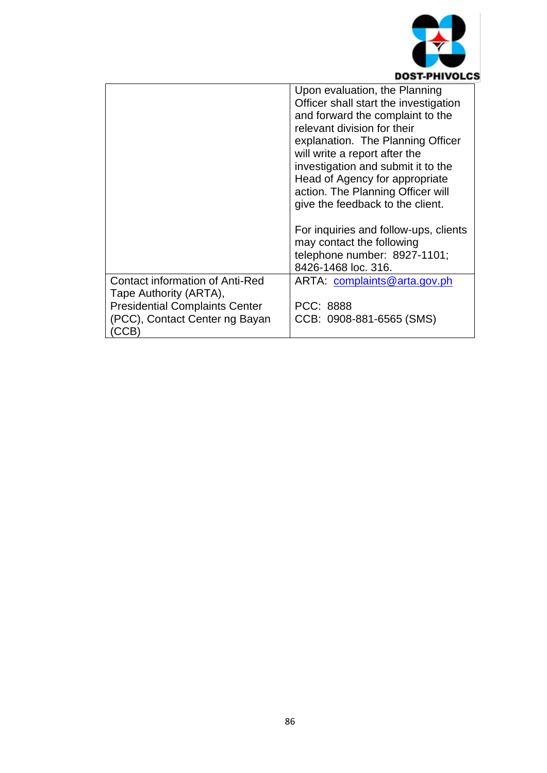

|                                       | Upon evaluation, the Planning         |
|---------------------------------------|---------------------------------------|
|                                       | Officer shall start the investigation |
|                                       | and forward the complaint to the      |
|                                       | relevant division for their           |
|                                       | explanation. The Planning Officer     |
|                                       | will write a report after the         |
|                                       | investigation and submit it to the    |
|                                       | Head of Agency for appropriate        |
|                                       | action. The Planning Officer will     |
|                                       | give the feedback to the client.      |
|                                       |                                       |
|                                       | For inquiries and follow-ups, clients |
|                                       | may contact the following             |
|                                       | telephone number: 8927-1101;          |
|                                       | 8426-1468 loc. 316.                   |
| Contact information of Anti-Red       | ARTA: complaints@arta.gov.ph          |
| Tape Authority (ARTA),                |                                       |
| <b>Presidential Complaints Center</b> | PCC: 8888                             |
| (PCC), Contact Center ng Bayan        | CCB: 0908-881-6565 (SMS)              |
| (CCB)                                 |                                       |